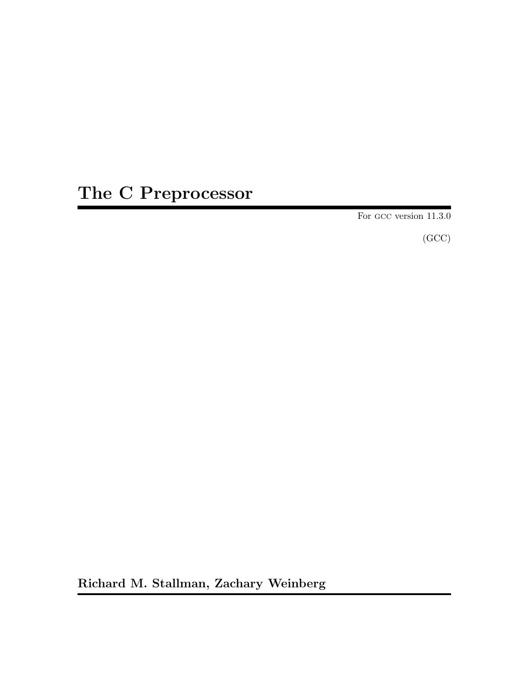# The C Preprocessor

For GCC version  $11.3.0$ 

(GCC)

Richard M. Stallman, Zachary Weinberg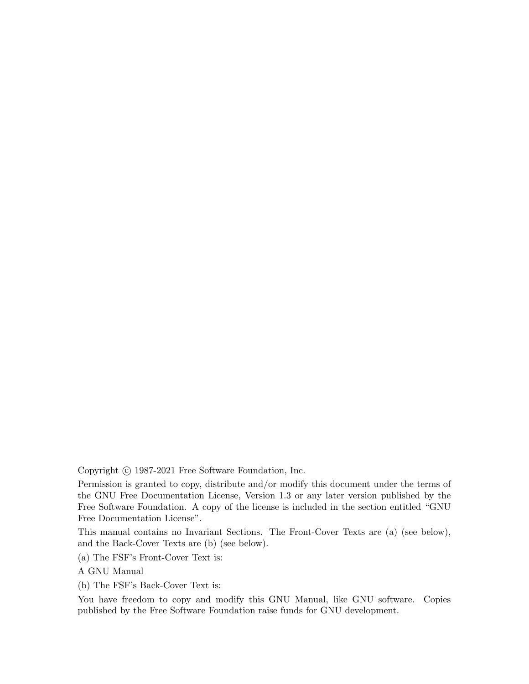Copyright (c) 1987-2021 Free Software Foundation, Inc.

Permission is granted to copy, distribute and/or modify this document under the terms of the GNU Free Documentation License, Version 1.3 or any later version published by the Free Software Foundation. A copy of the license is included in the section entitled "GNU Free Documentation License".

This manual contains no Invariant Sections. The Front-Cover Texts are (a) (see below), and the Back-Cover Texts are (b) (see below).

(a) The FSF's Front-Cover Text is:

A GNU Manual

(b) The FSF's Back-Cover Text is:

You have freedom to copy and modify this GNU Manual, like GNU software. Copies published by the Free Software Foundation raise funds for GNU development.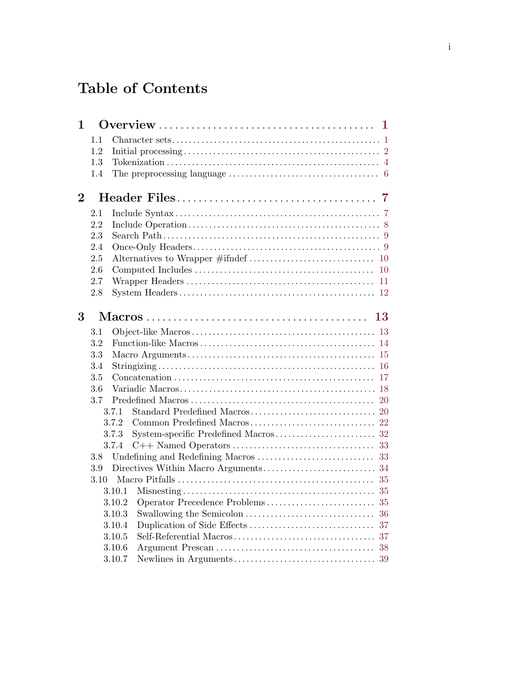# Table of Contents

| $\mathbf 1$    |            | 1            |  |  |  |  |
|----------------|------------|--------------|--|--|--|--|
| 1.1            |            |              |  |  |  |  |
|                | 1.2        |              |  |  |  |  |
|                | 1.3        |              |  |  |  |  |
|                | 1.4        |              |  |  |  |  |
| $\overline{2}$ |            | 7            |  |  |  |  |
|                | 2.1        |              |  |  |  |  |
|                | 2.2        |              |  |  |  |  |
|                | 2.3        |              |  |  |  |  |
|                | 2.4        |              |  |  |  |  |
|                | 2.5        |              |  |  |  |  |
|                | 2.6        | 10           |  |  |  |  |
|                | 2.7        | 11           |  |  |  |  |
|                | 2.8        |              |  |  |  |  |
| 3              |            | - 13         |  |  |  |  |
|                |            |              |  |  |  |  |
|                | 3.1        |              |  |  |  |  |
|                | 3.2        | 14           |  |  |  |  |
|                | 3.3        | 15           |  |  |  |  |
|                | 3.4<br>3.5 | 16           |  |  |  |  |
|                |            | 17           |  |  |  |  |
|                | 3.6<br>3.7 | 18<br>20     |  |  |  |  |
|                |            | 3.7.1        |  |  |  |  |
|                |            | 3.7.2        |  |  |  |  |
|                |            | 3.7.3<br>32  |  |  |  |  |
|                |            | 3.7.4<br>33  |  |  |  |  |
|                | 3.8        | 33           |  |  |  |  |
|                | 3.9        |              |  |  |  |  |
|                | 3.10       | 35           |  |  |  |  |
|                |            | 3.10.1<br>35 |  |  |  |  |
|                |            | 3.10.2<br>35 |  |  |  |  |
|                |            | 3.10.3<br>36 |  |  |  |  |
|                |            | 3.10.4       |  |  |  |  |
|                |            | 3.10.5       |  |  |  |  |
|                |            | 3.10.6<br>38 |  |  |  |  |
|                |            | 3.10.7       |  |  |  |  |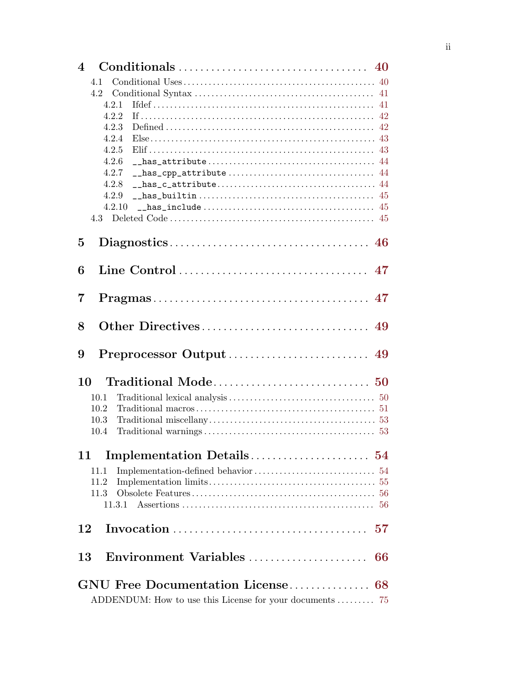| $\overline{4}$ |                                                           |    |
|----------------|-----------------------------------------------------------|----|
|                | 4.1                                                       |    |
|                | 4.2                                                       |    |
|                | 4.2.1                                                     |    |
|                | 4.2.2                                                     |    |
|                | 4.2.3                                                     |    |
|                | 4.2.4                                                     |    |
|                | 4.2.5<br>4.2.6                                            |    |
|                | 4.2.7                                                     |    |
|                | 4.2.8                                                     |    |
|                | 4.2.9                                                     |    |
|                | 4.2.10                                                    |    |
|                |                                                           |    |
| $\overline{5}$ |                                                           |    |
|                |                                                           |    |
| 6              |                                                           |    |
|                |                                                           |    |
| $\overline{7}$ |                                                           |    |
|                |                                                           |    |
| 8              |                                                           |    |
|                |                                                           |    |
| 9              | Preprocessor Output 49                                    |    |
|                |                                                           |    |
| 10             |                                                           |    |
|                | 10.1                                                      |    |
|                | 10.2                                                      |    |
|                | 10.3<br>10.4                                              |    |
|                |                                                           |    |
| 11             |                                                           |    |
|                | 11.1                                                      |    |
|                | 11.2                                                      |    |
|                | 11.3                                                      |    |
|                |                                                           |    |
| 12             |                                                           | 57 |
| 13             | Environment Variables                                     | 66 |
|                |                                                           |    |
|                |                                                           |    |
|                | ADDENDUM: How to use this License for your documents $75$ |    |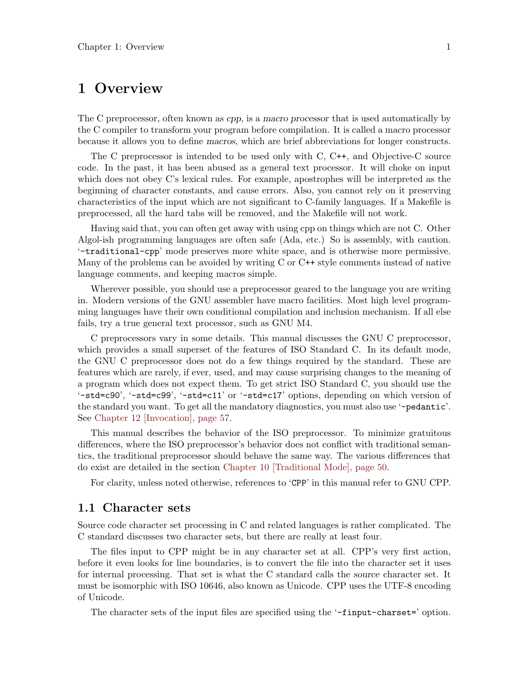## <span id="page-5-0"></span>1 Overview

The C preprocessor, often known as cpp, is a macro processor that is used automatically by the C compiler to transform your program before compilation. It is called a macro processor because it allows you to define macros, which are brief abbreviations for longer constructs.

The C preprocessor is intended to be used only with C, C++, and Objective-C source code. In the past, it has been abused as a general text processor. It will choke on input which does not obey C's lexical rules. For example, apostrophes will be interpreted as the beginning of character constants, and cause errors. Also, you cannot rely on it preserving characteristics of the input which are not significant to C-family languages. If a Makefile is preprocessed, all the hard tabs will be removed, and the Makefile will not work.

Having said that, you can often get away with using cpp on things which are not C. Other Algol-ish programming languages are often safe (Ada, etc.) So is assembly, with caution. '-traditional-cpp' mode preserves more white space, and is otherwise more permissive. Many of the problems can be avoided by writing C or C++ style comments instead of native language comments, and keeping macros simple.

Wherever possible, you should use a preprocessor geared to the language you are writing in. Modern versions of the GNU assembler have macro facilities. Most high level programming languages have their own conditional compilation and inclusion mechanism. If all else fails, try a true general text processor, such as GNU M4.

C preprocessors vary in some details. This manual discusses the GNU C preprocessor, which provides a small superset of the features of ISO Standard C. In its default mode, the GNU C preprocessor does not do a few things required by the standard. These are features which are rarely, if ever, used, and may cause surprising changes to the meaning of a program which does not expect them. To get strict ISO Standard C, you should use the '-std=c90', '-std=c99', '-std=c11' or '-std=c17' options, depending on which version of the standard you want. To get all the mandatory diagnostics, you must also use '-pedantic'. See [Chapter 12 \[Invocation\], page 57](#page-61-1).

This manual describes the behavior of the ISO preprocessor. To minimize gratuitous differences, where the ISO preprocessor's behavior does not conflict with traditional semantics, the traditional preprocessor should behave the same way. The various differences that do exist are detailed in the section [Chapter 10 \[Traditional Mode\], page 50.](#page-54-1)

For clarity, unless noted otherwise, references to 'CPP' in this manual refer to GNU CPP.

## 1.1 Character sets

Source code character set processing in C and related languages is rather complicated. The C standard discusses two character sets, but there are really at least four.

The files input to CPP might be in any character set at all. CPP's very first action, before it even looks for line boundaries, is to convert the file into the character set it uses for internal processing. That set is what the C standard calls the source character set. It must be isomorphic with ISO 10646, also known as Unicode. CPP uses the UTF-8 encoding of Unicode.

The character sets of the input files are specified using the '-finput-charset=' option.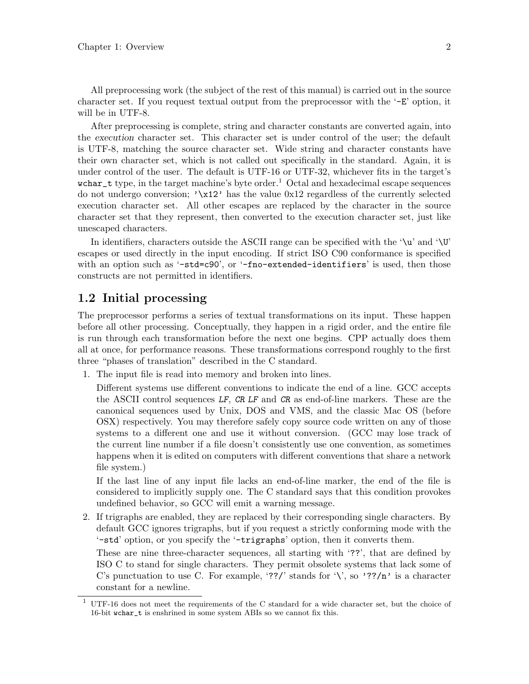<span id="page-6-0"></span>All preprocessing work (the subject of the rest of this manual) is carried out in the source character set. If you request textual output from the preprocessor with the '-E' option, it will be in UTF-8.

After preprocessing is complete, string and character constants are converted again, into the execution character set. This character set is under control of the user; the default is UTF-8, matching the source character set. Wide string and character constants have their own character set, which is not called out specifically in the standard. Again, it is under control of the user. The default is UTF-16 or UTF-32, whichever fits in the target's wchar<sub>t</sub> type, in the target machine's byte order.<sup>1</sup> Octal and hexadecimal escape sequences do not undergo conversion;  $\lambda x12'$  has the value 0x12 regardless of the currently selected execution character set. All other escapes are replaced by the character in the source character set that they represent, then converted to the execution character set, just like unescaped characters.

In identifiers, characters outside the ASCII range can be specified with the '\u' and '\U' escapes or used directly in the input encoding. If strict ISO C90 conformance is specified with an option such as '-std=c90', or '-fno-extended-identifiers' is used, then those constructs are not permitted in identifiers.

## 1.2 Initial processing

The preprocessor performs a series of textual transformations on its input. These happen before all other processing. Conceptually, they happen in a rigid order, and the entire file is run through each transformation before the next one begins. CPP actually does them all at once, for performance reasons. These transformations correspond roughly to the first three "phases of translation" described in the C standard.

1. The input file is read into memory and broken into lines.

Different systems use different conventions to indicate the end of a line. GCC accepts the ASCII control sequences  $LF$ ,  $CR$   $LF$  and  $CR$  as end-of-line markers. These are the canonical sequences used by Unix, DOS and VMS, and the classic Mac OS (before OSX) respectively. You may therefore safely copy source code written on any of those systems to a different one and use it without conversion. (GCC may lose track of the current line number if a file doesn't consistently use one convention, as sometimes happens when it is edited on computers with different conventions that share a network file system.)

If the last line of any input file lacks an end-of-line marker, the end of the file is considered to implicitly supply one. The C standard says that this condition provokes undefined behavior, so GCC will emit a warning message.

2. If trigraphs are enabled, they are replaced by their corresponding single characters. By default GCC ignores trigraphs, but if you request a strictly conforming mode with the '-std' option, or you specify the '-trigraphs' option, then it converts them.

These are nine three-character sequences, all starting with '??', that are defined by ISO C to stand for single characters. They permit obsolete systems that lack some of C's punctuation to use C. For example, '??/' stands for '\', so '??/n' is a character constant for a newline.

<sup>1</sup> UTF-16 does not meet the requirements of the C standard for a wide character set, but the choice of 16-bit wchar\_t is enshrined in some system ABIs so we cannot fix this.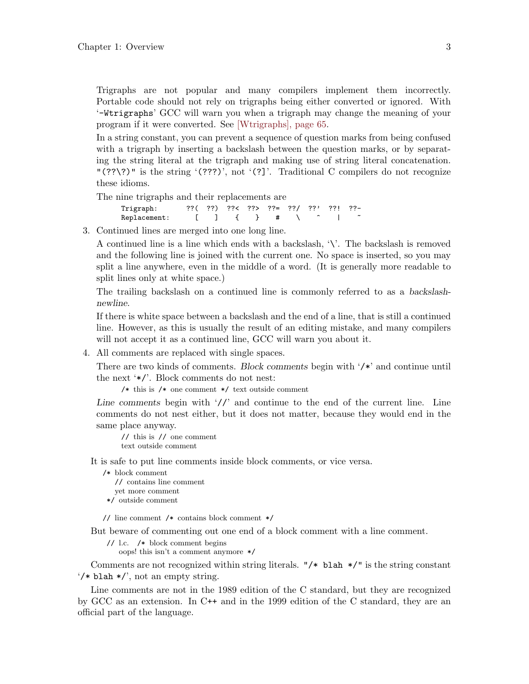Trigraphs are not popular and many compilers implement them incorrectly. Portable code should not rely on trigraphs being either converted or ignored. With '-Wtrigraphs' GCC will warn you when a trigraph may change the meaning of your program if it were converted. See [\[Wtrigraphs\], page 65.](#page-69-0)

In a string constant, you can prevent a sequence of question marks from being confused with a trigraph by inserting a backslash between the question marks, or by separating the string literal at the trigraph and making use of string literal concatenation. " $(??\)$ " is the string ' $(???)$ ', not ' $(?)'$ . Traditional C compilers do not recognize these idioms.

The nine trigraphs and their replacements are

Trigraph: ??( ??) ??< ??> ??= ??/ ??' ??! ??- Replacement: [ ] { } # \ ^ | ~

3. Continued lines are merged into one long line.

A continued line is a line which ends with a backslash, '\'. The backslash is removed and the following line is joined with the current one. No space is inserted, so you may split a line anywhere, even in the middle of a word. (It is generally more readable to split lines only at white space.)

The trailing backslash on a continued line is commonly referred to as a backslashnewline.

If there is white space between a backslash and the end of a line, that is still a continued line. However, as this is usually the result of an editing mistake, and many compilers will not accept it as a continued line, GCC will warn you about it.

4. All comments are replaced with single spaces.

There are two kinds of comments. Block comments begin with '/\*' and continue until the next '\*/'. Block comments do not nest:

/\* this is /\* one comment \*/ text outside comment

Line comments begin with  $\frac{1}{\ell}$  and continue to the end of the current line. Line comments do not nest either, but it does not matter, because they would end in the same place anyway.

// this is // one comment text outside comment

It is safe to put line comments inside block comments, or vice versa.

/\* block comment

// contains line comment

- yet more comment
- \*/ outside comment

 $//$  line comment  $/*$  contains block comment  $*/$ 

But beware of commenting out one end of a block comment with a line comment.

// l.c. /\* block comment begins

oops! this isn't a comment anymore \*/

Comments are not recognized within string literals. "/\* blah  $*/$ " is the string constant  $\sqrt{\ast}$  blah  $\ast$ /', not an empty string.

Line comments are not in the 1989 edition of the C standard, but they are recognized by GCC as an extension. In C++ and in the 1999 edition of the C standard, they are an official part of the language.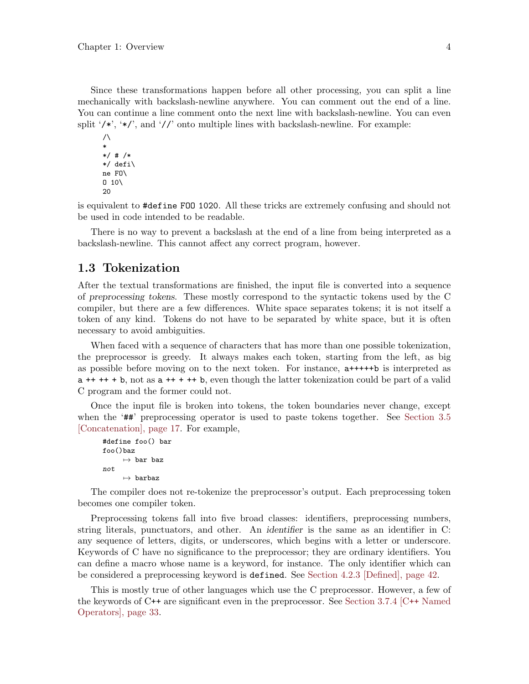<span id="page-8-0"></span>Since these transformations happen before all other processing, you can split a line mechanically with backslash-newline anywhere. You can comment out the end of a line. You can continue a line comment onto the next line with backslash-newline. You can even split  $\forall$ \*', '\*/', and  $\forall$ '/' onto multiple lines with backslash-newline. For example:

```
/\setminus*
*/ # /*
*/ defi\
ne FO\
0 10\lambda20
```
is equivalent to #define FOO 1020. All these tricks are extremely confusing and should not be used in code intended to be readable.

There is no way to prevent a backslash at the end of a line from being interpreted as a backslash-newline. This cannot affect any correct program, however.

## 1.3 Tokenization

After the textual transformations are finished, the input file is converted into a sequence of preprocessing tokens. These mostly correspond to the syntactic tokens used by the C compiler, but there are a few differences. White space separates tokens; it is not itself a token of any kind. Tokens do not have to be separated by white space, but it is often necessary to avoid ambiguities.

When faced with a sequence of characters that has more than one possible tokenization, the preprocessor is greedy. It always makes each token, starting from the left, as big as possible before moving on to the next token. For instance, a+++++b is interpreted as a ++ ++ + b, not as a ++ + ++ b, even though the latter tokenization could be part of a valid C program and the former could not.

Once the input file is broken into tokens, the token boundaries never change, except when the '##' preprocessing operator is used to paste tokens together. See [Section 3.5](#page-21-1) [\[Concatenation\], page 17](#page-21-1). For example,

```
#define foo() bar
foo()baz
      \mapsto bar baz
not
      \mapsto barbaz
```
The compiler does not re-tokenize the preprocessor's output. Each preprocessing token becomes one compiler token.

Preprocessing tokens fall into five broad classes: identifiers, preprocessing numbers, string literals, punctuators, and other. An identifier is the same as an identifier in C: any sequence of letters, digits, or underscores, which begins with a letter or underscore. Keywords of C have no significance to the preprocessor; they are ordinary identifiers. You can define a macro whose name is a keyword, for instance. The only identifier which can be considered a preprocessing keyword is defined. See [Section 4.2.3 \[Defined\], page 42](#page-46-1).

This is mostly true of other languages which use the C preprocessor. However, a few of the keywords of C++ are significant even in the preprocessor. See [Section 3.7.4 \[C](#page-37-1)++ Named [Operators\], page 33.](#page-37-1)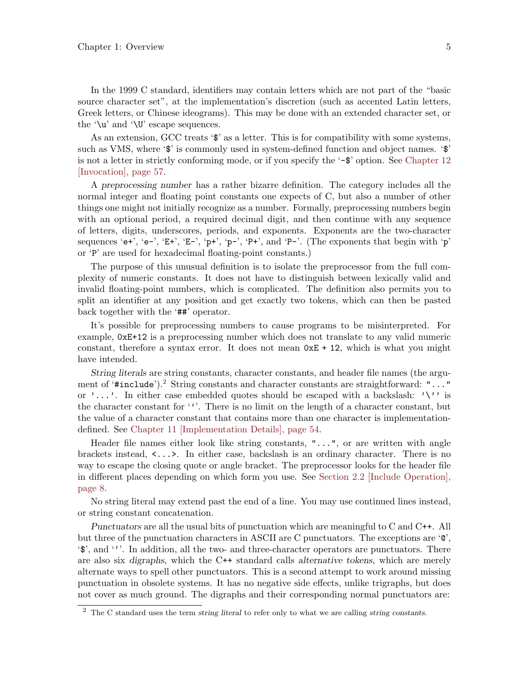In the 1999 C standard, identifiers may contain letters which are not part of the "basic source character set", at the implementation's discretion (such as accented Latin letters, Greek letters, or Chinese ideograms). This may be done with an extended character set, or the  $\forall u'$  and  $\forall U'$  escape sequences.

As an extension, GCC treats '\$' as a letter. This is for compatibility with some systems, such as VMS, where  $\mathcal{F}$  is commonly used in system-defined function and object names.  $\mathcal{F}$ is not a letter in strictly conforming mode, or if you specify the '-\$' option. See [Chapter 12](#page-61-1) [\[Invocation\], page 57](#page-61-1).

A preprocessing number has a rather bizarre definition. The category includes all the normal integer and floating point constants one expects of C, but also a number of other things one might not initially recognize as a number. Formally, preprocessing numbers begin with an optional period, a required decimal digit, and then continue with any sequence of letters, digits, underscores, periods, and exponents. Exponents are the two-character sequences 'e+', 'e-', 'E+', 'E-', 'p+', 'p-', 'P+', and 'P-'. (The exponents that begin with 'p' or 'P' are used for hexadecimal floating-point constants.)

The purpose of this unusual definition is to isolate the preprocessor from the full complexity of numeric constants. It does not have to distinguish between lexically valid and invalid floating-point numbers, which is complicated. The definition also permits you to split an identifier at any position and get exactly two tokens, which can then be pasted back together with the '##' operator.

It's possible for preprocessing numbers to cause programs to be misinterpreted. For example, 0xE+12 is a preprocessing number which does not translate to any valid numeric constant, therefore a syntax error. It does not mean  $0xE + 12$ , which is what you might have intended.

String literals are string constants, character constants, and header file names (the argument of '#include').<sup>2</sup> String constants and character constants are straightforward: "..." or '...'. In either case embedded quotes should be escaped with a backslash: '\'' is the character constant for '''. There is no limit on the length of a character constant, but the value of a character constant that contains more than one character is implementationdefined. See [Chapter 11 \[Implementation Details\], page 54](#page-58-0).

Header file names either look like string constants, "...", or are written with angle brackets instead, <...>. In either case, backslash is an ordinary character. There is no way to escape the closing quote or angle bracket. The preprocessor looks for the header file in different places depending on which form you use. See [Section 2.2 \[Include Operation\],](#page-12-1) [page 8.](#page-12-1)

No string literal may extend past the end of a line. You may use continued lines instead, or string constant concatenation.

Punctuators are all the usual bits of punctuation which are meaningful to C and C++. All but three of the punctuation characters in ASCII are C punctuators. The exceptions are '@', '\$', and '''. In addition, all the two- and three-character operators are punctuators. There are also six digraphs, which the C++ standard calls alternative tokens, which are merely alternate ways to spell other punctuators. This is a second attempt to work around missing punctuation in obsolete systems. It has no negative side effects, unlike trigraphs, but does not cover as much ground. The digraphs and their corresponding normal punctuators are:

<sup>&</sup>lt;sup>2</sup> The C standard uses the term string literal to refer only to what we are calling string constants.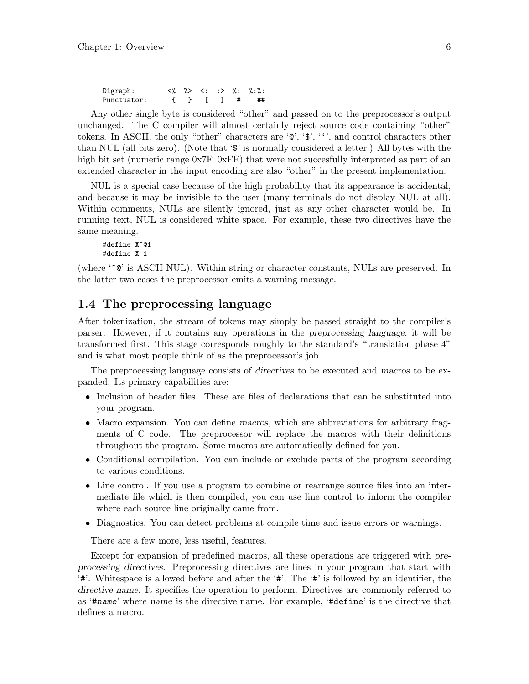<span id="page-10-0"></span>

| Digraph:    |  |  | $\langle\!\langle\!\langle \begin{array}{cccc} \end{array}\!\rangle_{0}\!\rangle \rangle \langle\!\langle \begin{array}{cccc} \end{array}\!\rangle_{1}\rangle \langle\!\langle \begin{array}{cccc} \end{array}\!\rangle_{2}\rangle$ |
|-------------|--|--|-------------------------------------------------------------------------------------------------------------------------------------------------------------------------------------------------------------------------------------|
| Punctuator: |  |  | ##                                                                                                                                                                                                                                  |

Any other single byte is considered "other" and passed on to the preprocessor's output unchanged. The C compiler will almost certainly reject source code containing "other" tokens. In ASCII, the only "other" characters are '@', '\$', ''', and control characters other than NUL (all bits zero). (Note that '\$' is normally considered a letter.) All bytes with the high bit set (numeric range  $0x7F-0xFF$ ) that were not succesfully interpreted as part of an extended character in the input encoding are also "other" in the present implementation.

NUL is a special case because of the high probability that its appearance is accidental, and because it may be invisible to the user (many terminals do not display NUL at all). Within comments, NULs are silently ignored, just as any other character would be. In running text, NUL is considered white space. For example, these two directives have the same meaning.

```
#define X^@1
#define X 1
```
(where  $\hat{\sigma}$  is ASCII NUL). Within string or character constants, NULs are preserved. In the latter two cases the preprocessor emits a warning message.

## 1.4 The preprocessing language

After tokenization, the stream of tokens may simply be passed straight to the compiler's parser. However, if it contains any operations in the preprocessing language, it will be transformed first. This stage corresponds roughly to the standard's "translation phase 4" and is what most people think of as the preprocessor's job.

The preprocessing language consists of directives to be executed and macros to be expanded. Its primary capabilities are:

- Inclusion of header files. These are files of declarations that can be substituted into your program.
- Macro expansion. You can define macros, which are abbreviations for arbitrary fragments of C code. The preprocessor will replace the macros with their definitions throughout the program. Some macros are automatically defined for you.
- Conditional compilation. You can include or exclude parts of the program according to various conditions.
- Line control. If you use a program to combine or rearrange source files into an intermediate file which is then compiled, you can use line control to inform the compiler where each source line originally came from.
- Diagnostics. You can detect problems at compile time and issue errors or warnings.

There are a few more, less useful, features.

Except for expansion of predefined macros, all these operations are triggered with preprocessing directives. Preprocessing directives are lines in your program that start with '#'. Whitespace is allowed before and after the '#'. The '#' is followed by an identifier, the directive name. It specifies the operation to perform. Directives are commonly referred to as '#name' where name is the directive name. For example, '#define' is the directive that defines a macro.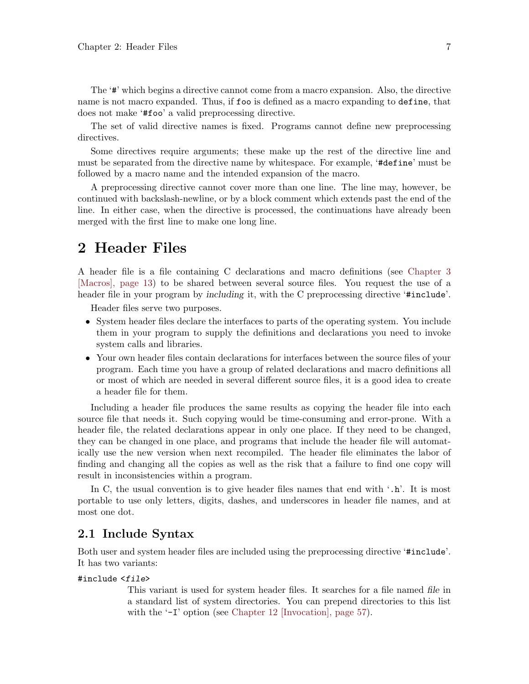<span id="page-11-0"></span>The '#' which begins a directive cannot come from a macro expansion. Also, the directive name is not macro expanded. Thus, if foo is defined as a macro expanding to define, that does not make '#foo' a valid preprocessing directive.

The set of valid directive names is fixed. Programs cannot define new preprocessing directives.

Some directives require arguments; these make up the rest of the directive line and must be separated from the directive name by whitespace. For example, '#define' must be followed by a macro name and the intended expansion of the macro.

A preprocessing directive cannot cover more than one line. The line may, however, be continued with backslash-newline, or by a block comment which extends past the end of the line. In either case, when the directive is processed, the continuations have already been merged with the first line to make one long line.

## 2 Header Files

A header file is a file containing C declarations and macro definitions (see [Chapter 3](#page-17-1) [\[Macros\], page 13\)](#page-17-1) to be shared between several source files. You request the use of a header file in your program by *including* it, with the C preprocessing directive '#include'.

Header files serve two purposes.

- System header files declare the interfaces to parts of the operating system. You include them in your program to supply the definitions and declarations you need to invoke system calls and libraries.
- Your own header files contain declarations for interfaces between the source files of your program. Each time you have a group of related declarations and macro definitions all or most of which are needed in several different source files, it is a good idea to create a header file for them.

Including a header file produces the same results as copying the header file into each source file that needs it. Such copying would be time-consuming and error-prone. With a header file, the related declarations appear in only one place. If they need to be changed, they can be changed in one place, and programs that include the header file will automatically use the new version when next recompiled. The header file eliminates the labor of finding and changing all the copies as well as the risk that a failure to find one copy will result in inconsistencies within a program.

In C, the usual convention is to give header files names that end with  $\cdot$ .h'. It is most portable to use only letters, digits, dashes, and underscores in header file names, and at most one dot.

## 2.1 Include Syntax

Both user and system header files are included using the preprocessing directive '#include'. It has two variants:

#### #include <file>

This variant is used for system header files. It searches for a file named file in a standard list of system directories. You can prepend directories to this list with the  $\text{-}I'$  option (see [Chapter 12 \[Invocation\], page 57](#page-61-1)).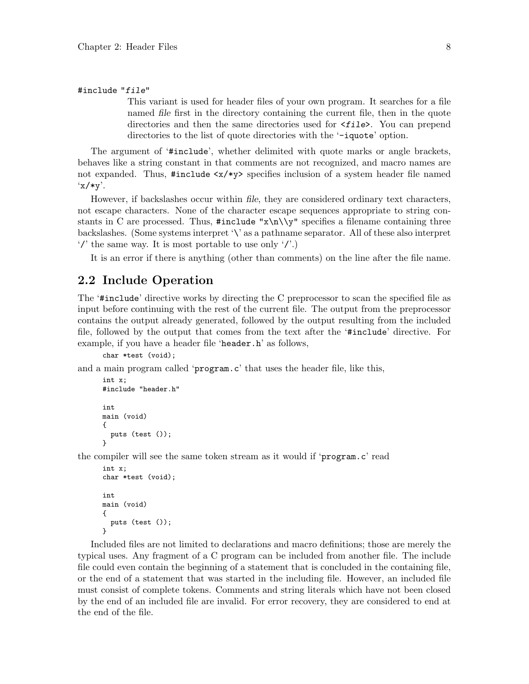#### <span id="page-12-0"></span>#include "file"

This variant is used for header files of your own program. It searches for a file named file first in the directory containing the current file, then in the quote directories and then the same directories used for  $\langle$ file>. You can prepend directories to the list of quote directories with the '-iquote' option.

The argument of '#include', whether delimited with quote marks or angle brackets, behaves like a string constant in that comments are not recognized, and macro names are not expanded. Thus, #include  $\langle x/\ast y \rangle$  specifies inclusion of a system header file named  $x/\ast y'$ .

However, if backslashes occur within file, they are considered ordinary text characters, not escape characters. None of the character escape sequences appropriate to string constants in C are processed. Thus,  $\#\text{include } "x\h\wedge y"$  specifies a filename containing three backslashes. (Some systems interpret '\' as a pathname separator. All of these also interpret '/' the same way. It is most portable to use only '/'.)

It is an error if there is anything (other than comments) on the line after the file name.

## <span id="page-12-1"></span>2.2 Include Operation

The '#include' directive works by directing the C preprocessor to scan the specified file as input before continuing with the rest of the current file. The output from the preprocessor contains the output already generated, followed by the output resulting from the included file, followed by the output that comes from the text after the '#include' directive. For example, if you have a header file 'header.h' as follows,

char \*test (void);

and a main program called 'program.c' that uses the header file, like this,

```
int x;
#include "header.h"
int
main (void)
{
 puts (test ());
}
```
the compiler will see the same token stream as it would if 'program.c' read

```
int x;
char *test (void);
int
main (void)
{
 puts (test ());
}
```
Included files are not limited to declarations and macro definitions; those are merely the typical uses. Any fragment of a C program can be included from another file. The include file could even contain the beginning of a statement that is concluded in the containing file, or the end of a statement that was started in the including file. However, an included file must consist of complete tokens. Comments and string literals which have not been closed by the end of an included file are invalid. For error recovery, they are considered to end at the end of the file.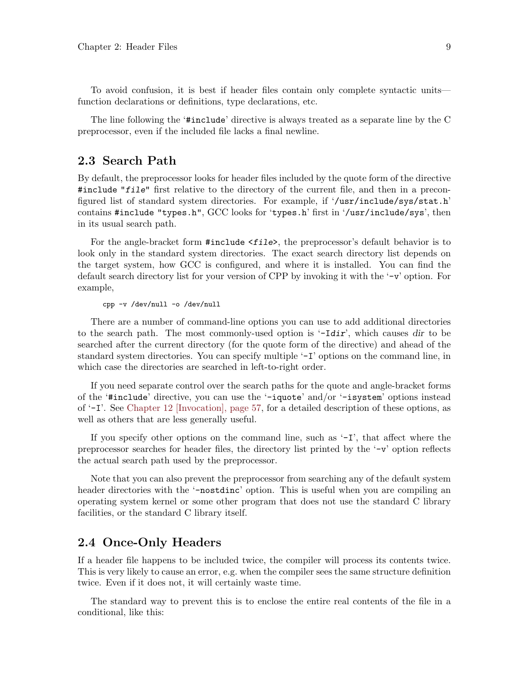<span id="page-13-0"></span>To avoid confusion, it is best if header files contain only complete syntactic units function declarations or definitions, type declarations, etc.

The line following the '#include' directive is always treated as a separate line by the C preprocessor, even if the included file lacks a final newline.

## 2.3 Search Path

By default, the preprocessor looks for header files included by the quote form of the directive #include "file" first relative to the directory of the current file, and then in a preconfigured list of standard system directories. For example, if '/usr/include/sys/stat.h' contains #include "types.h", GCC looks for 'types.h' first in '/usr/include/sys', then in its usual search path.

For the angle-bracket form #include <file>, the preprocessor's default behavior is to look only in the standard system directories. The exact search directory list depends on the target system, how GCC is configured, and where it is installed. You can find the default search directory list for your version of CPP by invoking it with the '-v' option. For example,

cpp -v /dev/null -o /dev/null

There are a number of command-line options you can use to add additional directories to the search path. The most commonly-used option is '-Idir', which causes dir to be searched after the current directory (for the quote form of the directive) and ahead of the standard system directories. You can specify multiple '-I' options on the command line, in which case the directories are searched in left-to-right order.

If you need separate control over the search paths for the quote and angle-bracket forms of the '#include' directive, you can use the '-iquote' and/or '-isystem' options instead of '-I'. See [Chapter 12 \[Invocation\], page 57](#page-61-1), for a detailed description of these options, as well as others that are less generally useful.

If you specify other options on the command line, such as '-I', that affect where the preprocessor searches for header files, the directory list printed by the '-v' option reflects the actual search path used by the preprocessor.

Note that you can also prevent the preprocessor from searching any of the default system header directories with the '-nostdinc' option. This is useful when you are compiling an operating system kernel or some other program that does not use the standard C library facilities, or the standard C library itself.

## <span id="page-13-1"></span>2.4 Once-Only Headers

If a header file happens to be included twice, the compiler will process its contents twice. This is very likely to cause an error, e.g. when the compiler sees the same structure definition twice. Even if it does not, it will certainly waste time.

The standard way to prevent this is to enclose the entire real contents of the file in a conditional, like this: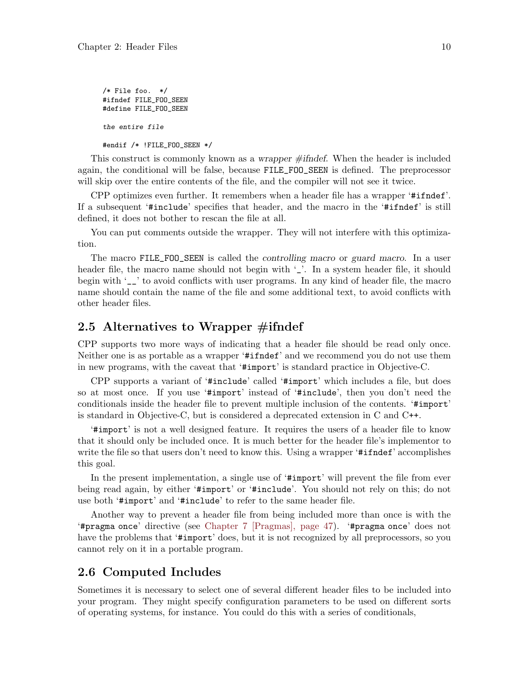```
/* File foo. */
#ifndef FILE_FOO_SEEN
#define FILE_FOO_SEEN
the entire file
#endif /* !FILE_FOO_SEEN */
```
This construct is commonly known as a *wrapper #ifndef*. When the header is included again, the conditional will be false, because FILE\_FOO\_SEEN is defined. The preprocessor will skip over the entire contents of the file, and the compiler will not see it twice.

CPP optimizes even further. It remembers when a header file has a wrapper '#ifndef'. If a subsequent '#include' specifies that header, and the macro in the '#ifndef' is still defined, it does not bother to rescan the file at all.

You can put comments outside the wrapper. They will not interfere with this optimization.

The macro FILE\_FOO\_SEEN is called the controlling macro or guard macro. In a user header file, the macro name should not begin with '\_'. In a system header file, it should begin with '\_\_' to avoid conflicts with user programs. In any kind of header file, the macro name should contain the name of the file and some additional text, to avoid conflicts with other header files.

## 2.5 Alternatives to Wrapper #ifndef

CPP supports two more ways of indicating that a header file should be read only once. Neither one is as portable as a wrapper '#ifndef' and we recommend you do not use them in new programs, with the caveat that '#import' is standard practice in Objective-C.

CPP supports a variant of '#include' called '#import' which includes a file, but does so at most once. If you use '#import' instead of '#include', then you don't need the conditionals inside the header file to prevent multiple inclusion of the contents. '#import' is standard in Objective-C, but is considered a deprecated extension in C and C++.

'#import' is not a well designed feature. It requires the users of a header file to know that it should only be included once. It is much better for the header file's implementor to write the file so that users don't need to know this. Using a wrapper '#ifndef' accomplishes this goal.

In the present implementation, a single use of '#import' will prevent the file from ever being read again, by either '#import' or '#include'. You should not rely on this; do not use both '#import' and '#include' to refer to the same header file.

Another way to prevent a header file from being included more than once is with the '#pragma once' directive (see [Chapter 7 \[Pragmas\], page 47\)](#page-51-1). '#pragma once' does not have the problems that '#import' does, but it is not recognized by all preprocessors, so you cannot rely on it in a portable program.

## 2.6 Computed Includes

Sometimes it is necessary to select one of several different header files to be included into your program. They might specify configuration parameters to be used on different sorts of operating systems, for instance. You could do this with a series of conditionals,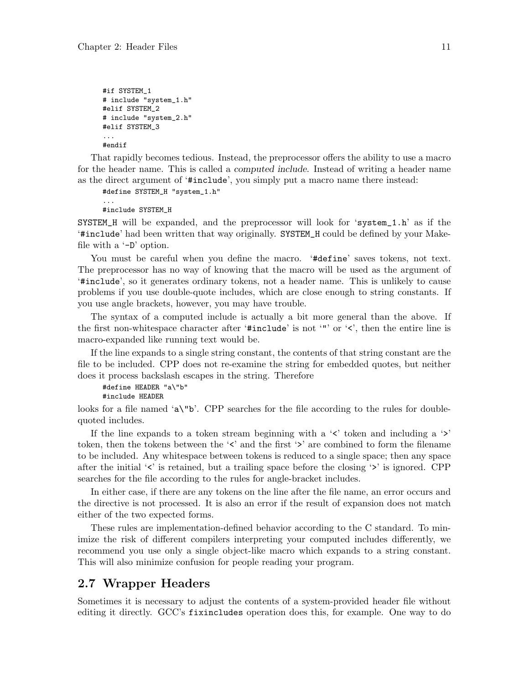```
#if SYSTEM_1
# include "system_1.h"
#elif SYSTEM_2
# include "system_2.h"
#elif SYSTEM_3
...
#endif
```
That rapidly becomes tedious. Instead, the preprocessor offers the ability to use a macro for the header name. This is called a computed include. Instead of writing a header name as the direct argument of '#include', you simply put a macro name there instead:

#define SYSTEM\_H "system\_1.h"

```
#include SYSTEM_H
```
...

SYSTEM\_H will be expanded, and the preprocessor will look for 'system\_1.h' as if the '#include' had been written that way originally. SYSTEM\_H could be defined by your Makefile with a  $\left(-D\right)$  option.

You must be careful when you define the macro. '#define' saves tokens, not text. The preprocessor has no way of knowing that the macro will be used as the argument of '#include', so it generates ordinary tokens, not a header name. This is unlikely to cause problems if you use double-quote includes, which are close enough to string constants. If you use angle brackets, however, you may have trouble.

The syntax of a computed include is actually a bit more general than the above. If the first non-whitespace character after '#include' is not '"' or '<', then the entire line is macro-expanded like running text would be.

If the line expands to a single string constant, the contents of that string constant are the file to be included. CPP does not re-examine the string for embedded quotes, but neither does it process backslash escapes in the string. Therefore

```
#define HEADER "a\"b"
#include HEADER
```
looks for a file named 'a\"b'. CPP searches for the file according to the rules for doublequoted includes.

If the line expands to a token stream beginning with a  $\leq$  token and including a  $\geq$ token, then the tokens between the '<' and the first '>' are combined to form the filename to be included. Any whitespace between tokens is reduced to a single space; then any space after the initial  $\langle \cdot \rangle$  is retained, but a trailing space before the closing  $\langle \cdot \rangle$  is ignored. CPP searches for the file according to the rules for angle-bracket includes.

In either case, if there are any tokens on the line after the file name, an error occurs and the directive is not processed. It is also an error if the result of expansion does not match either of the two expected forms.

These rules are implementation-defined behavior according to the C standard. To minimize the risk of different compilers interpreting your computed includes differently, we recommend you use only a single object-like macro which expands to a string constant. This will also minimize confusion for people reading your program.

## 2.7 Wrapper Headers

Sometimes it is necessary to adjust the contents of a system-provided header file without editing it directly. GCC's fixincludes operation does this, for example. One way to do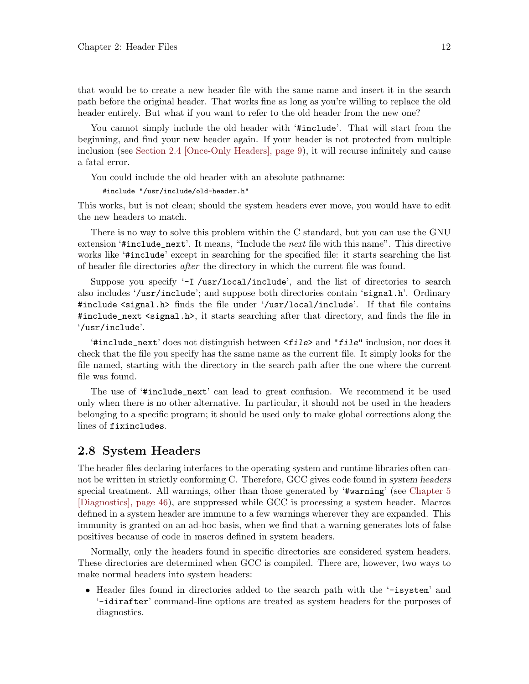<span id="page-16-0"></span>that would be to create a new header file with the same name and insert it in the search path before the original header. That works fine as long as you're willing to replace the old header entirely. But what if you want to refer to the old header from the new one?

You cannot simply include the old header with '#include'. That will start from the beginning, and find your new header again. If your header is not protected from multiple inclusion (see [Section 2.4 \[Once-Only Headers\], page 9\)](#page-13-1), it will recurse infinitely and cause a fatal error.

You could include the old header with an absolute pathname:

```
#include "/usr/include/old-header.h"
```
This works, but is not clean; should the system headers ever move, you would have to edit the new headers to match.

There is no way to solve this problem within the C standard, but you can use the GNU extension '#include\_next'. It means, "Include the next file with this name". This directive works like '#include' except in searching for the specified file: it starts searching the list of header file directories after the directory in which the current file was found.

Suppose you specify '-I /usr/local/include', and the list of directories to search also includes '/usr/include'; and suppose both directories contain 'signal.h'. Ordinary #include <signal.h> finds the file under '/usr/local/include'. If that file contains #include\_next <signal.h>, it starts searching after that directory, and finds the file in '/usr/include'.

'#include\_next' does not distinguish between <file> and "file" inclusion, nor does it check that the file you specify has the same name as the current file. It simply looks for the file named, starting with the directory in the search path after the one where the current file was found.

The use of '#include\_next' can lead to great confusion. We recommend it be used only when there is no other alternative. In particular, it should not be used in the headers belonging to a specific program; it should be used only to make global corrections along the lines of fixincludes.

## 2.8 System Headers

The header files declaring interfaces to the operating system and runtime libraries often cannot be written in strictly conforming C. Therefore, GCC gives code found in system headers special treatment. All warnings, other than those generated by '#warning' (see [Chapter 5](#page-50-1) [\[Diagnostics\], page 46](#page-50-1)), are suppressed while GCC is processing a system header. Macros defined in a system header are immune to a few warnings wherever they are expanded. This immunity is granted on an ad-hoc basis, when we find that a warning generates lots of false positives because of code in macros defined in system headers.

Normally, only the headers found in specific directories are considered system headers. These directories are determined when GCC is compiled. There are, however, two ways to make normal headers into system headers:

• Header files found in directories added to the search path with the '-isystem' and '-idirafter' command-line options are treated as system headers for the purposes of diagnostics.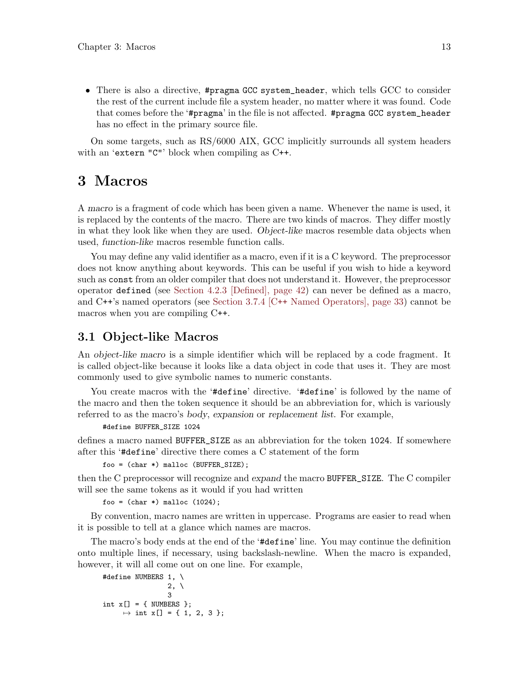<span id="page-17-0"></span>• There is also a directive, #pragma GCC system\_header, which tells GCC to consider the rest of the current include file a system header, no matter where it was found. Code that comes before the '#pragma' in the file is not affected. #pragma GCC system\_header has no effect in the primary source file.

On some targets, such as RS/6000 AIX, GCC implicitly surrounds all system headers with an 'extern "C"' block when compiling as C++.

## <span id="page-17-1"></span>3 Macros

A macro is a fragment of code which has been given a name. Whenever the name is used, it is replaced by the contents of the macro. There are two kinds of macros. They differ mostly in what they look like when they are used. Object-like macros resemble data objects when used, function-like macros resemble function calls.

You may define any valid identifier as a macro, even if it is a C keyword. The preprocessor does not know anything about keywords. This can be useful if you wish to hide a keyword such as const from an older compiler that does not understand it. However, the preprocessor operator defined (see [Section 4.2.3 \[Defined\], page 42\)](#page-46-1) can never be defined as a macro, and C++'s named operators (see Section 3.7.4 [C++ [Named Operators\], page 33](#page-37-1)) cannot be macros when you are compiling C++.

## 3.1 Object-like Macros

An object-like macro is a simple identifier which will be replaced by a code fragment. It is called object-like because it looks like a data object in code that uses it. They are most commonly used to give symbolic names to numeric constants.

You create macros with the '#define' directive. '#define' is followed by the name of the macro and then the token sequence it should be an abbreviation for, which is variously referred to as the macro's body, expansion or replacement list. For example,

```
#define BUFFER_SIZE 1024
```
defines a macro named BUFFER\_SIZE as an abbreviation for the token 1024. If somewhere after this '#define' directive there comes a C statement of the form

foo = (char \*) malloc (BUFFER\_SIZE);

then the C preprocessor will recognize and expand the macro BUFFER\_SIZE. The C compiler will see the same tokens as it would if you had written

foo =  $(char * )$  malloc  $(1024)$ ;

By convention, macro names are written in uppercase. Programs are easier to read when it is possible to tell at a glance which names are macros.

The macro's body ends at the end of the '#define' line. You may continue the definition onto multiple lines, if necessary, using backslash-newline. When the macro is expanded, however, it will all come out on one line. For example,

```
#define NUMBERS 1, \
                  2, \lambda3
int x[] = { NUMBERS };\mapsto int x[] = { 1, 2, 3 };
```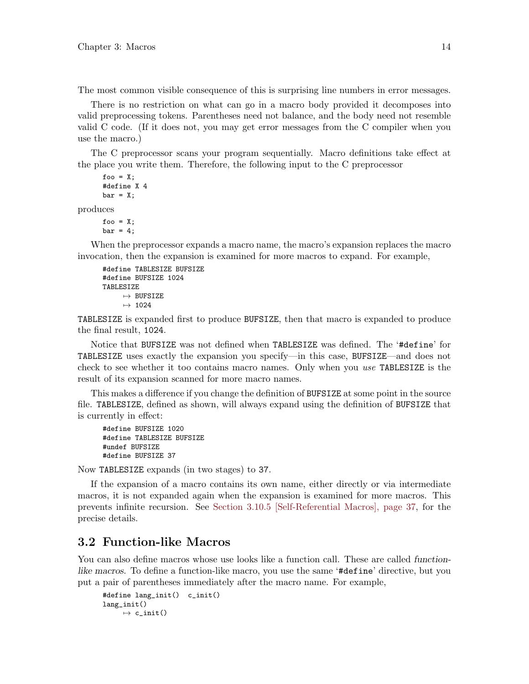<span id="page-18-0"></span>The most common visible consequence of this is surprising line numbers in error messages.

There is no restriction on what can go in a macro body provided it decomposes into valid preprocessing tokens. Parentheses need not balance, and the body need not resemble valid C code. (If it does not, you may get error messages from the C compiler when you use the macro.)

The C preprocessor scans your program sequentially. Macro definitions take effect at the place you write them. Therefore, the following input to the C preprocessor

```
foo = X;
#define X 4
bar = X;
```
produces

 $foo = X$ :  $bar = 4$ ;

When the preprocessor expands a macro name, the macro's expansion replaces the macro invocation, then the expansion is examined for more macros to expand. For example,

```
#define TABLESIZE BUFSIZE
#define BUFSIZE 1024
TABLESIZE
     \mapsto BUFSIZE
     \mapsto 1024
```
TABLESIZE is expanded first to produce BUFSIZE, then that macro is expanded to produce the final result, 1024.

Notice that BUFSIZE was not defined when TABLESIZE was defined. The '#define' for TABLESIZE uses exactly the expansion you specify—in this case, BUFSIZE—and does not check to see whether it too contains macro names. Only when you use TABLESIZE is the result of its expansion scanned for more macro names.

This makes a difference if you change the definition of BUFSIZE at some point in the source file. TABLESIZE, defined as shown, will always expand using the definition of BUFSIZE that is currently in effect:

```
#define BUFSIZE 1020
#define TABLESIZE BUFSIZE
#undef BUFSIZE
#define BUFSIZE 37
```
Now TABLESIZE expands (in two stages) to 37.

If the expansion of a macro contains its own name, either directly or via intermediate macros, it is not expanded again when the expansion is examined for more macros. This prevents infinite recursion. See [Section 3.10.5 \[Self-Referential Macros\], page 37](#page-41-1), for the precise details.

## 3.2 Function-like Macros

You can also define macros whose use looks like a function call. These are called functionlike macros. To define a function-like macro, you use the same '#define' directive, but you put a pair of parentheses immediately after the macro name. For example,

```
#define lang_init() c_init()
lang_init()
     \mapsto c_init()
```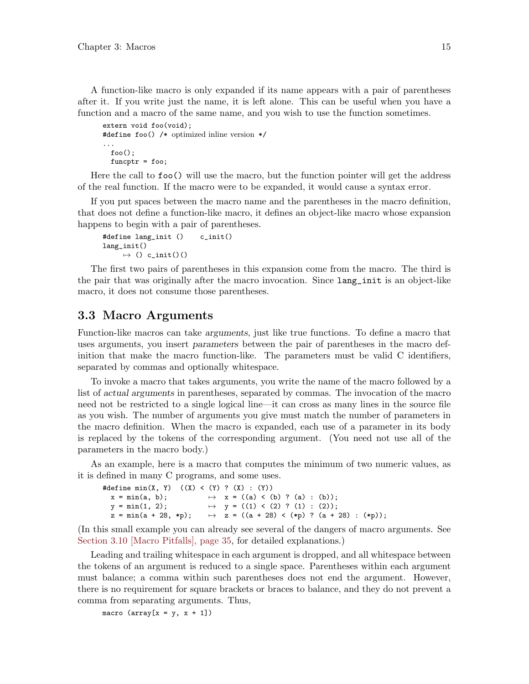<span id="page-19-0"></span>A function-like macro is only expanded if its name appears with a pair of parentheses after it. If you write just the name, it is left alone. This can be useful when you have a function and a macro of the same name, and you wish to use the function sometimes.

```
extern void foo(void);
#define foo() /* optimized inline version */
...
  foo();
  funcptr = foo;
```
Here the call to foo() will use the macro, but the function pointer will get the address of the real function. If the macro were to be expanded, it would cause a syntax error.

If you put spaces between the macro name and the parentheses in the macro definition, that does not define a function-like macro, it defines an object-like macro whose expansion happens to begin with a pair of parentheses.

```
#define lang_init () c_init()
lang_init()
     \mapsto () c_init()()
```
The first two pairs of parentheses in this expansion come from the macro. The third is the pair that was originally after the macro invocation. Since lang\_init is an object-like macro, it does not consume those parentheses.

## 3.3 Macro Arguments

Function-like macros can take arguments, just like true functions. To define a macro that uses arguments, you insert parameters between the pair of parentheses in the macro definition that make the macro function-like. The parameters must be valid C identifiers, separated by commas and optionally whitespace.

To invoke a macro that takes arguments, you write the name of the macro followed by a list of actual arguments in parentheses, separated by commas. The invocation of the macro need not be restricted to a single logical line—it can cross as many lines in the source file as you wish. The number of arguments you give must match the number of parameters in the macro definition. When the macro is expanded, each use of a parameter in its body is replaced by the tokens of the corresponding argument. (You need not use all of the parameters in the macro body.)

As an example, here is a macro that computes the minimum of two numeric values, as it is defined in many C programs, and some uses.

```
#define min(X, Y) ((X) < (Y) ? (X) : (Y))x = min(a, b); \mapsto x = ((a) < (b) ? (a) : (b));y = min(1, 2); \mapsto y = ((1) < (2) ? (1) : (2));z = min(a + 28, *p); \mapsto z = ((a + 28) < (*p) ? (a + 28) : (*p));
```
(In this small example you can already see several of the dangers of macro arguments. See [Section 3.10 \[Macro Pitfalls\], page 35,](#page-39-0) for detailed explanations.)

Leading and trailing whitespace in each argument is dropped, and all whitespace between the tokens of an argument is reduced to a single space. Parentheses within each argument must balance; a comma within such parentheses does not end the argument. However, there is no requirement for square brackets or braces to balance, and they do not prevent a comma from separating arguments. Thus,

macro  $(\arctan x = y, x + 1])$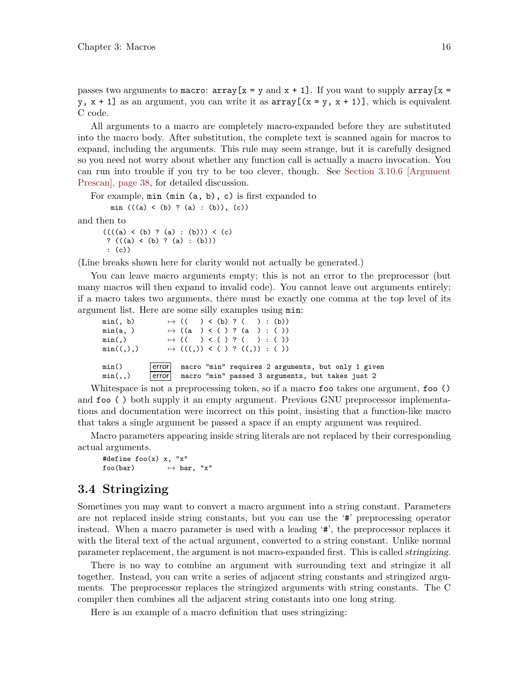<span id="page-20-0"></span>passes two arguments to macro:  $array[x = y and x + 1]$ . If you want to supply array  $[x =$ y,  $x + 1$ ] as an argument, you can write it as  $array[(x = y, x + 1)]$ , which is equivalent C code.

All arguments to a macro are completely macro-expanded before they are substituted into the macro body. After substitution, the complete text is scanned again for macros to expand, including the arguments. This rule may seem strange, but it is carefully designed so you need not worry about whether any function call is actually a macro invocation. You can run into trouble if you try to be too clever, though. See [Section 3.10.6 \[Argument](#page-42-1) [Prescan\], page 38](#page-42-1), for detailed discussion.

```
For example, min (min (a, b), c) is first expanded to
    min (((a) < (b) ? (a) : (b)), (c))
```
and then to

 $((((a) < (b) ? (a) : (b))) < (c)$ ? (((a) < (b) ? (a) : (b))) : (c))

(Line breaks shown here for clarity would not actually be generated.)

You can leave macro arguments empty; this is not an error to the preprocessor (but many macros will then expand to invalid code). You cannot leave out arguments entirely; if a macro takes two arguments, there must be exactly one comma at the top level of its argument list. Here are some silly examples using min:

| $min($ , b)  |       | $\mapsto (() < (b) ? ( ) : (b))$                                   |  |  |  |                                                    |
|--------------|-------|--------------------------------------------------------------------|--|--|--|----------------------------------------------------|
| min(a, )     |       | $\mapsto ((a \to \langle \rangle \circ (a \to \rangle \circ (a)))$ |  |  |  |                                                    |
| $min($ , $)$ |       | $\mapsto (( ) \leq ( ) ? ( ) : ( ))$                               |  |  |  |                                                    |
| min((,),)    |       | $\mapsto$ (((,)) < ( ) ? ((,)) : ( ))                              |  |  |  |                                                    |
| min()        | error |                                                                    |  |  |  | macro "min" requires 2 arguments, but only 1 given |
| $min($ )     | error |                                                                    |  |  |  | macro "min" passed 3 arguments, but takes just 2   |

Whitespace is not a preprocessing token, so if a macro foo takes one argument, foo () and foo ( ) both supply it an empty argument. Previous GNU preprocessor implementations and documentation were incorrect on this point, insisting that a function-like macro that takes a single argument be passed a space if an empty argument was required.

Macro parameters appearing inside string literals are not replaced by their corresponding actual arguments.

#define foo(x) x, "x"  $foo(bar) \rightarrow bar$ , "x"

## 3.4 Stringizing

Sometimes you may want to convert a macro argument into a string constant. Parameters are not replaced inside string constants, but you can use the '#' preprocessing operator instead. When a macro parameter is used with a leading '#', the preprocessor replaces it with the literal text of the actual argument, converted to a string constant. Unlike normal parameter replacement, the argument is not macro-expanded first. This is called stringizing.

There is no way to combine an argument with surrounding text and stringize it all together. Instead, you can write a series of adjacent string constants and stringized arguments. The preprocessor replaces the stringized arguments with string constants. The C compiler then combines all the adjacent string constants into one long string.

Here is an example of a macro definition that uses stringizing: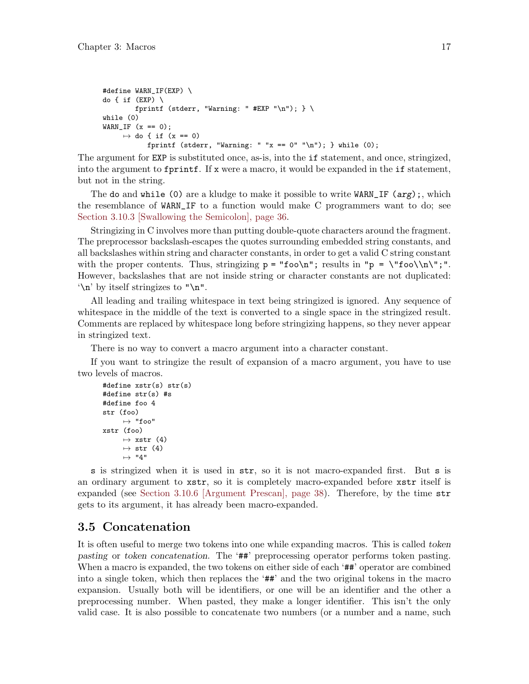```
#define WARN_IF(EXP) \
do { if (EXP) \setminusfprintf (stderr, "Warning: " #EXP "\n"); } \
while (0)
WARN_I (x == 0);
     \mapsto do { if (x == 0)
           fprintf (stderr, "Warning: " "x == 0" "\n"); } while (0);
```
The argument for EXP is substituted once, as-is, into the if statement, and once, stringized, into the argument to fprintf. If x were a macro, it would be expanded in the if statement, but not in the string.

The do and while (0) are a kludge to make it possible to write  $WARN_IIF$  (arg);, which the resemblance of WARN\_IF to a function would make C programmers want to do; see [Section 3.10.3 \[Swallowing the Semicolon\], page 36.](#page-40-1)

Stringizing in C involves more than putting double-quote characters around the fragment. The preprocessor backslash-escapes the quotes surrounding embedded string constants, and all backslashes within string and character constants, in order to get a valid C string constant with the proper contents. Thus, stringizing p = "foo\n"; results in "p = \"foo\\n\";". However, backslashes that are not inside string or character constants are not duplicated: '\n' by itself stringizes to "\n".

All leading and trailing whitespace in text being stringized is ignored. Any sequence of whitespace in the middle of the text is converted to a single space in the stringized result. Comments are replaced by whitespace long before stringizing happens, so they never appear in stringized text.

There is no way to convert a macro argument into a character constant.

If you want to stringize the result of expansion of a macro argument, you have to use two levels of macros.

```
#define xstr(s) str(s)
#define str(s) #s
#define foo 4
str (foo)
     \mapsto "foo"
xstr (foo)
     \mapsto xstr (4)
     \mapsto str (4)
     \mapsto "4"
```
s is stringized when it is used in str, so it is not macro-expanded first. But s is an ordinary argument to xstr, so it is completely macro-expanded before xstr itself is expanded (see [Section 3.10.6 \[Argument Prescan\], page 38\)](#page-42-1). Therefore, by the time str gets to its argument, it has already been macro-expanded.

## <span id="page-21-1"></span>3.5 Concatenation

It is often useful to merge two tokens into one while expanding macros. This is called token pasting or token concatenation. The '##' preprocessing operator performs token pasting. When a macro is expanded, the two tokens on either side of each '##' operator are combined into a single token, which then replaces the '##' and the two original tokens in the macro expansion. Usually both will be identifiers, or one will be an identifier and the other a preprocessing number. When pasted, they make a longer identifier. This isn't the only valid case. It is also possible to concatenate two numbers (or a number and a name, such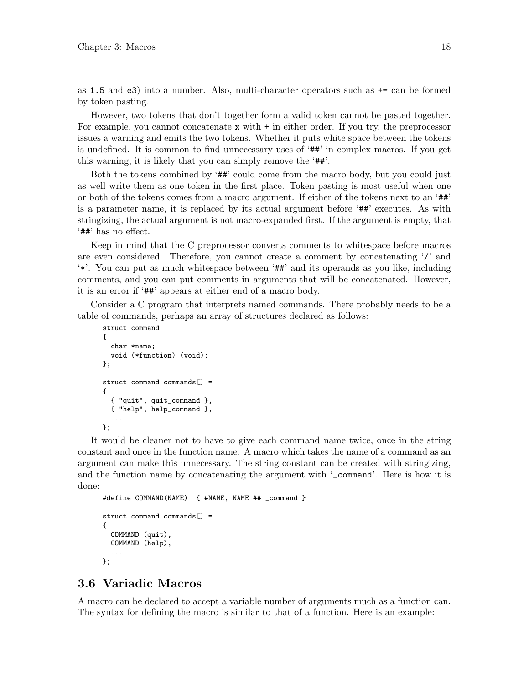<span id="page-22-0"></span>as 1.5 and e3) into a number. Also, multi-character operators such as += can be formed by token pasting.

However, two tokens that don't together form a valid token cannot be pasted together. For example, you cannot concatenate  $x$  with  $+$  in either order. If you try, the preprocessor issues a warning and emits the two tokens. Whether it puts white space between the tokens is undefined. It is common to find unnecessary uses of '##' in complex macros. If you get this warning, it is likely that you can simply remove the '##'.

Both the tokens combined by '##' could come from the macro body, but you could just as well write them as one token in the first place. Token pasting is most useful when one or both of the tokens comes from a macro argument. If either of the tokens next to an '##' is a parameter name, it is replaced by its actual argument before '##' executes. As with stringizing, the actual argument is not macro-expanded first. If the argument is empty, that '##' has no effect.

Keep in mind that the C preprocessor converts comments to whitespace before macros are even considered. Therefore, you cannot create a comment by concatenating '/' and '\*'. You can put as much whitespace between '##' and its operands as you like, including comments, and you can put comments in arguments that will be concatenated. However, it is an error if '##' appears at either end of a macro body.

Consider a C program that interprets named commands. There probably needs to be a table of commands, perhaps an array of structures declared as follows:

```
struct command
{
 char *name;
  void (*function) (void);
};
struct command commands[] =
{
  { "quit", quit_command },
  { "help", help_command },
  ...
};
```
It would be cleaner not to have to give each command name twice, once in the string constant and once in the function name. A macro which takes the name of a command as an argument can make this unnecessary. The string constant can be created with stringizing, and the function name by concatenating the argument with '\_command'. Here is how it is done:

```
#define COMMAND(NAME) { #NAME, NAME ## _command }
struct command commands [] =
{
 COMMAND (quit),
 COMMAND (help),
  ...
\};
```
## 3.6 Variadic Macros

A macro can be declared to accept a variable number of arguments much as a function can. The syntax for defining the macro is similar to that of a function. Here is an example: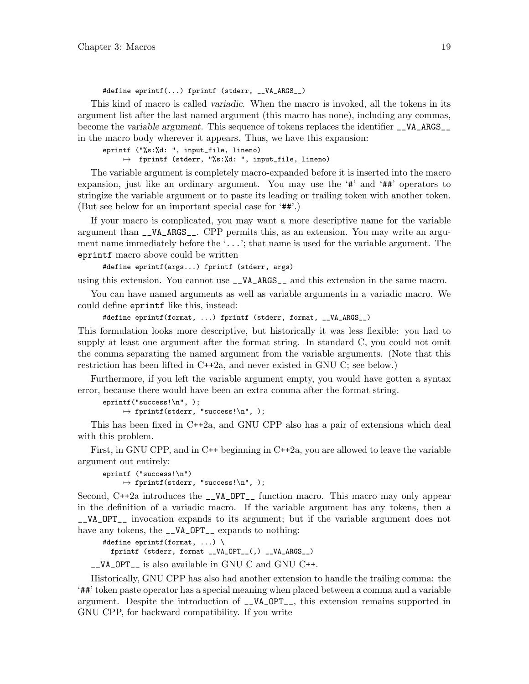#define eprintf(...) fprintf (stderr, \_\_VA\_ARGS\_\_)

This kind of macro is called variadic. When the macro is invoked, all the tokens in its argument list after the last named argument (this macro has none), including any commas, become the variable argument. This sequence of tokens replaces the identifier \_\_VA\_ARGS\_\_ in the macro body wherever it appears. Thus, we have this expansion:

```
eprintf ("%s:%d: ", input_file, lineno)
     \mapsto fprintf (stderr, "%s:%d: ", input_file, lineno)
```
The variable argument is completely macro-expanded before it is inserted into the macro expansion, just like an ordinary argument. You may use the '#' and '##' operators to stringize the variable argument or to paste its leading or trailing token with another token. (But see below for an important special case for '##'.)

If your macro is complicated, you may want a more descriptive name for the variable argument than \_\_VA\_ARGS\_\_. CPP permits this, as an extension. You may write an argument name immediately before the '...'; that name is used for the variable argument. The eprintf macro above could be written

#define eprintf(args...) fprintf (stderr, args)

using this extension. You cannot use \_\_VA\_ARGS\_\_ and this extension in the same macro.

You can have named arguments as well as variable arguments in a variadic macro. We could define eprintf like this, instead:

```
#define eprintf(format, ...) fprintf (stderr, format, __VA_ARGS__)
```
This formulation looks more descriptive, but historically it was less flexible: you had to supply at least one argument after the format string. In standard C, you could not omit the comma separating the named argument from the variable arguments. (Note that this restriction has been lifted in C++2a, and never existed in GNU C; see below.)

Furthermore, if you left the variable argument empty, you would have gotten a syntax error, because there would have been an extra comma after the format string.

```
eprintf("success!\n", );
     \mapsto fprintf(stderr, "success!\n", );
```
This has been fixed in C++2a, and GNU CPP also has a pair of extensions which deal with this problem.

First, in GNU CPP, and in C++ beginning in C++2a, you are allowed to leave the variable argument out entirely:

eprintf ("success!\n")  $\mapsto$  fprintf(stderr, "success!\n", );

Second, C++2a introduces the \_\_VA\_OPT\_\_ function macro. This macro may only appear in the definition of a variadic macro. If the variable argument has any tokens, then a \_\_VA\_OPT\_\_ invocation expands to its argument; but if the variable argument does not have any tokens, the  $\text{\_VA}$ -OPT<sub>-</sub> expands to nothing:

```
#define eprintf(format, ...) \
  fprintf (stderr, format __VA_OPT__(,) __VA_ARGS__)
```
\_\_VA\_OPT\_\_ is also available in GNU C and GNU C++.

Historically, GNU CPP has also had another extension to handle the trailing comma: the '##' token paste operator has a special meaning when placed between a comma and a variable argument. Despite the introduction of \_\_VA\_OPT\_\_, this extension remains supported in GNU CPP, for backward compatibility. If you write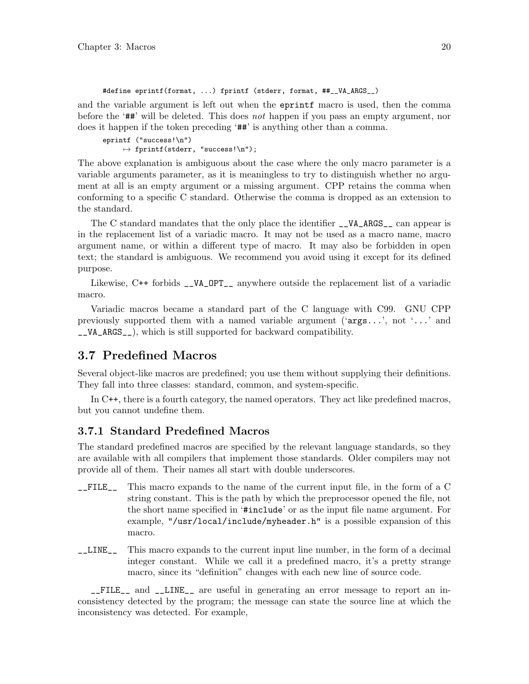#### <span id="page-24-0"></span>#define eprintf(format, ...) fprintf (stderr, format, ##\_\_VA\_ARGS\_\_)

and the variable argument is left out when the eprintf macro is used, then the comma before the '##' will be deleted. This does not happen if you pass an empty argument, nor does it happen if the token preceding '##' is anything other than a comma.

```
eprintf ("success!\n")
     \mapsto fprintf(stderr, "success!\n");
```
The above explanation is ambiguous about the case where the only macro parameter is a variable arguments parameter, as it is meaningless to try to distinguish whether no argument at all is an empty argument or a missing argument. CPP retains the comma when conforming to a specific C standard. Otherwise the comma is dropped as an extension to the standard.

The C standard mandates that the only place the identifier \_\_VA\_ARGS\_\_ can appear is in the replacement list of a variadic macro. It may not be used as a macro name, macro argument name, or within a different type of macro. It may also be forbidden in open text; the standard is ambiguous. We recommend you avoid using it except for its defined purpose.

Likewise, C<sup>++</sup> forbids  $\text{LVA}$ -OPT<sub>-</sub> anywhere outside the replacement list of a variadic macro.

Variadic macros became a standard part of the C language with C99. GNU CPP previously supported them with a named variable argument ('args...', not '...' and \_\_VA\_ARGS\_\_), which is still supported for backward compatibility.

## 3.7 Predefined Macros

Several object-like macros are predefined; you use them without supplying their definitions. They fall into three classes: standard, common, and system-specific.

In C++, there is a fourth category, the named operators. They act like predefined macros, but you cannot undefine them.

### 3.7.1 Standard Predefined Macros

The standard predefined macros are specified by the relevant language standards, so they are available with all compilers that implement those standards. Older compilers may not provide all of them. Their names all start with double underscores.

- \_\_FILE\_\_ This macro expands to the name of the current input file, in the form of a C string constant. This is the path by which the preprocessor opened the file, not the short name specified in '#include' or as the input file name argument. For example, "/usr/local/include/myheader.h" is a possible expansion of this macro.
- \_\_LINE\_\_ This macro expands to the current input line number, in the form of a decimal integer constant. While we call it a predefined macro, it's a pretty strange macro, since its "definition" changes with each new line of source code.

\_\_FILE\_\_ and \_\_LINE\_\_ are useful in generating an error message to report an inconsistency detected by the program; the message can state the source line at which the inconsistency was detected. For example,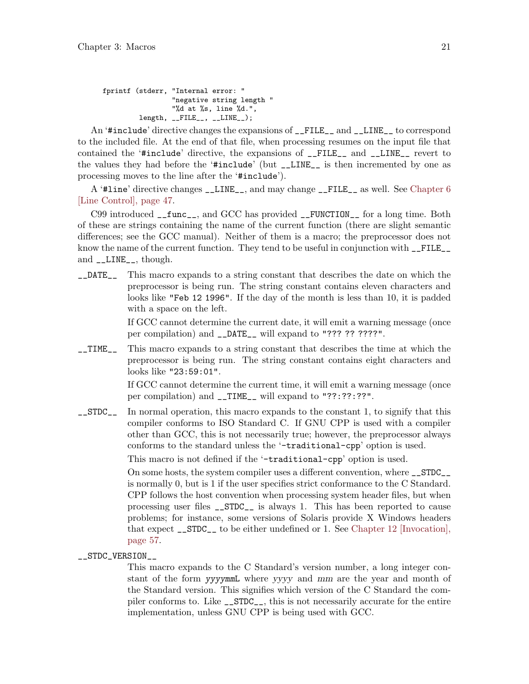```
fprintf (stderr, "Internal error: "
                 "negative string length "
                 "%d at %s, line %d.",
         length, __FILE__, __LINE__);
```
An '#include' directive changes the expansions of \_\_FILE\_\_ and \_\_LINE\_\_ to correspond to the included file. At the end of that file, when processing resumes on the input file that contained the '#include' directive, the expansions of \_\_FILE\_\_ and \_\_LINE\_\_ revert to the values they had before the '#include' (but \_\_LINE\_\_ is then incremented by one as processing moves to the line after the '#include').

A '#line' directive changes \_\_LINE\_\_, and may change \_\_FILE\_\_ as well. See [Chapter 6](#page-51-0) [\[Line Control\], page 47.](#page-51-0)

C99 introduced \_\_func\_\_, and GCC has provided \_\_FUNCTION\_\_ for a long time. Both of these are strings containing the name of the current function (there are slight semantic differences; see the GCC manual). Neither of them is a macro; the preprocessor does not know the name of the current function. They tend to be useful in conjunction with \_\_FILE\_\_ and \_\_LINE\_\_, though.

\_\_DATE\_\_ This macro expands to a string constant that describes the date on which the preprocessor is being run. The string constant contains eleven characters and looks like "Feb 12 1996". If the day of the month is less than 10, it is padded with a space on the left.

> If GCC cannot determine the current date, it will emit a warning message (once per compilation) and \_\_DATE\_\_ will expand to "??? ?? ????".

\_\_TIME\_\_ This macro expands to a string constant that describes the time at which the preprocessor is being run. The string constant contains eight characters and looks like "23:59:01".

> If GCC cannot determine the current time, it will emit a warning message (once per compilation) and \_\_TIME\_\_ will expand to "??:??:??".

\_\_STDC\_\_ In normal operation, this macro expands to the constant 1, to signify that this compiler conforms to ISO Standard C. If GNU CPP is used with a compiler other than GCC, this is not necessarily true; however, the preprocessor always conforms to the standard unless the '-traditional-cpp' option is used.

This macro is not defined if the '-traditional-cpp' option is used.

On some hosts, the system compiler uses a different convention, where \_\_STDC\_\_ is normally 0, but is 1 if the user specifies strict conformance to the C Standard. CPP follows the host convention when processing system header files, but when processing user files \_\_STDC\_\_ is always 1. This has been reported to cause problems; for instance, some versions of Solaris provide X Windows headers that expect \_\_STDC\_\_ to be either undefined or 1. See [Chapter 12 \[Invocation\],](#page-61-1) [page 57.](#page-61-1)

\_\_STDC\_VERSION\_\_

This macro expands to the C Standard's version number, a long integer constant of the form yyyymmL where yyyy and mm are the year and month of the Standard version. This signifies which version of the C Standard the compiler conforms to. Like \_\_STDC\_\_, this is not necessarily accurate for the entire implementation, unless GNU CPP is being used with GCC.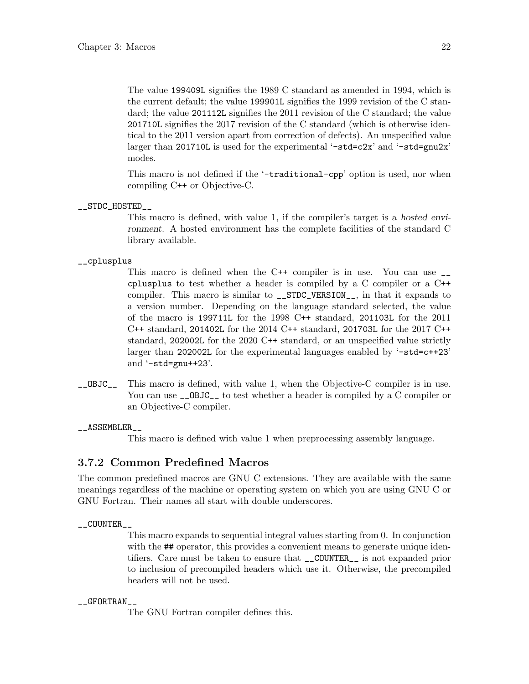<span id="page-26-0"></span>The value 199409L signifies the 1989 C standard as amended in 1994, which is the current default; the value 199901L signifies the 1999 revision of the C standard; the value 201112L signifies the 2011 revision of the C standard; the value 201710L signifies the 2017 revision of the C standard (which is otherwise identical to the 2011 version apart from correction of defects). An unspecified value larger than 201710L is used for the experimental '-std=c2x' and '-std=gnu2x' modes.

This macro is not defined if the '-traditional-cpp' option is used, nor when compiling C++ or Objective-C.

\_\_STDC\_HOSTED\_\_

This macro is defined, with value 1, if the compiler's target is a hosted environment. A hosted environment has the complete facilities of the standard C library available.

\_\_cplusplus

This macro is defined when the C++ compiler is in use. You can use  $\overline{\phantom{a}}$ cplusplus to test whether a header is compiled by a C compiler or a C++ compiler. This macro is similar to \_\_STDC\_VERSION\_\_, in that it expands to a version number. Depending on the language standard selected, the value of the macro is 199711L for the 1998 C++ standard, 201103L for the 2011 C++ standard, 201402L for the 2014 C++ standard, 201703L for the 2017 C++ standard, 202002L for the 2020 C++ standard, or an unspecified value strictly larger than 202002L for the experimental languages enabled by '-std=c++23' and '-std=gnu++23'.

\_\_OBJC\_\_ This macro is defined, with value 1, when the Objective-C compiler is in use. You can use  $\angle$ \_\_OBJC<sub>\_\_</sub> to test whether a header is compiled by a C compiler or an Objective-C compiler.

\_\_ASSEMBLER\_\_

This macro is defined with value 1 when preprocessing assembly language.

## 3.7.2 Common Predefined Macros

The common predefined macros are GNU C extensions. They are available with the same meanings regardless of the machine or operating system on which you are using GNU C or GNU Fortran. Their names all start with double underscores.

\_\_COUNTER\_\_

This macro expands to sequential integral values starting from 0. In conjunction with the  $\#$  operator, this provides a convenient means to generate unique identifiers. Care must be taken to ensure that \_\_COUNTER\_\_ is not expanded prior to inclusion of precompiled headers which use it. Otherwise, the precompiled headers will not be used.

\_\_GFORTRAN\_\_

The GNU Fortran compiler defines this.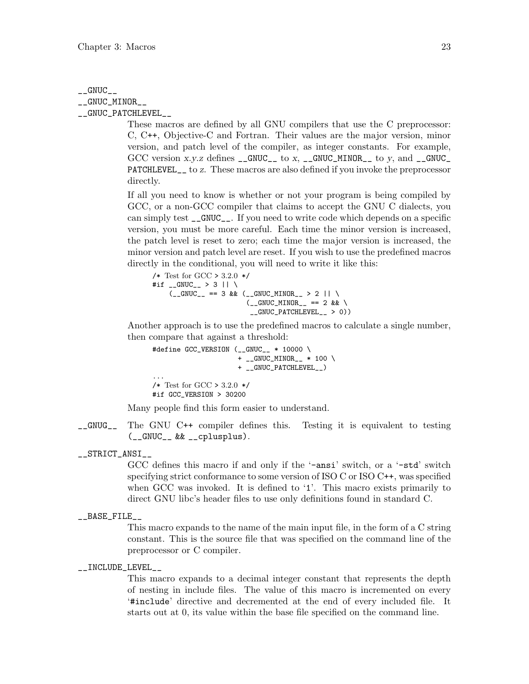#### $\_$ GNUC $\_$

\_\_GNUC\_MINOR\_\_

\_\_GNUC\_PATCHLEVEL\_\_

These macros are defined by all GNU compilers that use the C preprocessor: C, C++, Objective-C and Fortran. Their values are the major version, minor version, and patch level of the compiler, as integer constants. For example, GCC version x.y.z defines  $\text{\_GNUC}\_$  to x,  $\text{\_GNUC}\_$  MINOR $\text{\_}$  to y, and  $\text{\_GNUC}\_$ PATCHLEVEL\_\_ to z. These macros are also defined if you invoke the preprocessor directly.

If all you need to know is whether or not your program is being compiled by GCC, or a non-GCC compiler that claims to accept the GNU C dialects, you can simply test \_\_GNUC\_\_. If you need to write code which depends on a specific version, you must be more careful. Each time the minor version is increased, the patch level is reset to zero; each time the major version is increased, the minor version and patch level are reset. If you wish to use the predefined macros directly in the conditional, you will need to write it like this:

/\* Test for GCC  $> 3.2.0$   $*/$ #if  $_C(WC_{--} > 3 || \ \ \ 1$  $($ \_\_GNUC\_\_ == 3 && (\_\_GNUC\_MINOR\_\_ > 2 || \  $($   $GNUC_MINOR$  == 2 && \ \_\_GNUC\_PATCHLEVEL\_\_ > 0))

Another approach is to use the predefined macros to calculate a single number, then compare that against a threshold:

```
#define GCC_VERSION (__GNUC_ * 10000 \
                     + __GNUC_MINOR__ * 100 \
                     + __GNUC_PATCHLEVEL__)
...
/* Test for GCC > 3.2.0 */#if GCC_VERSION > 30200
```
Many people find this form easier to understand.

\_\_GNUG\_\_ The GNU C++ compiler defines this. Testing it is equivalent to testing (\_\_GNUC\_\_ && \_\_cplusplus).

#### \_\_STRICT\_ANSI\_\_

GCC defines this macro if and only if the '-ansi' switch, or a '-std' switch specifying strict conformance to some version of ISO C or ISO C++, was specified when GCC was invoked. It is defined to '1'. This macro exists primarily to direct GNU libc's header files to use only definitions found in standard C.

\_\_BASE\_FILE\_\_

This macro expands to the name of the main input file, in the form of a C string constant. This is the source file that was specified on the command line of the preprocessor or C compiler.

\_\_INCLUDE\_LEVEL\_\_

This macro expands to a decimal integer constant that represents the depth of nesting in include files. The value of this macro is incremented on every '#include' directive and decremented at the end of every included file. It starts out at 0, its value within the base file specified on the command line.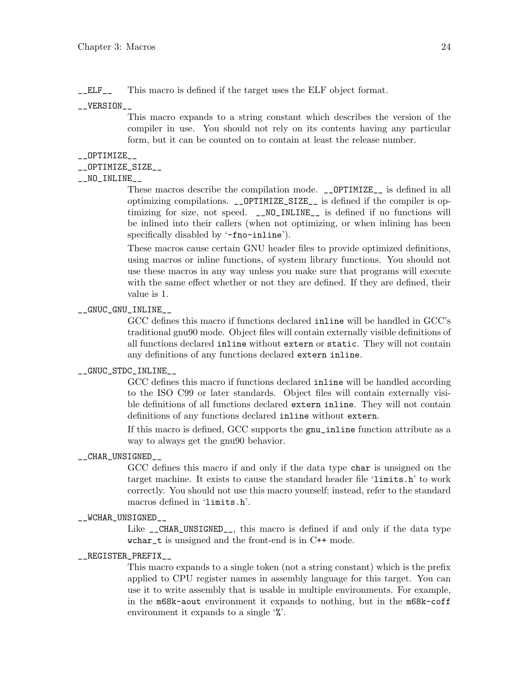\_\_ELF\_\_ This macro is defined if the target uses the ELF object format.

\_\_VERSION\_\_

This macro expands to a string constant which describes the version of the compiler in use. You should not rely on its contents having any particular form, but it can be counted on to contain at least the release number.

\_\_OPTIMIZE\_\_

#### \_\_OPTIMIZE\_SIZE\_\_

\_\_NO\_INLINE\_\_

These macros describe the compilation mode. \_\_OPTIMIZE\_\_ is defined in all optimizing compilations. \_\_OPTIMIZE\_SIZE\_\_ is defined if the compiler is optimizing for size, not speed. \_\_NO\_INLINE\_\_ is defined if no functions will be inlined into their callers (when not optimizing, or when inlining has been specifically disabled by '-fno-inline').

These macros cause certain GNU header files to provide optimized definitions, using macros or inline functions, of system library functions. You should not use these macros in any way unless you make sure that programs will execute with the same effect whether or not they are defined. If they are defined, their value is 1.

#### \_\_GNUC\_GNU\_INLINE\_\_

GCC defines this macro if functions declared inline will be handled in GCC's traditional gnu90 mode. Object files will contain externally visible definitions of all functions declared inline without extern or static. They will not contain any definitions of any functions declared extern inline.

#### \_\_GNUC\_STDC\_INLINE\_\_

GCC defines this macro if functions declared inline will be handled according to the ISO C99 or later standards. Object files will contain externally visible definitions of all functions declared extern inline. They will not contain definitions of any functions declared inline without extern.

If this macro is defined, GCC supports the gnu\_inline function attribute as a way to always get the gnu90 behavior.

\_\_CHAR\_UNSIGNED\_\_

GCC defines this macro if and only if the data type char is unsigned on the target machine. It exists to cause the standard header file 'limits.h' to work correctly. You should not use this macro yourself; instead, refer to the standard macros defined in 'limits.h'.

#### \_\_WCHAR\_UNSIGNED\_\_

Like  $\text{\_}CHAR\text{\_}UNSIGNED\text{\_}$ , this macro is defined if and only if the data type wchar\_t is unsigned and the front-end is in C++ mode.

#### \_\_REGISTER\_PREFIX\_\_

This macro expands to a single token (not a string constant) which is the prefix applied to CPU register names in assembly language for this target. You can use it to write assembly that is usable in multiple environments. For example, in the m68k-aout environment it expands to nothing, but in the m68k-coff environment it expands to a single '%'.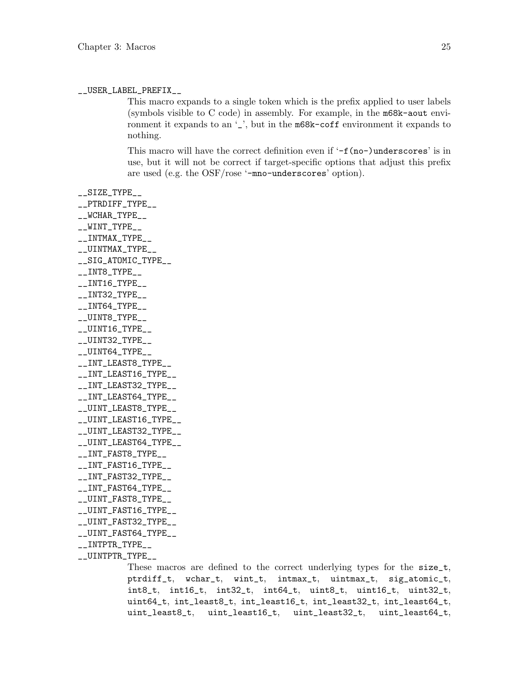#### \_\_USER\_LABEL\_PREFIX\_\_

This macro expands to a single token which is the prefix applied to user labels (symbols visible to C code) in assembly. For example, in the m68k-aout environment it expands to an '\_', but in the m68k-coff environment it expands to nothing.

This macro will have the correct definition even if  $\div f$  (no-)underscores' is in use, but it will not be correct if target-specific options that adjust this prefix are used (e.g. the OSF/rose '-mno-underscores' option).

\_\_SIZE\_TYPE\_\_ \_\_PTRDIFF\_TYPE\_\_ \_\_WCHAR\_TYPE\_\_ \_\_WINT\_TYPE\_\_ \_\_INTMAX\_TYPE\_\_ \_\_UINTMAX\_TYPE\_\_ \_\_SIG\_ATOMIC\_TYPE\_\_ \_\_INT8\_TYPE\_\_  $\_INT16$ <sup>TYPE</sup> $_{\rm -I}$ NT32\_TYPE\_\_ \_\_INT64\_TYPE\_\_ \_\_UINT8\_TYPE\_\_ \_\_UINT16\_TYPE\_\_ \_\_UINT32\_TYPE\_\_ \_\_UINT64\_TYPE\_\_ \_\_INT\_LEAST8\_TYPE\_\_ \_\_INT\_LEAST16\_TYPE\_\_ \_\_INT\_LEAST32\_TYPE\_\_ \_\_INT\_LEAST64\_TYPE\_\_ \_\_UINT\_LEAST8\_TYPE\_\_ \_\_UINT\_LEAST16\_TYPE\_\_ \_\_UINT\_LEAST32\_TYPE\_\_ \_\_UINT\_LEAST64\_TYPE\_\_ \_\_INT\_FAST8\_TYPE\_\_ \_\_INT\_FAST16\_TYPE\_\_ \_\_INT\_FAST32\_TYPE\_\_ \_\_INT\_FAST64\_TYPE\_\_ \_\_UINT\_FAST8\_TYPE\_\_ \_\_UINT\_FAST16\_TYPE\_\_ \_\_UINT\_FAST32\_TYPE\_\_ \_\_UINT\_FAST64\_TYPE\_\_ \_\_INTPTR\_TYPE\_\_ \_\_UINTPTR\_TYPE\_\_

These macros are defined to the correct underlying types for the size\_t, ptrdiff\_t, wchar\_t, wint\_t, intmax\_t, uintmax\_t, sig\_atomic\_t,  $int8_t$ ,  $int16_t$ ,  $int32_t$ ,  $int64_t$ ,  $uint8_t$ ,  $uint16_t$ ,  $uint32_t$ , uint64\_t, int\_least8\_t, int\_least16\_t, int\_least32\_t, int\_least64\_t, uint\_least8\_t, uint\_least16\_t, uint\_least32\_t, uint\_least64\_t,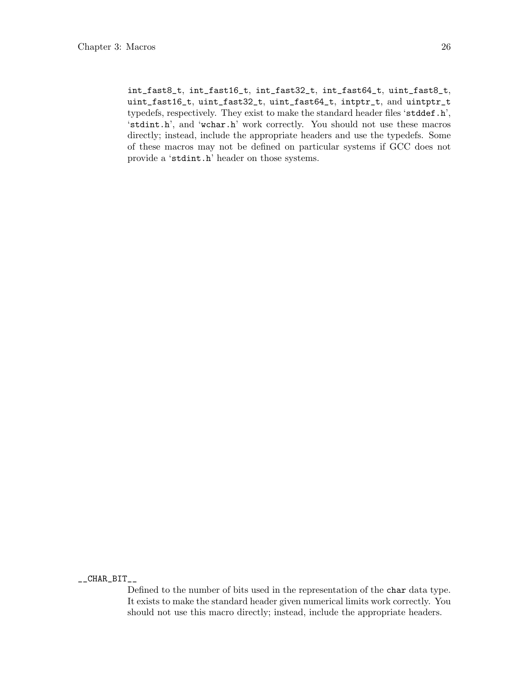int\_fast8\_t, int\_fast16\_t, int\_fast32\_t, int\_fast64\_t, uint\_fast8\_t, uint\_fast16\_t, uint\_fast32\_t, uint\_fast64\_t, intptr\_t, and uintptr\_t typedefs, respectively. They exist to make the standard header files 'stddef.h', 'stdint.h', and 'wchar.h' work correctly. You should not use these macros directly; instead, include the appropriate headers and use the typedefs. Some of these macros may not be defined on particular systems if GCC does not provide a 'stdint.h' header on those systems.

\_\_CHAR\_BIT\_\_

Defined to the number of bits used in the representation of the char data type. It exists to make the standard header given numerical limits work correctly. You should not use this macro directly; instead, include the appropriate headers.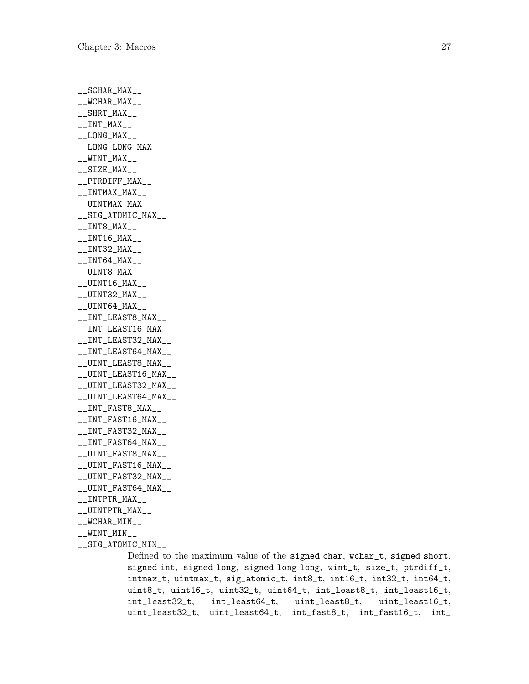\_\_SCHAR\_MAX\_\_ \_\_WCHAR\_MAX\_\_  $\n <sup>__</sup>$ SHRT $<sup>__</sup>$ MAX $<sup>__</sup>$ </sup></sup>  $\_INT\_MAX\_$ \_\_LONG\_MAX\_\_ \_\_LONG\_LONG\_MAX\_\_ \_\_WINT\_MAX\_\_  $_{\rm -}$ SIZE\_MAX $_{\rm -}$ \_\_PTRDIFF\_MAX\_\_ \_\_INTMAX\_MAX\_\_ \_\_UINTMAX\_MAX\_\_ \_\_SIG\_ATOMIC\_MAX\_\_  $\_INT8\_MAX\_$  $\_INT16$  $\_MAX$ <sub> $-$ </sub> \_\_INT32\_MAX\_\_  $\_INT64$ \_MAX $\_$ \_\_UINT8\_MAX\_\_  $\_$ UINT16\_MAX $\_$  $\_$ UINT32 $\_$ MAX $\_$  $\_$ UINT64 $\_$ MAX $\_$ \_\_INT\_LEAST8\_MAX\_\_ \_\_INT\_LEAST16\_MAX\_\_ \_\_INT\_LEAST32\_MAX\_\_ \_\_INT\_LEAST64\_MAX\_\_ \_\_UINT\_LEAST8\_MAX\_\_ \_\_UINT\_LEAST16\_MAX\_\_ \_\_UINT\_LEAST32\_MAX\_\_ \_\_UINT\_LEAST64\_MAX\_\_ \_\_INT\_FAST8\_MAX\_\_ \_\_INT\_FAST16\_MAX\_\_ \_\_INT\_FAST32\_MAX\_\_ \_\_INT\_FAST64\_MAX\_\_ \_\_UINT\_FAST8\_MAX\_\_ \_\_UINT\_FAST16\_MAX\_\_ \_\_UINT\_FAST32\_MAX\_\_ \_\_UINT\_FAST64\_MAX\_\_ \_\_INTPTR\_MAX\_\_ \_\_UINTPTR\_MAX\_\_ \_\_WCHAR\_MIN\_\_ \_\_WINT\_MIN\_\_ \_\_SIG\_ATOMIC\_MIN\_\_

Defined to the maximum value of the signed char, wchar\_t, signed short, signed int, signed long, signed long long, wint\_t, size\_t, ptrdiff\_t, intmax\_t, uintmax\_t, sig\_atomic\_t, int8\_t, int16\_t, int32\_t, int64\_t, uint8\_t, uint16\_t, uint32\_t, uint64\_t, int\_least8\_t, int\_least16\_t, int\_least32\_t, int\_least64\_t, uint\_least8\_t, uint\_least16\_t, uint\_least32\_t, uint\_least64\_t, int\_fast8\_t, int\_fast16\_t, int\_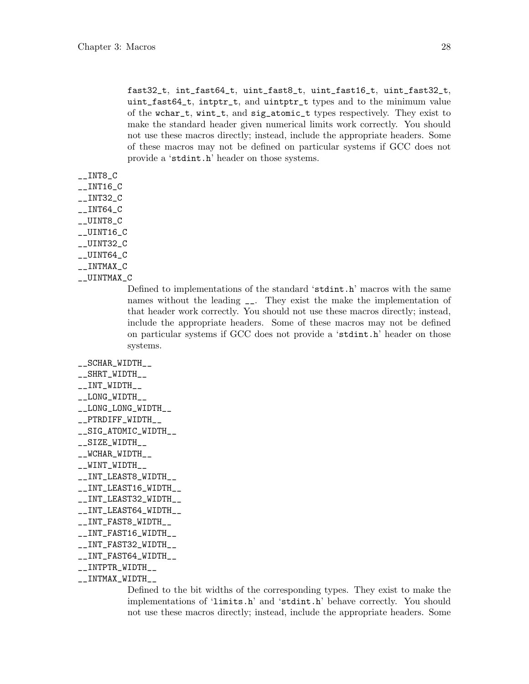fast32\_t, int\_fast64\_t, uint\_fast8\_t, uint\_fast16\_t, uint\_fast32\_t, uint\_fast64\_t, intptr\_t, and uintptr\_t types and to the minimum value of the wchar\_t, wint\_t, and sig\_atomic\_t types respectively. They exist to make the standard header given numerical limits work correctly. You should not use these macros directly; instead, include the appropriate headers. Some of these macros may not be defined on particular systems if GCC does not provide a 'stdint.h' header on those systems.

- $_{--}$ INT8\_C
- $\_INT16_C$
- $_{--}$ INT32\_C
- $_{-}$ INT64 $_{-}$ C
- \_\_UINT8\_C
- $\_$ UINT16 $\_$ C
- \_\_UINT32\_C
- $\_$ UINT64 $\_$ C
- 
- \_\_INTMAX\_C
- \_\_UINTMAX\_C

Defined to implementations of the standard 'stdint.h' macros with the same names without the leading  $\overline{\phantom{a}}$ . They exist the make the implementation of that header work correctly. You should not use these macros directly; instead, include the appropriate headers. Some of these macros may not be defined on particular systems if GCC does not provide a 'stdint.h' header on those systems.

\_\_SCHAR\_WIDTH\_\_

\_\_SHRT\_WIDTH\_\_  $\_$ INT\_WIDTH $\_$ \_\_LONG\_WIDTH\_\_ \_\_LONG\_LONG\_WIDTH\_\_ \_\_PTRDIFF\_WIDTH\_\_ \_\_SIG\_ATOMIC\_WIDTH\_\_ \_\_SIZE\_WIDTH\_\_ \_\_WCHAR\_WIDTH\_\_ \_\_WINT\_WIDTH\_\_ \_\_INT\_LEAST8\_WIDTH\_\_ \_\_INT\_LEAST16\_WIDTH\_\_ \_\_INT\_LEAST32\_WIDTH\_\_ \_\_INT\_LEAST64\_WIDTH\_\_  $\_$ INT\_FAST8\_WIDTH $\_$ \_\_INT\_FAST16\_WIDTH\_\_ \_\_INT\_FAST32\_WIDTH\_\_ \_\_INT\_FAST64\_WIDTH\_\_ \_\_INTPTR\_WIDTH\_\_ \_\_INTMAX\_WIDTH\_\_

> Defined to the bit widths of the corresponding types. They exist to make the implementations of 'limits.h' and 'stdint.h' behave correctly. You should not use these macros directly; instead, include the appropriate headers. Some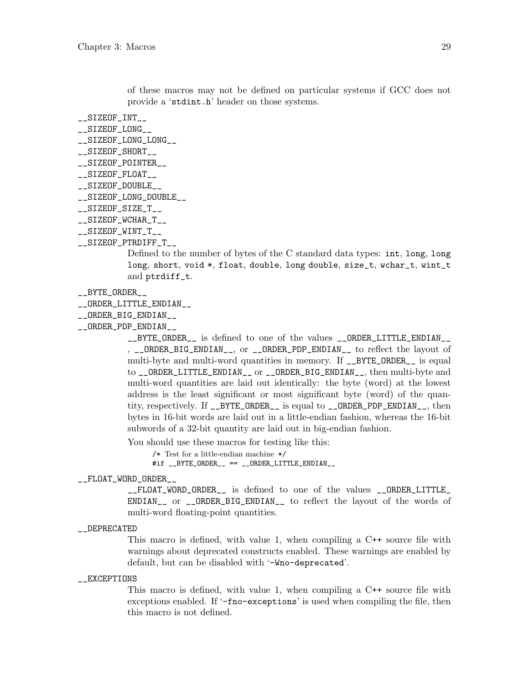of these macros may not be defined on particular systems if GCC does not provide a 'stdint.h' header on those systems.

\_\_SIZEOF\_INT\_\_

- \_\_SIZEOF\_LONG\_\_
- \_\_SIZEOF\_LONG\_LONG\_\_
- \_\_SIZEOF\_SHORT\_\_
- \_\_SIZEOF\_POINTER\_\_
- \_\_SIZEOF\_FLOAT\_\_
- \_\_SIZEOF\_DOUBLE\_\_
- \_\_SIZEOF\_LONG\_DOUBLE\_\_
- \_\_SIZEOF\_SIZE\_T\_\_
- \_\_SIZEOF\_WCHAR\_T\_\_
- \_\_SIZEOF\_WINT\_T\_\_
- \_\_SIZEOF\_PTRDIFF\_T\_\_

Defined to the number of bytes of the C standard data types: int, long, long long, short, void \*, float, double, long double, size\_t, wchar\_t, wint\_t and ptrdiff\_t.

#### \_\_BYTE\_ORDER\_\_

- \_\_ORDER\_LITTLE\_ENDIAN\_\_
- \_\_ORDER\_BIG\_ENDIAN\_\_
- \_\_ORDER\_PDP\_ENDIAN\_\_

\_\_BYTE\_ORDER\_\_ is defined to one of the values \_\_ORDER\_LITTLE\_ENDIAN\_\_ , \_\_ORDER\_BIG\_ENDIAN\_\_, or \_\_ORDER\_PDP\_ENDIAN\_\_ to reflect the layout of multi-byte and multi-word quantities in memory. If \_\_BYTE\_ORDER\_\_ is equal to \_\_ORDER\_LITTLE\_ENDIAN\_\_ or \_\_ORDER\_BIG\_ENDIAN\_\_, then multi-byte and multi-word quantities are laid out identically: the byte (word) at the lowest address is the least significant or most significant byte (word) of the quantity, respectively. If \_\_BYTE\_ORDER\_\_ is equal to \_\_ORDER\_PDP\_ENDIAN\_\_, then bytes in 16-bit words are laid out in a little-endian fashion, whereas the 16-bit subwords of a 32-bit quantity are laid out in big-endian fashion.

You should use these macros for testing like this:

```
/* Test for a little-endian machine */
#if __BYTE_ORDER__ == __ORDER_LITTLE_ENDIAN__
```
#### \_\_FLOAT\_WORD\_ORDER\_\_

\_\_FLOAT\_WORD\_ORDER\_\_ is defined to one of the values \_\_ORDER\_LITTLE\_ ENDIAN\_\_ or \_\_ORDER\_BIG\_ENDIAN\_\_ to reflect the layout of the words of multi-word floating-point quantities.

#### \_\_DEPRECATED

This macro is defined, with value 1, when compiling a C++ source file with warnings about deprecated constructs enabled. These warnings are enabled by default, but can be disabled with '-Wno-deprecated'.

#### \_\_EXCEPTIONS

This macro is defined, with value 1, when compiling a  $C^{++}$  source file with exceptions enabled. If '-fno-exceptions' is used when compiling the file, then this macro is not defined.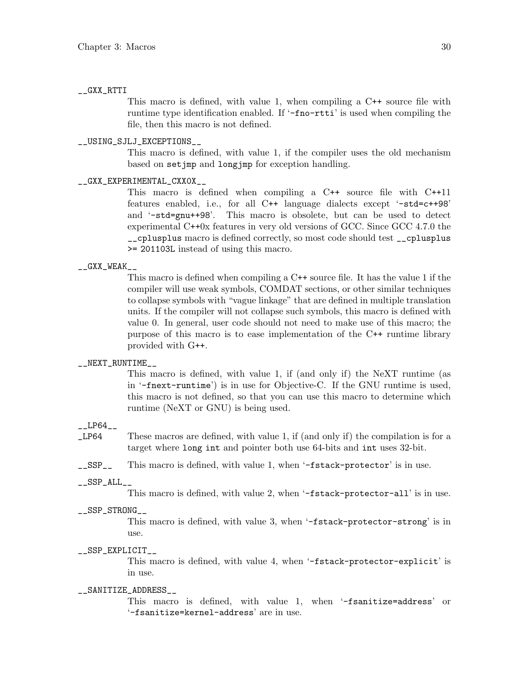#### \_\_GXX\_RTTI

This macro is defined, with value 1, when compiling a C++ source file with runtime type identification enabled. If '-fno-rtti' is used when compiling the file, then this macro is not defined.

#### \_\_USING\_SJLJ\_EXCEPTIONS\_\_

This macro is defined, with value 1, if the compiler uses the old mechanism based on setjmp and longjmp for exception handling.

#### \_\_GXX\_EXPERIMENTAL\_CXX0X\_\_

This macro is defined when compiling a C++ source file with C++11 features enabled, i.e., for all C++ language dialects except '-std=c++98' and '-std=gnu++98'. This macro is obsolete, but can be used to detect experimental C++0x features in very old versions of GCC. Since GCC 4.7.0 the \_\_cplusplus macro is defined correctly, so most code should test \_\_cplusplus >= 201103L instead of using this macro.

#### $_{\rm -\_GXX\_WEAK\_\_}$

This macro is defined when compiling a C++ source file. It has the value 1 if the compiler will use weak symbols, COMDAT sections, or other similar techniques to collapse symbols with "vague linkage" that are defined in multiple translation units. If the compiler will not collapse such symbols, this macro is defined with value 0. In general, user code should not need to make use of this macro; the purpose of this macro is to ease implementation of the C++ runtime library provided with G++.

#### \_\_NEXT\_RUNTIME\_\_

This macro is defined, with value 1, if (and only if) the NeXT runtime (as in '-fnext-runtime') is in use for Objective-C. If the GNU runtime is used, this macro is not defined, so that you can use this macro to determine which runtime (NeXT or GNU) is being used.

#### $-LP64$ <sub>--</sub>

- \_LP64 These macros are defined, with value 1, if (and only if) the compilation is for a target where long int and pointer both use 64-bits and int uses 32-bit.
- \_\_SSP\_\_ This macro is defined, with value 1, when '-fstack-protector' is in use.

#### \_\_SSP\_ALL\_\_

This macro is defined, with value 2, when '-fstack-protector-all' is in use.

#### \_\_SSP\_STRONG\_\_

This macro is defined, with value 3, when '-fstack-protector-strong' is in use.

#### \_\_SSP\_EXPLICIT\_\_

This macro is defined, with value 4, when '-fstack-protector-explicit' is in use.

#### \_\_SANITIZE\_ADDRESS\_\_

This macro is defined, with value 1, when '-fsanitize=address' or '-fsanitize=kernel-address' are in use.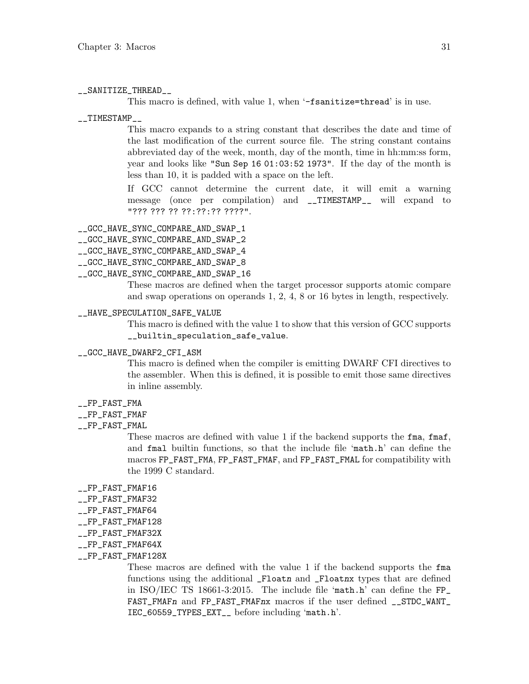#### \_\_SANITIZE\_THREAD\_\_

This macro is defined, with value 1, when  $-$ fsanitize=thread' is in use.

#### \_\_TIMESTAMP\_\_

This macro expands to a string constant that describes the date and time of the last modification of the current source file. The string constant contains abbreviated day of the week, month, day of the month, time in hh:mm:ss form, year and looks like "Sun Sep 16 01:03:52 1973". If the day of the month is less than 10, it is padded with a space on the left.

If GCC cannot determine the current date, it will emit a warning message (once per compilation) and \_\_TIMESTAMP\_\_ will expand to "??? ??? ?? ??:??:?? ????".

## \_\_GCC\_HAVE\_SYNC\_COMPARE\_AND\_SWAP\_1

\_\_GCC\_HAVE\_SYNC\_COMPARE\_AND\_SWAP\_2

\_\_GCC\_HAVE\_SYNC\_COMPARE\_AND\_SWAP\_4

\_\_GCC\_HAVE\_SYNC\_COMPARE\_AND\_SWAP\_8

#### \_\_GCC\_HAVE\_SYNC\_COMPARE\_AND\_SWAP\_16

These macros are defined when the target processor supports atomic compare and swap operations on operands 1, 2, 4, 8 or 16 bytes in length, respectively.

#### \_\_HAVE\_SPECULATION\_SAFE\_VALUE

This macro is defined with the value 1 to show that this version of GCC supports \_\_builtin\_speculation\_safe\_value.

#### \_\_GCC\_HAVE\_DWARF2\_CFI\_ASM

This macro is defined when the compiler is emitting DWARF CFI directives to the assembler. When this is defined, it is possible to emit those same directives in inline assembly.

#### \_\_FP\_FAST\_FMA

- \_\_FP\_FAST\_FMAF
- \_\_FP\_FAST\_FMAL

These macros are defined with value 1 if the backend supports the fma, fmaf, and fmal builtin functions, so that the include file 'math.h' can define the macros FP\_FAST\_FMA, FP\_FAST\_FMAF, and FP\_FAST\_FMAL for compatibility with the 1999 C standard.

### \_\_FP\_FAST\_FMAF16

- \_\_FP\_FAST\_FMAF32
- \_\_FP\_FAST\_FMAF64
- \_\_FP\_FAST\_FMAF128
- \_\_FP\_FAST\_FMAF32X
- \_\_FP\_FAST\_FMAF64X
- \_\_FP\_FAST\_FMAF128X

These macros are defined with the value 1 if the backend supports the fma functions using the additional \_Floatn and \_Floatnx types that are defined in ISO/IEC TS 18661-3:2015. The include file 'math.h' can define the FP\_ FAST\_FMAFn and FP\_FAST\_FMAFnx macros if the user defined \_\_STDC\_WANT\_ IEC\_60559\_TYPES\_EXT\_\_ before including 'math.h'.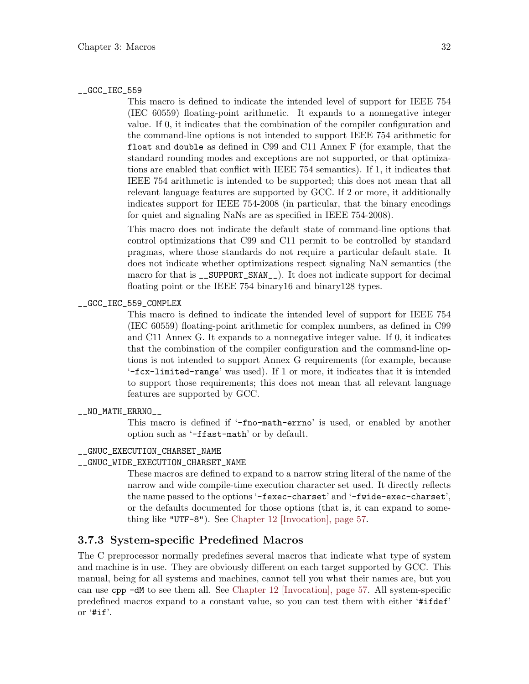### \_\_GCC\_IEC\_559

This macro is defined to indicate the intended level of support for IEEE 754 (IEC 60559) floating-point arithmetic. It expands to a nonnegative integer value. If 0, it indicates that the combination of the compiler configuration and the command-line options is not intended to support IEEE 754 arithmetic for float and double as defined in C99 and C11 Annex F (for example, that the standard rounding modes and exceptions are not supported, or that optimizations are enabled that conflict with IEEE 754 semantics). If 1, it indicates that IEEE 754 arithmetic is intended to be supported; this does not mean that all relevant language features are supported by GCC. If 2 or more, it additionally indicates support for IEEE 754-2008 (in particular, that the binary encodings for quiet and signaling NaNs are as specified in IEEE 754-2008).

This macro does not indicate the default state of command-line options that control optimizations that C99 and C11 permit to be controlled by standard pragmas, where those standards do not require a particular default state. It does not indicate whether optimizations respect signaling NaN semantics (the macro for that is \_\_SUPPORT\_SNAN\_\_). It does not indicate support for decimal floating point or the IEEE 754 binary16 and binary128 types.

\_\_GCC\_IEC\_559\_COMPLEX

This macro is defined to indicate the intended level of support for IEEE 754 (IEC 60559) floating-point arithmetic for complex numbers, as defined in C99 and C11 Annex G. It expands to a nonnegative integer value. If 0, it indicates that the combination of the compiler configuration and the command-line options is not intended to support Annex G requirements (for example, because '-fcx-limited-range' was used). If 1 or more, it indicates that it is intended to support those requirements; this does not mean that all relevant language features are supported by GCC.

\_\_NO\_MATH\_ERRNO\_\_

This macro is defined if '-fno-math-errno' is used, or enabled by another option such as '-ffast-math' or by default.

### \_\_GNUC\_EXECUTION\_CHARSET\_NAME

## \_\_GNUC\_WIDE\_EXECUTION\_CHARSET\_NAME

These macros are defined to expand to a narrow string literal of the name of the narrow and wide compile-time execution character set used. It directly reflects the name passed to the options '-fexec-charset' and '-fwide-exec-charset', or the defaults documented for those options (that is, it can expand to something like "UTF-8"). See [Chapter 12 \[Invocation\], page 57.](#page-61-0)

## <span id="page-36-0"></span>3.7.3 System-specific Predefined Macros

The C preprocessor normally predefines several macros that indicate what type of system and machine is in use. They are obviously different on each target supported by GCC. This manual, being for all systems and machines, cannot tell you what their names are, but you can use cpp -dM to see them all. See [Chapter 12 \[Invocation\], page 57](#page-61-0). All system-specific predefined macros expand to a constant value, so you can test them with either '#ifdef' or '#if'.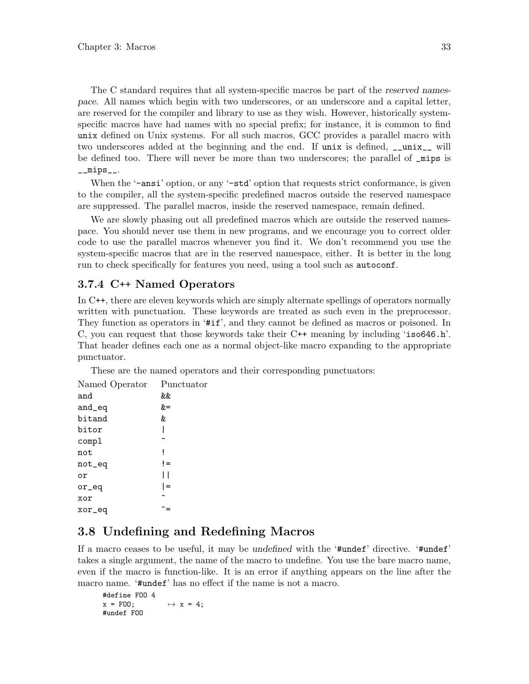The C standard requires that all system-specific macros be part of the reserved namespace. All names which begin with two underscores, or an underscore and a capital letter, are reserved for the compiler and library to use as they wish. However, historically systemspecific macros have had names with no special prefix; for instance, it is common to find unix defined on Unix systems. For all such macros, GCC provides a parallel macro with two underscores added at the beginning and the end. If unix is defined, \_\_unix\_\_ will be defined too. There will never be more than two underscores; the parallel of  $\text{__mips}$  is \_\_mips\_\_.

When the '-ansi' option, or any '-std' option that requests strict conformance, is given to the compiler, all the system-specific predefined macros outside the reserved namespace are suppressed. The parallel macros, inside the reserved namespace, remain defined.

We are slowly phasing out all predefined macros which are outside the reserved namespace. You should never use them in new programs, and we encourage you to correct older code to use the parallel macros whenever you find it. We don't recommend you use the system-specific macros that are in the reserved namespace, either. It is better in the long run to check specifically for features you need, using a tool such as autoconf.

## 3.7.4 C++ Named Operators

In C++, there are eleven keywords which are simply alternate spellings of operators normally written with punctuation. These keywords are treated as such even in the preprocessor. They function as operators in '#if', and they cannot be defined as macros or poisoned. In C, you can request that those keywords take their C++ meaning by including 'iso646.h'. That header defines each one as a normal object-like macro expanding to the appropriate punctuator.

These are the named operators and their corresponding punctuators:

| Named Operator | Punctuator |
|----------------|------------|
| and            | &&         |
| and_eq         | &=         |
| bitand         | &          |
| bitor          |            |
| compl          |            |
| not            | Î          |
| not_eq         | ! =        |
| or             |            |
| $or_{eq}$      | l =        |
| xor            |            |
| xor_eq         | `=         |
|                |            |

## 3.8 Undefining and Redefining Macros

If a macro ceases to be useful, it may be undefined with the '#undef' directive. '#undef' takes a single argument, the name of the macro to undefine. You use the bare macro name, even if the macro is function-like. It is an error if anything appears on the line after the macro name. '#undef' has no effect if the name is not a macro.

#define FOO 4  $x = F00$ ;  $\rightarrow x = 4$ ; #undef FOO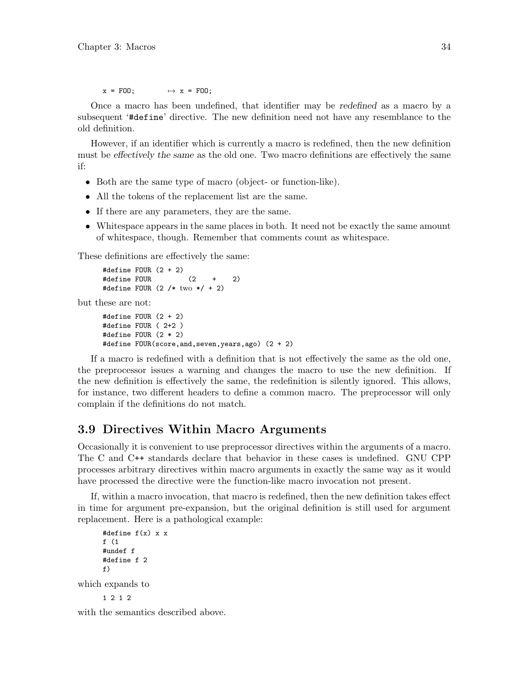$x = F00$ ;  $\rightarrow x = F00$ ;

Once a macro has been undefined, that identifier may be redefined as a macro by a subsequent '#define' directive. The new definition need not have any resemblance to the old definition.

However, if an identifier which is currently a macro is redefined, then the new definition must be effectively the same as the old one. Two macro definitions are effectively the same if:

- Both are the same type of macro (object- or function-like).
- All the tokens of the replacement list are the same.
- If there are any parameters, they are the same.
- White space appears in the same places in both. It need not be exactly the same amount of whitespace, though. Remember that comments count as whitespace.

These definitions are effectively the same:

```
#define FOUR (2 + 2)
\text{\#define} FOUR (2 + 2)#define FOUR (2 / * two * / + 2)
```
but these are not:

```
#define FOUR (2 + 2)
#define FOUR ( 2+2 )
#define FOUR (2 * 2)
#define FOUR(score,and,seven,years,ago) (2 + 2)
```
If a macro is redefined with a definition that is not effectively the same as the old one, the preprocessor issues a warning and changes the macro to use the new definition. If the new definition is effectively the same, the redefinition is silently ignored. This allows, for instance, two different headers to define a common macro. The preprocessor will only complain if the definitions do not match.

## 3.9 Directives Within Macro Arguments

Occasionally it is convenient to use preprocessor directives within the arguments of a macro. The C and C++ standards declare that behavior in these cases is undefined. GNU CPP processes arbitrary directives within macro arguments in exactly the same way as it would have processed the directive were the function-like macro invocation not present.

If, within a macro invocation, that macro is redefined, then the new definition takes effect in time for argument pre-expansion, but the original definition is still used for argument replacement. Here is a pathological example:

```
#define f(x) x x
f (1
#undef f
#define f 2
f)
```
which expands to

1 2 1 2

with the semantics described above.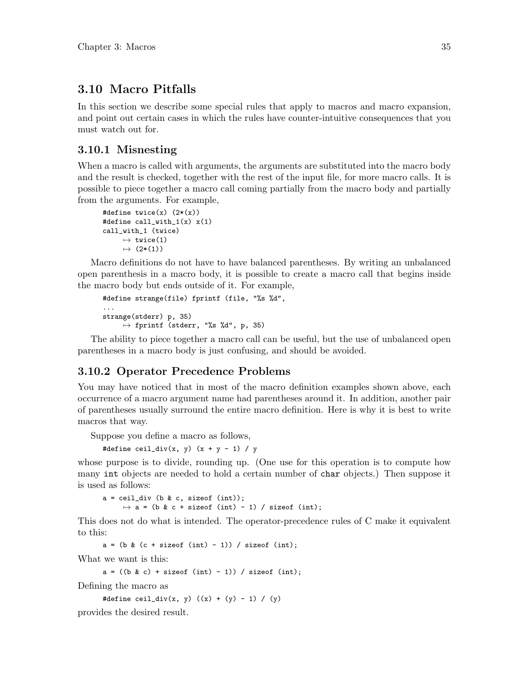# 3.10 Macro Pitfalls

In this section we describe some special rules that apply to macros and macro expansion, and point out certain cases in which the rules have counter-intuitive consequences that you must watch out for.

## 3.10.1 Misnesting

When a macro is called with arguments, the arguments are substituted into the macro body and the result is checked, together with the rest of the input file, for more macro calls. It is possible to piece together a macro call coming partially from the macro body and partially from the arguments. For example,

```
#define twice(x) (2*(x))#define call with 1(x) x(1)call_with_1 (twice)
     \mapsto twice(1)
     \mapsto (2*(1))
```
Macro definitions do not have to have balanced parentheses. By writing an unbalanced open parenthesis in a macro body, it is possible to create a macro call that begins inside the macro body but ends outside of it. For example,

```
#define strange(file) fprintf (file, "%s %d",
...
strange(stderr) p, 35)
     \mapsto fprintf (stderr, "%s %d", p, 35)
```
The ability to piece together a macro call can be useful, but the use of unbalanced open parentheses in a macro body is just confusing, and should be avoided.

## 3.10.2 Operator Precedence Problems

You may have noticed that in most of the macro definition examples shown above, each occurrence of a macro argument name had parentheses around it. In addition, another pair of parentheses usually surround the entire macro definition. Here is why it is best to write macros that way.

Suppose you define a macro as follows,

```
#define ceil_div(x, y) (x + y - 1) / y
```
whose purpose is to divide, rounding up. (One use for this operation is to compute how many int objects are needed to hold a certain number of char objects.) Then suppose it is used as follows:

```
a = ceil_div (b & c, sizeof (int));
     \mapsto a = (b & c + sizeof (int) - 1) / sizeof (int);
```
This does not do what is intended. The operator-precedence rules of C make it equivalent to this:

 $a = (b \& (c + size of (int) - 1)) / size of (int);$ 

What we want is this:

```
a = ((b & c) + sizeof (int) - 1)) / sizeof (int);
```
Defining the macro as

```
#define ceil_div(x, y) ((x) + (y) - 1) / (y)
```
provides the desired result.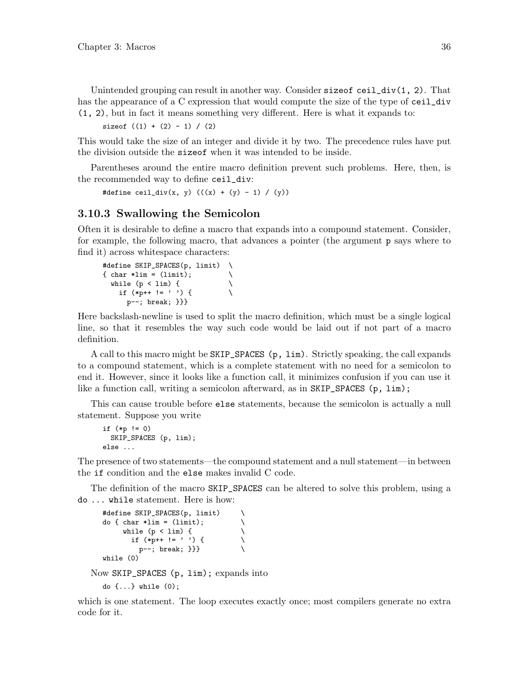Unintended grouping can result in another way. Consider sizeof ceil\_div(1, 2). That has the appearance of a C expression that would compute the size of the type of ceil\_div (1, 2), but in fact it means something very different. Here is what it expands to:

sizeof  $((1) + (2) - 1) / (2)$ 

This would take the size of an integer and divide it by two. The precedence rules have put the division outside the sizeof when it was intended to be inside.

Parentheses around the entire macro definition prevent such problems. Here, then, is the recommended way to define ceil\_div:

#define ceil\_div(x, y)  $(((x) + (y) - 1) / (y))$ 

## 3.10.3 Swallowing the Semicolon

Often it is desirable to define a macro that expands into a compound statement. Consider, for example, the following macro, that advances a pointer (the argument p says where to find it) across whitespace characters:

```
#define SKIP_SPACES(p, limit) \
{ char *lim = (limit);
 while (p < lim) { \qquad \qquad \backslashif (*p++ != ' ' ) {
     p--; break; }}}
```
Here backslash-newline is used to split the macro definition, which must be a single logical line, so that it resembles the way such code would be laid out if not part of a macro definition.

A call to this macro might be SKIP\_SPACES (p, lim). Strictly speaking, the call expands to a compound statement, which is a complete statement with no need for a semicolon to end it. However, since it looks like a function call, it minimizes confusion if you can use it like a function call, writing a semicolon afterward, as in SKIP\_SPACES (p, lim);

This can cause trouble before else statements, because the semicolon is actually a null statement. Suppose you write

```
if (*p != 0)
  SKIP_SPACES (p, lim);
else ...
```
The presence of two statements—the compound statement and a null statement—in between the if condition and the else makes invalid C code.

The definition of the macro SKIP\_SPACES can be altered to solve this problem, using a do ... while statement. Here is how:

```
#define SKIP_SPACES(p, limit) \
  do { char *lim = (limit);while (p < lim) { \qquad \qquad \backslashif (*p++ != ' ' ) {
           p--; break; }}} \
  while (0)
Now SKIP_SPACES (p, lim); expands into
  do {...} while (0);
```
which is one statement. The loop executes exactly once; most compilers generate no extra code for it.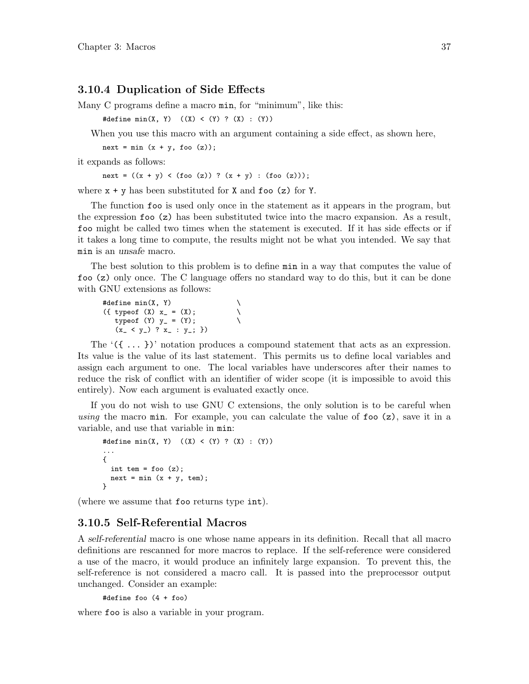## 3.10.4 Duplication of Side Effects

Many C programs define a macro min, for "minimum", like this:

#define  $min(X, Y)$  ( $(X) < (Y)$  ?  $(X)$  :  $(Y)$ )

When you use this macro with an argument containing a side effect, as shown here,

 $next = min(x + y, foo (z));$ 

it expands as follows:

next =  $((x + y) < (foo (z)) ? (x + y) : (foo (z)));$ 

where  $x + y$  has been substituted for X and foo (z) for Y.

The function foo is used only once in the statement as it appears in the program, but the expression foo (z) has been substituted twice into the macro expansion. As a result, foo might be called two times when the statement is executed. If it has side effects or if it takes a long time to compute, the results might not be what you intended. We say that min is an unsafe macro.

The best solution to this problem is to define min in a way that computes the value of foo (z) only once. The C language offers no standard way to do this, but it can be done with GNU extensions as follows:

```
#define min(X, Y) \qquad \qquad \backslash<br>
(\lbrace \text{ typeof } (X) \times_{-} = (X); \qquad \qquad \backslash<br>
\qquad \qquad \text{ typeof } (Y) \times_{-} = (Y); \qquad \qquad \backslash({ typeof (X) x_ - = (X);
        typeof (Y) y = (Y);
        (x_ - < y_ -) ? x_ - : y_ -; })
```
The '({ ... })' notation produces a compound statement that acts as an expression. Its value is the value of its last statement. This permits us to define local variables and assign each argument to one. The local variables have underscores after their names to reduce the risk of conflict with an identifier of wider scope (it is impossible to avoid this entirely). Now each argument is evaluated exactly once.

If you do not wish to use GNU C extensions, the only solution is to be careful when using the macro min. For example, you can calculate the value of foo  $(z)$ , save it in a variable, and use that variable in min:

```
#define min(X, Y) ((X) < (Y) ? (X) : (Y))
...
{
 int tem = foo (z);
 next = min (x + y, tem);\mathbf{I}
```
(where we assume that foo returns type int).

## <span id="page-41-0"></span>3.10.5 Self-Referential Macros

A self-referential macro is one whose name appears in its definition. Recall that all macro definitions are rescanned for more macros to replace. If the self-reference were considered a use of the macro, it would produce an infinitely large expansion. To prevent this, the self-reference is not considered a macro call. It is passed into the preprocessor output unchanged. Consider an example:

#define foo (4 + foo)

where foo is also a variable in your program.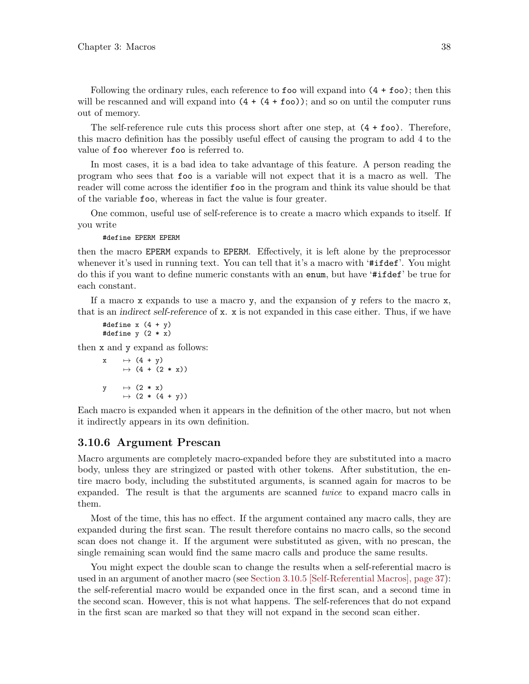Following the ordinary rules, each reference to foo will expand into (4 + foo); then this will be rescanned and will expand into  $(4 + (4 + f_{00}))$ ; and so on until the computer runs out of memory.

The self-reference rule cuts this process short after one step, at  $(4 + f\omega)$ . Therefore, this macro definition has the possibly useful effect of causing the program to add 4 to the value of foo wherever foo is referred to.

In most cases, it is a bad idea to take advantage of this feature. A person reading the program who sees that foo is a variable will not expect that it is a macro as well. The reader will come across the identifier foo in the program and think its value should be that of the variable foo, whereas in fact the value is four greater.

One common, useful use of self-reference is to create a macro which expands to itself. If you write

#### #define EPERM EPERM

then the macro EPERM expands to EPERM. Effectively, it is left alone by the preprocessor whenever it's used in running text. You can tell that it's a macro with '#ifdef'. You might do this if you want to define numeric constants with an enum, but have '#ifdef' be true for each constant.

If a macro x expands to use a macro y, and the expansion of y refers to the macro  $x$ , that is an indirect self-reference of x. x is not expanded in this case either. Thus, if we have

#define  $x$   $(4 + y)$ #define y (2 \* x)

then x and y expand as follows:

$$
x \rightarrow (4 + y)
$$
  
\n
$$
\rightarrow (4 + (2 * x))
$$
  
\n
$$
y \rightarrow (2 * x)
$$
  
\n
$$
\rightarrow (2 * (4 + y))
$$

Each macro is expanded when it appears in the definition of the other macro, but not when it indirectly appears in its own definition.

## 3.10.6 Argument Prescan

Macro arguments are completely macro-expanded before they are substituted into a macro body, unless they are stringized or pasted with other tokens. After substitution, the entire macro body, including the substituted arguments, is scanned again for macros to be expanded. The result is that the arguments are scanned *twice* to expand macro calls in them.

Most of the time, this has no effect. If the argument contained any macro calls, they are expanded during the first scan. The result therefore contains no macro calls, so the second scan does not change it. If the argument were substituted as given, with no prescan, the single remaining scan would find the same macro calls and produce the same results.

You might expect the double scan to change the results when a self-referential macro is used in an argument of another macro (see [Section 3.10.5 \[Self-Referential Macros\], page 37\)](#page-41-0): the self-referential macro would be expanded once in the first scan, and a second time in the second scan. However, this is not what happens. The self-references that do not expand in the first scan are marked so that they will not expand in the second scan either.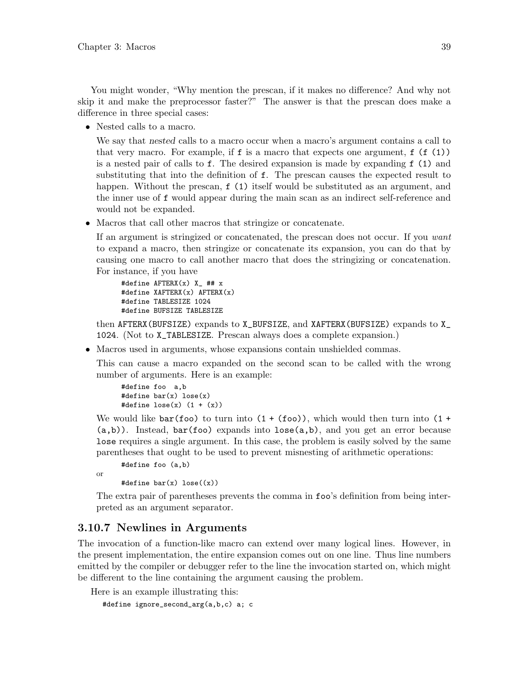You might wonder, "Why mention the prescan, if it makes no difference? And why not skip it and make the preprocessor faster?" The answer is that the prescan does make a difference in three special cases:

• Nested calls to a macro.

We say that nested calls to a macro occur when a macro's argument contains a call to that very macro. For example, if  $f$  is a macro that expects one argument,  $f(f(1))$ is a nested pair of calls to f. The desired expansion is made by expanding f (1) and substituting that into the definition of f. The prescan causes the expected result to happen. Without the prescan,  $f(1)$  itself would be substituted as an argument, and the inner use of f would appear during the main scan as an indirect self-reference and would not be expanded.

• Macros that call other macros that stringize or concatenate.

If an argument is stringized or concatenated, the prescan does not occur. If you want to expand a macro, then stringize or concatenate its expansion, you can do that by causing one macro to call another macro that does the stringizing or concatenation. For instance, if you have

```
#define AFTERX(x) X ## x
#define XAFTERX(x) AFTERX(x)
#define TABLESIZE 1024
#define BUFSIZE TABLESIZE
```
then AFTERX(BUFSIZE) expands to X\_BUFSIZE, and XAFTERX(BUFSIZE) expands to X\_ 1024. (Not to X\_TABLESIZE. Prescan always does a complete expansion.)

• Macros used in arguments, whose expansions contain unshielded commas.

This can cause a macro expanded on the second scan to be called with the wrong number of arguments. Here is an example:

```
#define foo a,b
#define bar(x) lose(x)#define \text{lose}(x) (1 + (x))
```
We would like  $bar(f\circ o)$  to turn into  $(1 + (f\circ o))$ , which would then turn into  $(1 +$  $(a,b)$ ). Instead, bar(foo) expands into  $lose(a,b)$ , and you get an error because lose requires a single argument. In this case, the problem is easily solved by the same parentheses that ought to be used to prevent misnesting of arithmetic operations:

```
#define foo (a,b)
```
or

#define  $bar(x)$  lose $((x))$ 

The extra pair of parentheses prevents the comma in foo's definition from being interpreted as an argument separator.

## 3.10.7 Newlines in Arguments

The invocation of a function-like macro can extend over many logical lines. However, in the present implementation, the entire expansion comes out on one line. Thus line numbers emitted by the compiler or debugger refer to the line the invocation started on, which might be different to the line containing the argument causing the problem.

Here is an example illustrating this:

```
#define ignore_second_arg(a,b,c) a; c
```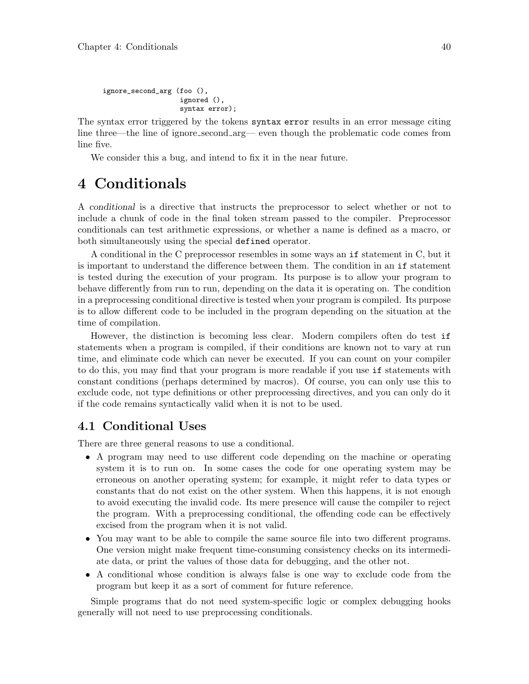```
ignore_second_arg (foo (),
                   ignored (),
                   syntax error);
```
The syntax error triggered by the tokens syntax error results in an error message citing line three—the line of ignore second arg— even though the problematic code comes from line five.

We consider this a bug, and intend to fix it in the near future.

# 4 Conditionals

A conditional is a directive that instructs the preprocessor to select whether or not to include a chunk of code in the final token stream passed to the compiler. Preprocessor conditionals can test arithmetic expressions, or whether a name is defined as a macro, or both simultaneously using the special defined operator.

A conditional in the C preprocessor resembles in some ways an if statement in C, but it is important to understand the difference between them. The condition in an if statement is tested during the execution of your program. Its purpose is to allow your program to behave differently from run to run, depending on the data it is operating on. The condition in a preprocessing conditional directive is tested when your program is compiled. Its purpose is to allow different code to be included in the program depending on the situation at the time of compilation.

However, the distinction is becoming less clear. Modern compilers often do test if statements when a program is compiled, if their conditions are known not to vary at run time, and eliminate code which can never be executed. If you can count on your compiler to do this, you may find that your program is more readable if you use if statements with constant conditions (perhaps determined by macros). Of course, you can only use this to exclude code, not type definitions or other preprocessing directives, and you can only do it if the code remains syntactically valid when it is not to be used.

## 4.1 Conditional Uses

There are three general reasons to use a conditional.

- A program may need to use different code depending on the machine or operating system it is to run on. In some cases the code for one operating system may be erroneous on another operating system; for example, it might refer to data types or constants that do not exist on the other system. When this happens, it is not enough to avoid executing the invalid code. Its mere presence will cause the compiler to reject the program. With a preprocessing conditional, the offending code can be effectively excised from the program when it is not valid.
- You may want to be able to compile the same source file into two different programs. One version might make frequent time-consuming consistency checks on its intermediate data, or print the values of those data for debugging, and the other not.
- A conditional whose condition is always false is one way to exclude code from the program but keep it as a sort of comment for future reference.

Simple programs that do not need system-specific logic or complex debugging hooks generally will not need to use preprocessing conditionals.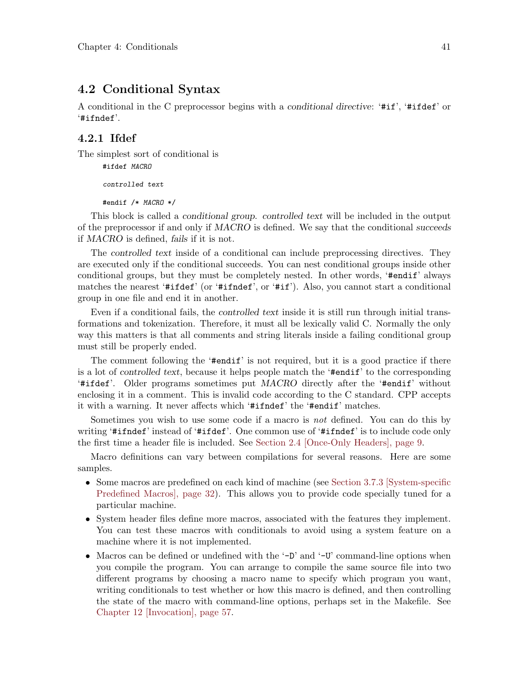## 4.2 Conditional Syntax

A conditional in the C preprocessor begins with a conditional directive: '#if', '#ifdef' or '#ifndef'.

## 4.2.1 Ifdef

The simplest sort of conditional is

```
#ifdef MACRO
```
controlled text

#endif /\* MACRO \*/

This block is called a conditional group. controlled text will be included in the output of the preprocessor if and only if MACRO is defined. We say that the conditional succeeds if MACRO is defined, fails if it is not.

The controlled text inside of a conditional can include preprocessing directives. They are executed only if the conditional succeeds. You can nest conditional groups inside other conditional groups, but they must be completely nested. In other words, '#endif' always matches the nearest '#ifdef' (or '#ifndef', or '#if'). Also, you cannot start a conditional group in one file and end it in another.

Even if a conditional fails, the controlled text inside it is still run through initial transformations and tokenization. Therefore, it must all be lexically valid C. Normally the only way this matters is that all comments and string literals inside a failing conditional group must still be properly ended.

The comment following the '#endif' is not required, but it is a good practice if there is a lot of controlled text, because it helps people match the '#endif' to the corresponding '#ifdef'. Older programs sometimes put MACRO directly after the '#endif' without enclosing it in a comment. This is invalid code according to the C standard. CPP accepts it with a warning. It never affects which '#ifndef' the '#endif' matches.

Sometimes you wish to use some code if a macro is not defined. You can do this by writing '#ifndef' instead of '#ifdef'. One common use of '#ifndef' is to include code only the first time a header file is included. See [Section 2.4 \[Once-Only Headers\], page 9](#page-13-0).

Macro definitions can vary between compilations for several reasons. Here are some samples.

- Some macros are predefined on each kind of machine (see [Section 3.7.3 \[System-specific](#page-36-0) [Predefined Macros\], page 32](#page-36-0)). This allows you to provide code specially tuned for a particular machine.
- System header files define more macros, associated with the features they implement. You can test these macros with conditionals to avoid using a system feature on a machine where it is not implemented.
- Macros can be defined or undefined with the '-D' and '-U' command-line options when you compile the program. You can arrange to compile the same source file into two different programs by choosing a macro name to specify which program you want, writing conditionals to test whether or how this macro is defined, and then controlling the state of the macro with command-line options, perhaps set in the Makefile. See [Chapter 12 \[Invocation\], page 57.](#page-61-0)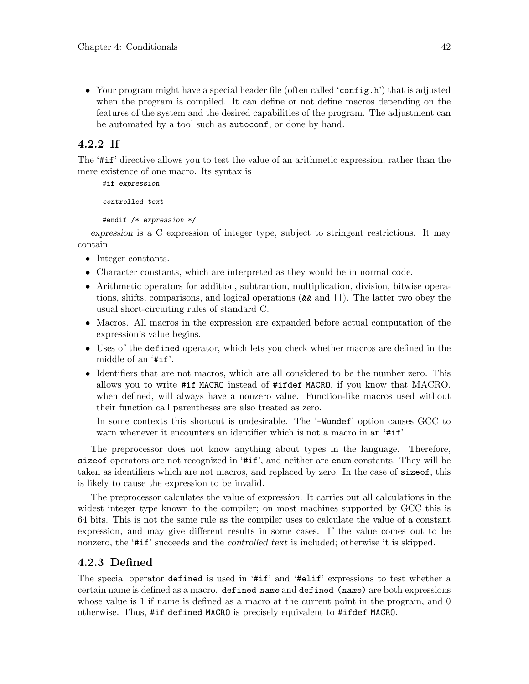• Your program might have a special header file (often called 'config.h') that is adjusted when the program is compiled. It can define or not define macros depending on the features of the system and the desired capabilities of the program. The adjustment can be automated by a tool such as autoconf, or done by hand.

## 4.2.2 If

The '#if' directive allows you to test the value of an arithmetic expression, rather than the mere existence of one macro. Its syntax is

```
#if expression
controlled text
#endif /* expression */
```
expression is a C expression of integer type, subject to stringent restrictions. It may contain

- Integer constants.
- Character constants, which are interpreted as they would be in normal code.
- Arithmetic operators for addition, subtraction, multiplication, division, bitwise operations, shifts, comparisons, and logical operations ( $\&$  and  $| \cdot |$ ). The latter two obey the usual short-circuiting rules of standard C.
- Macros. All macros in the expression are expanded before actual computation of the expression's value begins.
- Uses of the defined operator, which lets you check whether macros are defined in the middle of an '#if'.
- Identifiers that are not macros, which are all considered to be the number zero. This allows you to write #if MACRO instead of #ifdef MACRO, if you know that MACRO, when defined, will always have a nonzero value. Function-like macros used without their function call parentheses are also treated as zero.

In some contexts this shortcut is undesirable. The '-Wundef' option causes GCC to warn whenever it encounters an identifier which is not a macro in an '#if'.

The preprocessor does not know anything about types in the language. Therefore, sizeof operators are not recognized in '#if', and neither are enum constants. They will be taken as identifiers which are not macros, and replaced by zero. In the case of sizeof, this is likely to cause the expression to be invalid.

The preprocessor calculates the value of expression. It carries out all calculations in the widest integer type known to the compiler; on most machines supported by GCC this is 64 bits. This is not the same rule as the compiler uses to calculate the value of a constant expression, and may give different results in some cases. If the value comes out to be nonzero, the '#if' succeeds and the *controlled text* is included; otherwise it is skipped.

## 4.2.3 Defined

The special operator defined is used in '#if' and '#elif' expressions to test whether a certain name is defined as a macro. defined name and defined (name) are both expressions whose value is 1 if name is defined as a macro at the current point in the program, and 0 otherwise. Thus, #if defined MACRO is precisely equivalent to #ifdef MACRO.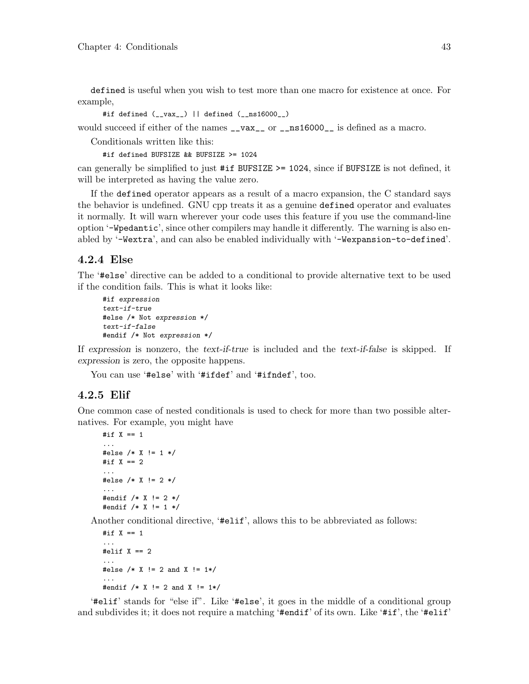defined is useful when you wish to test more than one macro for existence at once. For example,

```
#if defined (__vax__) || defined (__ns16000__)
```
would succeed if either of the names  $\frac{1}{2}$  or  $\frac{1}{2}$  or  $\frac{1}{2}$  is defined as a macro.

Conditionals written like this:

#if defined BUFSIZE && BUFSIZE >= 1024

can generally be simplified to just #if BUFSIZE >= 1024, since if BUFSIZE is not defined, it will be interpreted as having the value zero.

If the defined operator appears as a result of a macro expansion, the C standard says the behavior is undefined. GNU cpp treats it as a genuine defined operator and evaluates it normally. It will warn wherever your code uses this feature if you use the command-line option '-Wpedantic', since other compilers may handle it differently. The warning is also enabled by '-Wextra', and can also be enabled individually with '-Wexpansion-to-defined'.

## 4.2.4 Else

The '#else' directive can be added to a conditional to provide alternative text to be used if the condition fails. This is what it looks like:

```
#if expression
text-if-true
#else /* Not expression */
text-if-false
#endif /* Not expression */
```
If expression is nonzero, the text-if-true is included and the text-if-false is skipped. If expression is zero, the opposite happens.

You can use '#else' with '#ifdef' and '#ifndef', too.

## 4.2.5 Elif

One common case of nested conditionals is used to check for more than two possible alternatives. For example, you might have

```
#if X == 1...
#else /* X != 1 */
#if X == 2...
#else /* X != 2 */
...
#endif /* X != 2 */
#endif /* X != 1 */
```
Another conditional directive, '#elif', allows this to be abbreviated as follows:

```
#if X == 1
...
#elif X == 2
...
#else /* X != 2 and X != 1*/
...
#endif /* X != 2 and X != 1*/
```
'#elif' stands for "else if". Like '#else', it goes in the middle of a conditional group and subdivides it; it does not require a matching '#endif' of its own. Like '#if', the '#elif'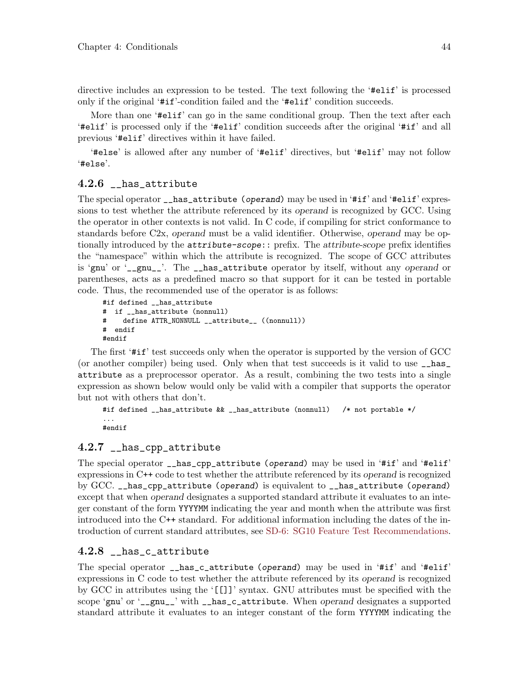directive includes an expression to be tested. The text following the '#elif' is processed only if the original '#if'-condition failed and the '#elif' condition succeeds.

More than one '#elif' can go in the same conditional group. Then the text after each '#elif' is processed only if the '#elif' condition succeeds after the original '#if' and all previous '#elif' directives within it have failed.

'#else' is allowed after any number of '#elif' directives, but '#elif' may not follow '#else'.

## 4.2.6 \_\_has\_attribute

The special operator \_\_has\_attribute (operand) may be used in '#if' and '#elif' expressions to test whether the attribute referenced by its operand is recognized by GCC. Using the operator in other contexts is not valid. In C code, if compiling for strict conformance to standards before C2x, operand must be a valid identifier. Otherwise, operand may be optionally introduced by the attribute-scope:: prefix. The attribute-scope prefix identifies the "namespace" within which the attribute is recognized. The scope of GCC attributes is 'gnu' or '\_\_gnu\_\_'. The \_\_has\_attribute operator by itself, without any operand or parentheses, acts as a predefined macro so that support for it can be tested in portable code. Thus, the recommended use of the operator is as follows:

```
#if defined __has_attribute
# if __has_attribute (nonnull)
# define ATTR_NONNULL __attribute__ ((nonnull))
# endif
#endif
```
The first '#if' test succeeds only when the operator is supported by the version of GCC (or another compiler) being used. Only when that test succeeds is it valid to use \_\_has\_ attribute as a preprocessor operator. As a result, combining the two tests into a single expression as shown below would only be valid with a compiler that supports the operator but not with others that don't.

```
#if defined __has_attribute && __has_attribute (nonnull) /* not portable */
...
#endif
```
## 4.2.7 \_\_has\_cpp\_attribute

The special operator \_\_has\_cpp\_attribute (operand) may be used in '#if' and '#elif' expressions in C++ code to test whether the attribute referenced by its operand is recognized by GCC. \_\_has\_cpp\_attribute (operand) is equivalent to \_\_has\_attribute (operand) except that when operand designates a supported standard attribute it evaluates to an integer constant of the form YYYYMM indicating the year and month when the attribute was first introduced into the C++ standard. For additional information including the dates of the introduction of current standard attributes, see [SD-6: SG10 Feature Test Recommendations.](https://isocpp.org/std/standing-documents/sd-6-sg10-feature-test-recommendations/)

## 4.2.8 \_\_has\_c\_attribute

The special operator \_\_has\_c\_attribute (operand) may be used in '#if' and '#elif' expressions in C code to test whether the attribute referenced by its operand is recognized by GCC in attributes using the '[[]]' syntax. GNU attributes must be specified with the scope 'gnu' or '\_gnu\_' with \_\_has\_c\_attribute. When operand designates a supported standard attribute it evaluates to an integer constant of the form YYYYMM indicating the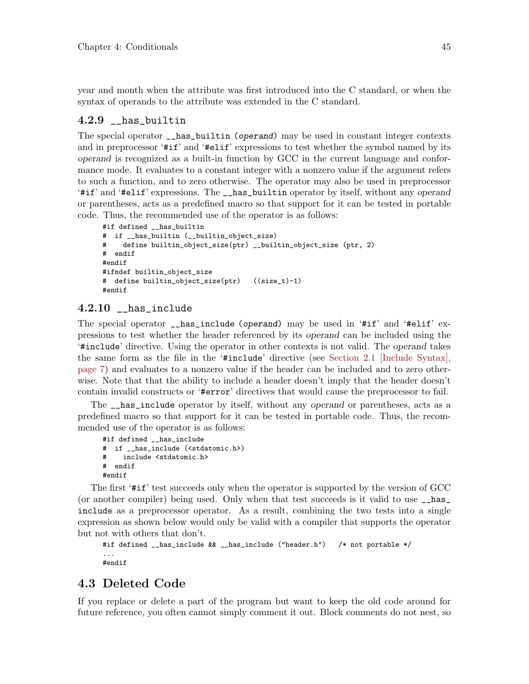year and month when the attribute was first introduced into the C standard, or when the syntax of operands to the attribute was extended in the C standard.

## 4.2.9 \_\_has\_builtin

The special operator \_\_has\_builtin (operand) may be used in constant integer contexts and in preprocessor '#if' and '#elif' expressions to test whether the symbol named by its operand is recognized as a built-in function by GCC in the current language and conformance mode. It evaluates to a constant integer with a nonzero value if the argument refers to such a function, and to zero otherwise. The operator may also be used in preprocessor '#if' and '#elif' expressions. The \_\_has\_builtin operator by itself, without any operand or parentheses, acts as a predefined macro so that support for it can be tested in portable code. Thus, the recommended use of the operator is as follows:

```
#if defined __has_builtin
# if __has_builtin (__builtin_object_size)
# define builtin_object_size(ptr) __builtin_object_size (ptr, 2)
# endif
#endif
#ifndef builtin_object_size
# define builtin_object_size(ptr) ((size_t)-1)
#endif
```
## 4.2.10 \_\_has\_include

The special operator \_\_has\_include (operand) may be used in '#if' and '#elif' expressions to test whether the header referenced by its operand can be included using the '#include' directive. Using the operator in other contexts is not valid. The operand takes the same form as the file in the '#include' directive (see [Section 2.1 \[Include Syntax\],](#page-11-0) [page 7](#page-11-0)) and evaluates to a nonzero value if the header can be included and to zero otherwise. Note that that the ability to include a header doesn't imply that the header doesn't contain invalid constructs or '#error' directives that would cause the preprocessor to fail.

The \_\_has\_include operator by itself, without any operand or parentheses, acts as a predefined macro so that support for it can be tested in portable code. Thus, the recommended use of the operator is as follows:

```
#if defined __has_include
# if __has_include (<stdatomic.h>)
# include <stdatomic.h>
# endif
#endif
```
The first '#if' test succeeds only when the operator is supported by the version of GCC (or another compiler) being used. Only when that test succeeds is it valid to use \_\_has\_ include as a preprocessor operator. As a result, combining the two tests into a single expression as shown below would only be valid with a compiler that supports the operator but not with others that don't.

```
#if defined __has_include && __has_include ("header.h") /* not portable */
...
#endif
```
## 4.3 Deleted Code

If you replace or delete a part of the program but want to keep the old code around for future reference, you often cannot simply comment it out. Block comments do not nest, so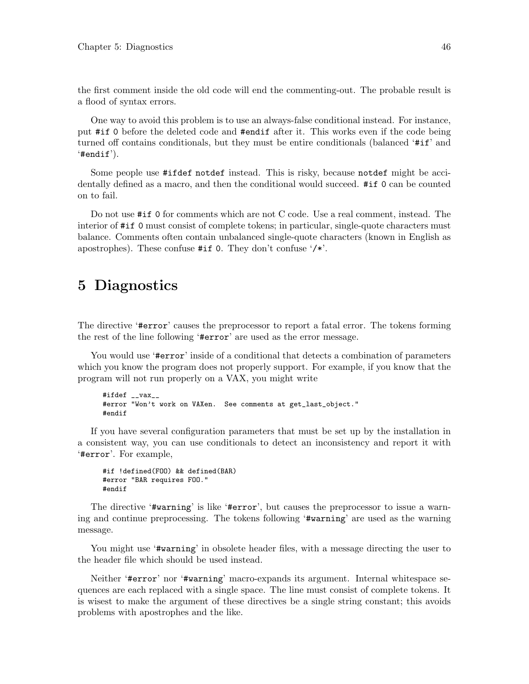the first comment inside the old code will end the commenting-out. The probable result is a flood of syntax errors.

One way to avoid this problem is to use an always-false conditional instead. For instance, put #if 0 before the deleted code and #endif after it. This works even if the code being turned off contains conditionals, but they must be entire conditionals (balanced '#if' and '#endif').

Some people use #ifdef notdef instead. This is risky, because notdef might be accidentally defined as a macro, and then the conditional would succeed. #if 0 can be counted on to fail.

Do not use #if 0 for comments which are not C code. Use a real comment, instead. The interior of #if 0 must consist of complete tokens; in particular, single-quote characters must balance. Comments often contain unbalanced single-quote characters (known in English as apostrophes). These confuse #if 0. They don't confuse '/\*'.

# 5 Diagnostics

The directive '#error' causes the preprocessor to report a fatal error. The tokens forming the rest of the line following '#error' are used as the error message.

You would use '**#error**' inside of a conditional that detects a combination of parameters which you know the program does not properly support. For example, if you know that the program will not run properly on a VAX, you might write

```
#ifdef __vax__
#error "Won't work on VAXen. See comments at get_last_object."
#endif
```
If you have several configuration parameters that must be set up by the installation in a consistent way, you can use conditionals to detect an inconsistency and report it with '#error'. For example,

```
#if !defined(FOO) && defined(BAR)
#error "BAR requires FOO."
#endif
```
The directive '#warning' is like '#error', but causes the preprocessor to issue a warning and continue preprocessing. The tokens following '#warning' are used as the warning message.

You might use '**#warning**' in obsolete header files, with a message directing the user to the header file which should be used instead.

Neither '#error' nor '#warning' macro-expands its argument. Internal whitespace sequences are each replaced with a single space. The line must consist of complete tokens. It is wisest to make the argument of these directives be a single string constant; this avoids problems with apostrophes and the like.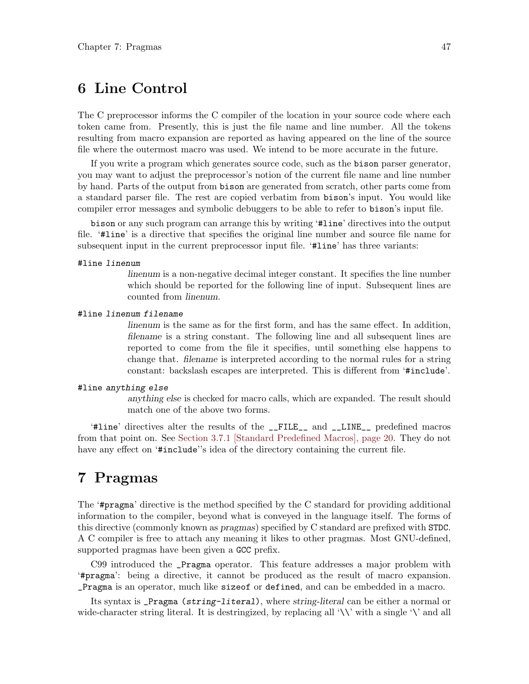# <span id="page-51-0"></span>6 Line Control

The C preprocessor informs the C compiler of the location in your source code where each token came from. Presently, this is just the file name and line number. All the tokens resulting from macro expansion are reported as having appeared on the line of the source file where the outermost macro was used. We intend to be more accurate in the future.

If you write a program which generates source code, such as the bison parser generator, you may want to adjust the preprocessor's notion of the current file name and line number by hand. Parts of the output from bison are generated from scratch, other parts come from a standard parser file. The rest are copied verbatim from bison's input. You would like compiler error messages and symbolic debuggers to be able to refer to bison's input file.

bison or any such program can arrange this by writing '#line' directives into the output file. '#line' is a directive that specifies the original line number and source file name for subsequent input in the current preprocessor input file. '#line' has three variants:

#### #line linenum

linenum is a non-negative decimal integer constant. It specifies the line number which should be reported for the following line of input. Subsequent lines are counted from linenum.

## #line linenum filename

linenum is the same as for the first form, and has the same effect. In addition, filename is a string constant. The following line and all subsequent lines are reported to come from the file it specifies, until something else happens to change that. filename is interpreted according to the normal rules for a string constant: backslash escapes are interpreted. This is different from '#include'.

### #line anything else

anything else is checked for macro calls, which are expanded. The result should match one of the above two forms.

'#line' directives alter the results of the \_\_FILE\_\_ and \_\_LINE\_\_ predefined macros from that point on. See [Section 3.7.1 \[Standard Predefined Macros\], page 20](#page-24-0). They do not have any effect on '#include''s idea of the directory containing the current file.

# 7 Pragmas

The '#pragma' directive is the method specified by the C standard for providing additional information to the compiler, beyond what is conveyed in the language itself. The forms of this directive (commonly known as pragmas) specified by C standard are prefixed with STDC. A C compiler is free to attach any meaning it likes to other pragmas. Most GNU-defined, supported pragmas have been given a GCC prefix.

C99 introduced the \_Pragma operator. This feature addresses a major problem with '#pragma': being a directive, it cannot be produced as the result of macro expansion. \_Pragma is an operator, much like sizeof or defined, and can be embedded in a macro.

Its syntax is \_Pragma (string-literal), where string-literal can be either a normal or wide-character string literal. It is destringized, by replacing all  $\{\n\}'$  with a single  $\'\$  and all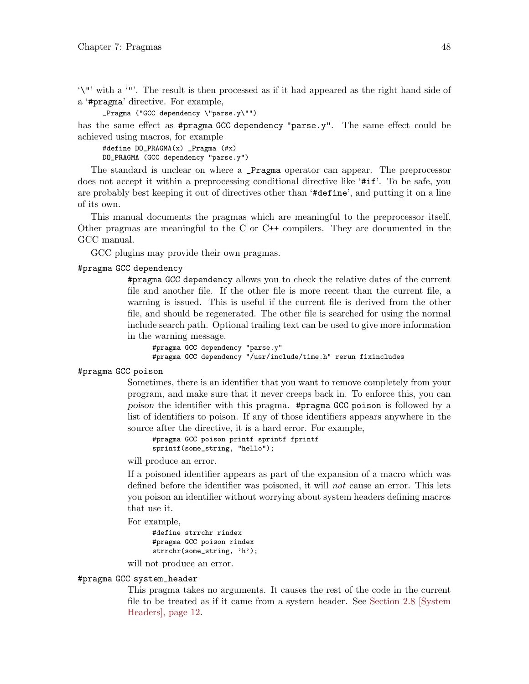'\"' with a '"'. The result is then processed as if it had appeared as the right hand side of a '#pragma' directive. For example,

```
_Pragma ("GCC dependency \"parse.y\"")
```
has the same effect as #pragma GCC dependency "parse.y". The same effect could be achieved using macros, for example

```
#define DO_PRAGMA(x) _Pragma (#x)
DO_PRAGMA (GCC dependency "parse.y")
```
The standard is unclear on where a \_Pragma operator can appear. The preprocessor does not accept it within a preprocessing conditional directive like '#if'. To be safe, you are probably best keeping it out of directives other than '#define', and putting it on a line of its own.

This manual documents the pragmas which are meaningful to the preprocessor itself. Other pragmas are meaningful to the C or C++ compilers. They are documented in the GCC manual.

GCC plugins may provide their own pragmas.

## #pragma GCC dependency

#pragma GCC dependency allows you to check the relative dates of the current file and another file. If the other file is more recent than the current file, a warning is issued. This is useful if the current file is derived from the other file, and should be regenerated. The other file is searched for using the normal include search path. Optional trailing text can be used to give more information in the warning message.

#pragma GCC dependency "parse.y" #pragma GCC dependency "/usr/include/time.h" rerun fixincludes

## #pragma GCC poison

Sometimes, there is an identifier that you want to remove completely from your program, and make sure that it never creeps back in. To enforce this, you can poison the identifier with this pragma. #pragma GCC poison is followed by a list of identifiers to poison. If any of those identifiers appears anywhere in the source after the directive, it is a hard error. For example,

```
#pragma GCC poison printf sprintf fprintf
sprintf(some_string, "hello");
```
will produce an error.

If a poisoned identifier appears as part of the expansion of a macro which was defined before the identifier was poisoned, it will not cause an error. This lets you poison an identifier without worrying about system headers defining macros that use it.

For example,

```
#define strrchr rindex
#pragma GCC poison rindex
strrchr(some_string, 'h');
```
will not produce an error.

## #pragma GCC system\_header

This pragma takes no arguments. It causes the rest of the code in the current file to be treated as if it came from a system header. See [Section 2.8 \[System](#page-16-0) [Headers\], page 12.](#page-16-0)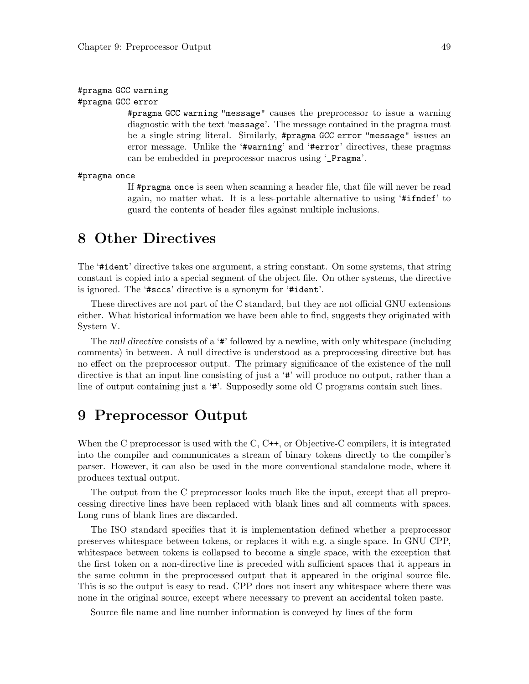#pragma GCC error

#pragma GCC warning "message" causes the preprocessor to issue a warning diagnostic with the text 'message'. The message contained in the pragma must be a single string literal. Similarly, #pragma GCC error "message" issues an error message. Unlike the '#warning' and '#error' directives, these pragmas can be embedded in preprocessor macros using '\_Pragma'.

#pragma once

If #pragma once is seen when scanning a header file, that file will never be read again, no matter what. It is a less-portable alternative to using '#ifndef' to guard the contents of header files against multiple inclusions.

# 8 Other Directives

The '#ident' directive takes one argument, a string constant. On some systems, that string constant is copied into a special segment of the object file. On other systems, the directive is ignored. The '#sccs' directive is a synonym for '#ident'.

These directives are not part of the C standard, but they are not official GNU extensions either. What historical information we have been able to find, suggests they originated with System V.

The null directive consists of a '#' followed by a newline, with only whitespace (including comments) in between. A null directive is understood as a preprocessing directive but has no effect on the preprocessor output. The primary significance of the existence of the null directive is that an input line consisting of just a '#' will produce no output, rather than a line of output containing just a '#'. Supposedly some old C programs contain such lines.

# <span id="page-53-0"></span>9 Preprocessor Output

When the C preprocessor is used with the C, C++, or Objective-C compilers, it is integrated into the compiler and communicates a stream of binary tokens directly to the compiler's parser. However, it can also be used in the more conventional standalone mode, where it produces textual output.

The output from the C preprocessor looks much like the input, except that all preprocessing directive lines have been replaced with blank lines and all comments with spaces. Long runs of blank lines are discarded.

The ISO standard specifies that it is implementation defined whether a preprocessor preserves whitespace between tokens, or replaces it with e.g. a single space. In GNU CPP, whitespace between tokens is collapsed to become a single space, with the exception that the first token on a non-directive line is preceded with sufficient spaces that it appears in the same column in the preprocessed output that it appeared in the original source file. This is so the output is easy to read. CPP does not insert any whitespace where there was none in the original source, except where necessary to prevent an accidental token paste.

Source file name and line number information is conveyed by lines of the form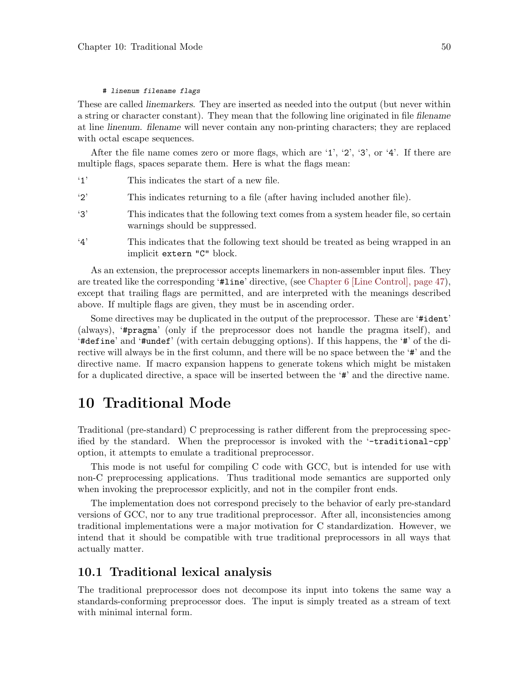#### # linenum filename flags

These are called linemarkers. They are inserted as needed into the output (but never within a string or character constant). They mean that the following line originated in file filename at line linenum. filename will never contain any non-printing characters; they are replaced with octal escape sequences.

After the file name comes zero or more flags, which are  $(1', 2', 3', 0r, 4')$ . If there are multiple flags, spaces separate them. Here is what the flags mean:

- '1' This indicates the start of a new file.
- '2' This indicates returning to a file (after having included another file).
- '3' This indicates that the following text comes from a system header file, so certain warnings should be suppressed.
- '4' This indicates that the following text should be treated as being wrapped in an implicit extern "C" block.

As an extension, the preprocessor accepts linemarkers in non-assembler input files. They are treated like the corresponding '#line' directive, (see [Chapter 6 \[Line Control\], page 47\)](#page-51-0), except that trailing flags are permitted, and are interpreted with the meanings described above. If multiple flags are given, they must be in ascending order.

Some directives may be duplicated in the output of the preprocessor. These are '#ident' (always), '#pragma' (only if the preprocessor does not handle the pragma itself), and '#define' and '#undef' (with certain debugging options). If this happens, the '#' of the directive will always be in the first column, and there will be no space between the '#' and the directive name. If macro expansion happens to generate tokens which might be mistaken for a duplicated directive, a space will be inserted between the '#' and the directive name.

# <span id="page-54-1"></span>10 Traditional Mode

Traditional (pre-standard) C preprocessing is rather different from the preprocessing specified by the standard. When the preprocessor is invoked with the '-traditional-cpp' option, it attempts to emulate a traditional preprocessor.

This mode is not useful for compiling C code with GCC, but is intended for use with non-C preprocessing applications. Thus traditional mode semantics are supported only when invoking the preprocessor explicitly, and not in the compiler front ends.

The implementation does not correspond precisely to the behavior of early pre-standard versions of GCC, nor to any true traditional preprocessor. After all, inconsistencies among traditional implementations were a major motivation for C standardization. However, we intend that it should be compatible with true traditional preprocessors in all ways that actually matter.

## <span id="page-54-0"></span>10.1 Traditional lexical analysis

The traditional preprocessor does not decompose its input into tokens the same way a standards-conforming preprocessor does. The input is simply treated as a stream of text with minimal internal form.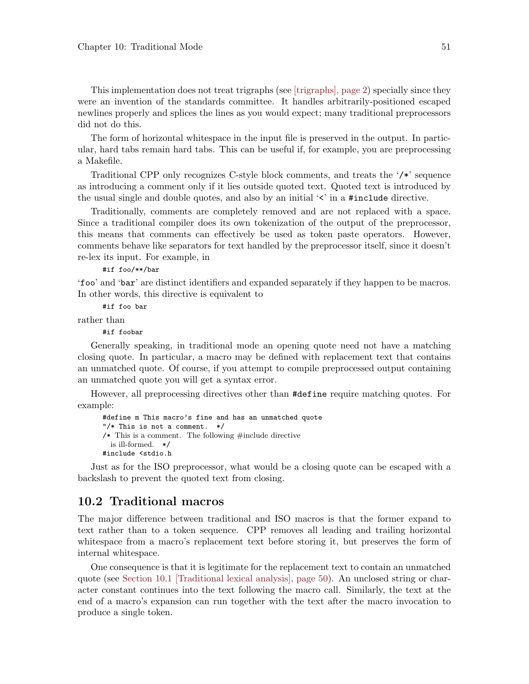This implementation does not treat trigraphs (see [\[trigraphs\], page 2](#page-6-0)) specially since they were an invention of the standards committee. It handles arbitrarily-positioned escaped newlines properly and splices the lines as you would expect; many traditional preprocessors did not do this.

The form of horizontal whitespace in the input file is preserved in the output. In particular, hard tabs remain hard tabs. This can be useful if, for example, you are preprocessing a Makefile.

Traditional CPP only recognizes C-style block comments, and treats the '/\*' sequence as introducing a comment only if it lies outside quoted text. Quoted text is introduced by the usual single and double quotes, and also by an initial  $\langle \cdot \rangle$  in a #include directive.

Traditionally, comments are completely removed and are not replaced with a space. Since a traditional compiler does its own tokenization of the output of the preprocessor, this means that comments can effectively be used as token paste operators. However, comments behave like separators for text handled by the preprocessor itself, since it doesn't re-lex its input. For example, in

#if foo/\*\*/bar

'foo' and 'bar' are distinct identifiers and expanded separately if they happen to be macros. In other words, this directive is equivalent to

#if foo bar

rather than

#if foobar

Generally speaking, in traditional mode an opening quote need not have a matching closing quote. In particular, a macro may be defined with replacement text that contains an unmatched quote. Of course, if you attempt to compile preprocessed output containing an unmatched quote you will get a syntax error.

However, all preprocessing directives other than #define require matching quotes. For example:

```
#define m This macro's fine and has an unmatched quote
"/* This is not a comment. */
/* This is a comment. The following \# include directive
  is ill-formed. */
#include <stdio.h
```
Just as for the ISO preprocessor, what would be a closing quote can be escaped with a backslash to prevent the quoted text from closing.

## 10.2 Traditional macros

The major difference between traditional and ISO macros is that the former expand to text rather than to a token sequence. CPP removes all leading and trailing horizontal whitespace from a macro's replacement text before storing it, but preserves the form of internal whitespace.

One consequence is that it is legitimate for the replacement text to contain an unmatched quote (see [Section 10.1 \[Traditional lexical analysis\], page 50\)](#page-54-0). An unclosed string or character constant continues into the text following the macro call. Similarly, the text at the end of a macro's expansion can run together with the text after the macro invocation to produce a single token.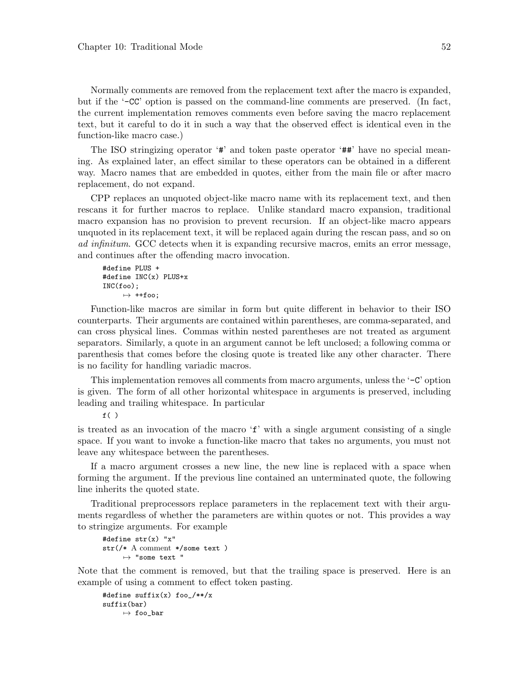Normally comments are removed from the replacement text after the macro is expanded, but if the '-CC' option is passed on the command-line comments are preserved. (In fact, the current implementation removes comments even before saving the macro replacement text, but it careful to do it in such a way that the observed effect is identical even in the function-like macro case.)

The ISO stringizing operator '#' and token paste operator '##' have no special meaning. As explained later, an effect similar to these operators can be obtained in a different way. Macro names that are embedded in quotes, either from the main file or after macro replacement, do not expand.

CPP replaces an unquoted object-like macro name with its replacement text, and then rescans it for further macros to replace. Unlike standard macro expansion, traditional macro expansion has no provision to prevent recursion. If an object-like macro appears unquoted in its replacement text, it will be replaced again during the rescan pass, and so on ad infinitum. GCC detects when it is expanding recursive macros, emits an error message, and continues after the offending macro invocation.

```
#define PLUS +
#define INC(x) PLUS+x
INC(foo);
     \mapsto ++foo:
```
Function-like macros are similar in form but quite different in behavior to their ISO counterparts. Their arguments are contained within parentheses, are comma-separated, and can cross physical lines. Commas within nested parentheses are not treated as argument separators. Similarly, a quote in an argument cannot be left unclosed; a following comma or parenthesis that comes before the closing quote is treated like any other character. There is no facility for handling variadic macros.

This implementation removes all comments from macro arguments, unless the '-C' option is given. The form of all other horizontal whitespace in arguments is preserved, including leading and trailing whitespace. In particular

 $f()$ 

is treated as an invocation of the macro 'f' with a single argument consisting of a single space. If you want to invoke a function-like macro that takes no arguments, you must not leave any whitespace between the parentheses.

If a macro argument crosses a new line, the new line is replaced with a space when forming the argument. If the previous line contained an unterminated quote, the following line inherits the quoted state.

Traditional preprocessors replace parameters in the replacement text with their arguments regardless of whether the parameters are within quotes or not. This provides a way to stringize arguments. For example

```
#define str(x) "x"
str(/* A comment */some text )
     \mapsto "some text "
```
Note that the comment is removed, but that the trailing space is preserved. Here is an example of using a comment to effect token pasting.

```
#define suffix(x) foo_/**/x
suffix(bar)
     \mapsto foo_bar
```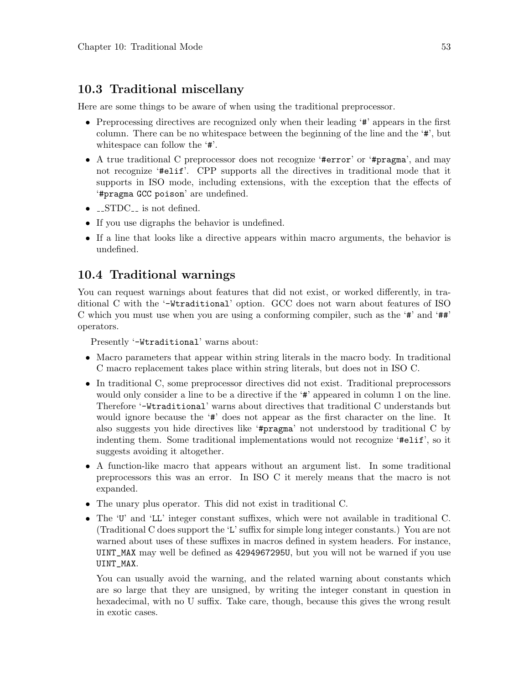# 10.3 Traditional miscellany

Here are some things to be aware of when using the traditional preprocessor.

- Preprocessing directives are recognized only when their leading '#' appears in the first column. There can be no whitespace between the beginning of the line and the '#', but whitespace can follow the '#'.
- A true traditional C preprocessor does not recognize '#error' or '#pragma', and may not recognize '#elif'. CPP supports all the directives in traditional mode that it supports in ISO mode, including extensions, with the exception that the effects of '#pragma GCC poison' are undefined.
- $\bullet$   $\angle$  STDC $\angle$  is not defined.
- If you use digraphs the behavior is undefined.
- If a line that looks like a directive appears within macro arguments, the behavior is undefined.

# 10.4 Traditional warnings

You can request warnings about features that did not exist, or worked differently, in traditional C with the '-Wtraditional' option. GCC does not warn about features of ISO C which you must use when you are using a conforming compiler, such as the '#' and '##' operators.

Presently '-Wtraditional' warns about:

- Macro parameters that appear within string literals in the macro body. In traditional C macro replacement takes place within string literals, but does not in ISO C.
- In traditional C, some preprocessor directives did not exist. Traditional preprocessors would only consider a line to be a directive if the '#' appeared in column 1 on the line. Therefore '-Wtraditional' warns about directives that traditional C understands but would ignore because the '#' does not appear as the first character on the line. It also suggests you hide directives like '#pragma' not understood by traditional C by indenting them. Some traditional implementations would not recognize '#elif', so it suggests avoiding it altogether.
- A function-like macro that appears without an argument list. In some traditional preprocessors this was an error. In ISO C it merely means that the macro is not expanded.
- The unary plus operator. This did not exist in traditional C.
- The 'U' and 'LL' integer constant suffixes, which were not available in traditional C. (Traditional C does support the 'L' suffix for simple long integer constants.) You are not warned about uses of these suffixes in macros defined in system headers. For instance, UINT\_MAX may well be defined as 4294967295U, but you will not be warned if you use UINT\_MAX.

You can usually avoid the warning, and the related warning about constants which are so large that they are unsigned, by writing the integer constant in question in hexadecimal, with no U suffix. Take care, though, because this gives the wrong result in exotic cases.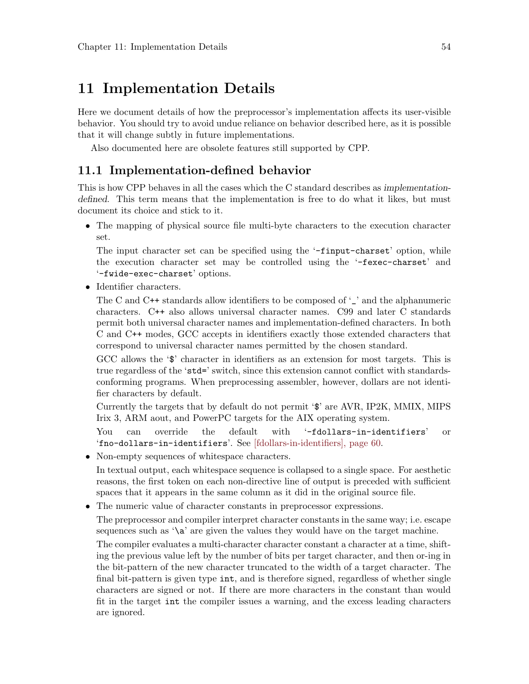# 11 Implementation Details

Here we document details of how the preprocessor's implementation affects its user-visible behavior. You should try to avoid undue reliance on behavior described here, as it is possible that it will change subtly in future implementations.

Also documented here are obsolete features still supported by CPP.

## 11.1 Implementation-defined behavior

This is how CPP behaves in all the cases which the C standard describes as implementationdefined. This term means that the implementation is free to do what it likes, but must document its choice and stick to it.

• The mapping of physical source file multi-byte characters to the execution character set.

The input character set can be specified using the '-finput-charset' option, while the execution character set may be controlled using the '-fexec-charset' and '-fwide-exec-charset' options.

• Identifier characters.

<span id="page-58-0"></span>The C and C++ standards allow identifiers to be composed of '\_' and the alphanumeric characters. C++ also allows universal character names. C99 and later C standards permit both universal character names and implementation-defined characters. In both C and C++ modes, GCC accepts in identifiers exactly those extended characters that correspond to universal character names permitted by the chosen standard.

GCC allows the '\$' character in identifiers as an extension for most targets. This is true regardless of the 'std=' switch, since this extension cannot conflict with standardsconforming programs. When preprocessing assembler, however, dollars are not identifier characters by default.

Currently the targets that by default do not permit '\$' are AVR, IP2K, MMIX, MIPS Irix 3, ARM aout, and PowerPC targets for the AIX operating system.

You can override the default with '-fdollars-in-identifiers' or 'fno-dollars-in-identifiers'. See [\[fdollars-in-identifiers\], page 60.](#page-64-0)

• Non-empty sequences of whitespace characters.

In textual output, each whitespace sequence is collapsed to a single space. For aesthetic reasons, the first token on each non-directive line of output is preceded with sufficient spaces that it appears in the same column as it did in the original source file.

• The numeric value of character constants in preprocessor expressions.

The preprocessor and compiler interpret character constants in the same way; i.e. escape sequences such as '\a' are given the values they would have on the target machine.

The compiler evaluates a multi-character character constant a character at a time, shifting the previous value left by the number of bits per target character, and then or-ing in the bit-pattern of the new character truncated to the width of a target character. The final bit-pattern is given type int, and is therefore signed, regardless of whether single characters are signed or not. If there are more characters in the constant than would fit in the target int the compiler issues a warning, and the excess leading characters are ignored.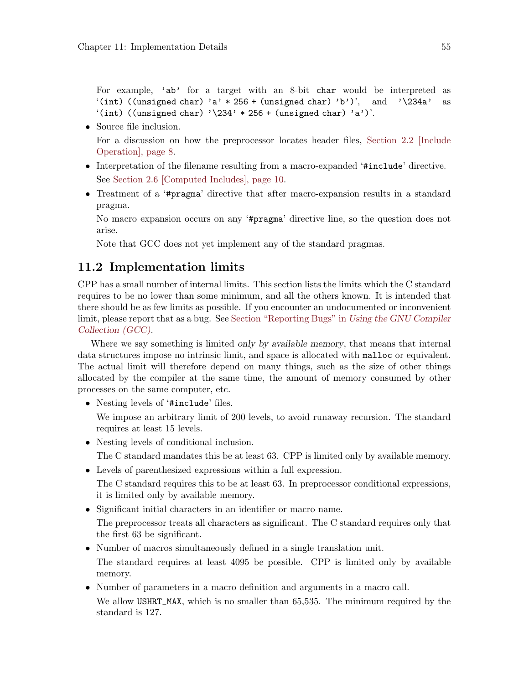For example, 'ab' for a target with an 8-bit char would be interpreted as '(int) ((unsigned char) 'a' \* 256 + (unsigned char) 'b')', and '\234a' as '(int) ((unsigned char)  $\sqrt{234'} * 256 + (unsigned char) 'a')'.$ 

- Source file inclusion. For a discussion on how the preprocessor locates header files, [Section 2.2 \[Include](#page-12-0) [Operation\], page 8](#page-12-0).
- Interpretation of the filename resulting from a macro-expanded '#include' directive. See [Section 2.6 \[Computed Includes\], page 10](#page-14-0).
- Treatment of a '#pragma' directive that after macro-expansion results in a standard pragma.

No macro expansion occurs on any '#pragma' directive line, so the question does not arise.

Note that GCC does not yet implement any of the standard pragmas.

# 11.2 Implementation limits

CPP has a small number of internal limits. This section lists the limits which the C standard requires to be no lower than some minimum, and all the others known. It is intended that there should be as few limits as possible. If you encounter an undocumented or inconvenient limit, please report that as a bug. See Section "Reporting Bugs" in Using the GNU Compiler Collection (GCC).

Where we say something is limited only by available memory, that means that internal data structures impose no intrinsic limit, and space is allocated with malloc or equivalent. The actual limit will therefore depend on many things, such as the size of other things allocated by the compiler at the same time, the amount of memory consumed by other processes on the same computer, etc.

• Nesting levels of '#include' files.

We impose an arbitrary limit of 200 levels, to avoid runaway recursion. The standard requires at least 15 levels.

• Nesting levels of conditional inclusion.

The C standard mandates this be at least 63. CPP is limited only by available memory.

• Levels of parenthesized expressions within a full expression.

The C standard requires this to be at least 63. In preprocessor conditional expressions, it is limited only by available memory.

• Significant initial characters in an identifier or macro name.

The preprocessor treats all characters as significant. The C standard requires only that the first 63 be significant.

• Number of macros simultaneously defined in a single translation unit.

The standard requires at least 4095 be possible. CPP is limited only by available memory.

• Number of parameters in a macro definition and arguments in a macro call.

We allow USHRT\_MAX, which is no smaller than 65,535. The minimum required by the standard is 127.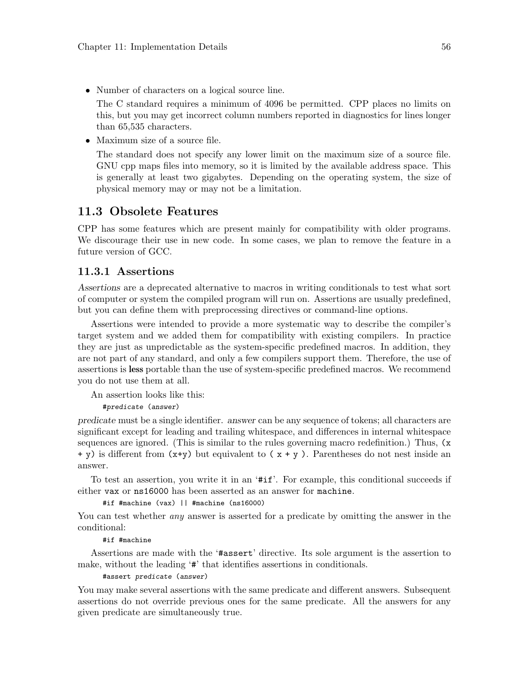• Number of characters on a logical source line.

The C standard requires a minimum of 4096 be permitted. CPP places no limits on this, but you may get incorrect column numbers reported in diagnostics for lines longer than 65,535 characters.

• Maximum size of a source file.

The standard does not specify any lower limit on the maximum size of a source file. GNU cpp maps files into memory, so it is limited by the available address space. This is generally at least two gigabytes. Depending on the operating system, the size of physical memory may or may not be a limitation.

## <span id="page-60-0"></span>11.3 Obsolete Features

CPP has some features which are present mainly for compatibility with older programs. We discourage their use in new code. In some cases, we plan to remove the feature in a future version of GCC.

## 11.3.1 Assertions

Assertions are a deprecated alternative to macros in writing conditionals to test what sort of computer or system the compiled program will run on. Assertions are usually predefined, but you can define them with preprocessing directives or command-line options.

Assertions were intended to provide a more systematic way to describe the compiler's target system and we added them for compatibility with existing compilers. In practice they are just as unpredictable as the system-specific predefined macros. In addition, they are not part of any standard, and only a few compilers support them. Therefore, the use of assertions is less portable than the use of system-specific predefined macros. We recommend you do not use them at all.

An assertion looks like this:

#predicate (answer)

predicate must be a single identifier. answer can be any sequence of tokens; all characters are significant except for leading and trailing whitespace, and differences in internal whitespace sequences are ignored. (This is similar to the rules governing macro redefinition.) Thus, (x + y) is different from (x+y) but equivalent to ( x + y ). Parentheses do not nest inside an answer.

To test an assertion, you write it in an '#if'. For example, this conditional succeeds if either vax or ns16000 has been asserted as an answer for machine.

#if #machine (vax) || #machine (ns16000)

You can test whether *any* answer is asserted for a predicate by omitting the answer in the conditional:

## #if #machine

Assertions are made with the '#assert' directive. Its sole argument is the assertion to make, without the leading '#' that identifies assertions in conditionals.

#### #assert predicate (answer)

You may make several assertions with the same predicate and different answers. Subsequent assertions do not override previous ones for the same predicate. All the answers for any given predicate are simultaneously true.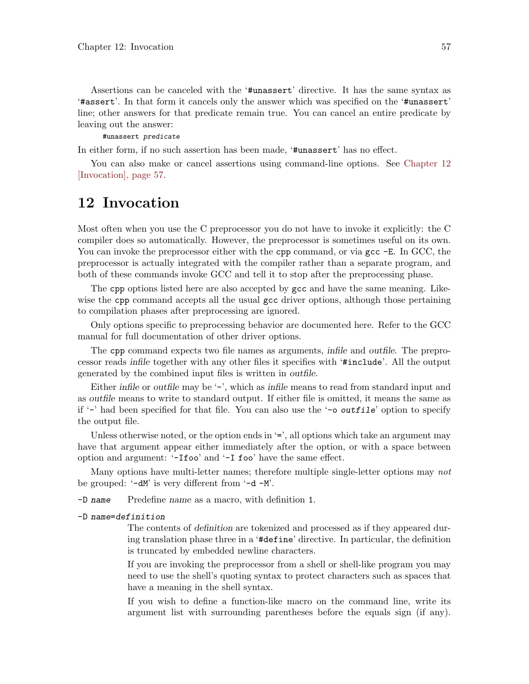Assertions can be canceled with the '#unassert' directive. It has the same syntax as '#assert'. In that form it cancels only the answer which was specified on the '#unassert' line; other answers for that predicate remain true. You can cancel an entire predicate by leaving out the answer:

### #unassert predicate

In either form, if no such assertion has been made, '#unassert' has no effect.

You can also make or cancel assertions using command-line options. See [Chapter 12](#page-61-0) [\[Invocation\], page 57](#page-61-0).

# <span id="page-61-0"></span>12 Invocation

Most often when you use the C preprocessor you do not have to invoke it explicitly: the C compiler does so automatically. However, the preprocessor is sometimes useful on its own. You can invoke the preprocessor either with the cpp command, or via gcc  $-E$ . In GCC, the preprocessor is actually integrated with the compiler rather than a separate program, and both of these commands invoke GCC and tell it to stop after the preprocessing phase.

The cpp options listed here are also accepted by gcc and have the same meaning. Likewise the cpp command accepts all the usual gcc driver options, although those pertaining to compilation phases after preprocessing are ignored.

Only options specific to preprocessing behavior are documented here. Refer to the GCC manual for full documentation of other driver options.

The cpp command expects two file names as arguments, infile and outfile. The preprocessor reads infile together with any other files it specifies with '#include'. All the output generated by the combined input files is written in outfile.

Either infile or outfile may be '-', which as infile means to read from standard input and as outfile means to write to standard output. If either file is omitted, it means the same as if '-' had been specified for that file. You can also use the '-o outfile' option to specify the output file.

Unless otherwise noted, or the option ends in  $\epsilon$ , all options which take an argument may have that argument appear either immediately after the option, or with a space between option and argument: '-Ifoo' and '-I foo' have the same effect.

Many options have multi-letter names; therefore multiple single-letter options may not be grouped: '-dM' is very different from '-d -M'.

-D name Predefine name as a macro, with definition 1.

#### -D name=definition

The contents of definition are tokenized and processed as if they appeared during translation phase three in a '#define' directive. In particular, the definition is truncated by embedded newline characters.

If you are invoking the preprocessor from a shell or shell-like program you may need to use the shell's quoting syntax to protect characters such as spaces that have a meaning in the shell syntax.

If you wish to define a function-like macro on the command line, write its argument list with surrounding parentheses before the equals sign (if any).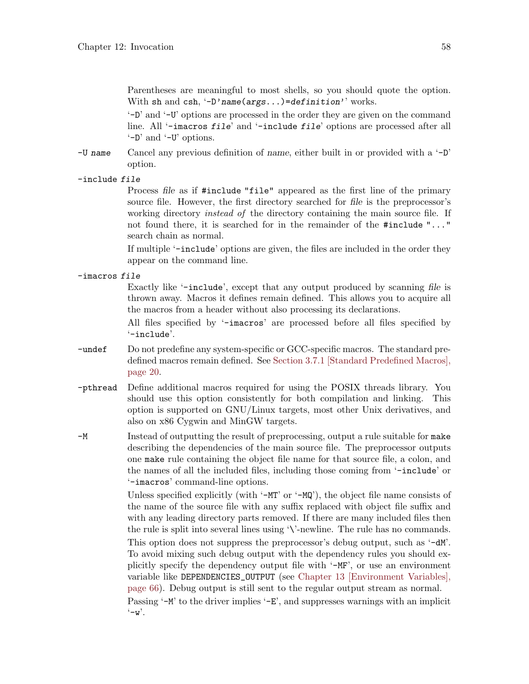Parentheses are meaningful to most shells, so you should quote the option. With sh and csh, '-D'name( $args...$ )=definition'' works.

'-D' and '-U' options are processed in the order they are given on the command line. All '-imacros file' and '-include file' options are processed after all '-D' and '-U' options.

- -U name Cancel any previous definition of name, either built in or provided with a  $\div D'$ option.
- -include file

Process file as if #include "file" appeared as the first line of the primary source file. However, the first directory searched for file is the preprocessor's working directory instead of the directory containing the main source file. If not found there, it is searched for in the remainder of the #include "..." search chain as normal.

If multiple '-include' options are given, the files are included in the order they appear on the command line.

-imacros file

Exactly like '-include', except that any output produced by scanning file is thrown away. Macros it defines remain defined. This allows you to acquire all the macros from a header without also processing its declarations.

All files specified by '-imacros' are processed before all files specified by '-include'.

- -undef Do not predefine any system-specific or GCC-specific macros. The standard predefined macros remain defined. See [Section 3.7.1 \[Standard Predefined Macros\],](#page-24-0) [page 20.](#page-24-0)
- -pthread Define additional macros required for using the POSIX threads library. You should use this option consistently for both compilation and linking. This option is supported on GNU/Linux targets, most other Unix derivatives, and also on x86 Cygwin and MinGW targets.
- -M Instead of outputting the result of preprocessing, output a rule suitable for make describing the dependencies of the main source file. The preprocessor outputs one make rule containing the object file name for that source file, a colon, and the names of all the included files, including those coming from '-include' or '-imacros' command-line options.

Unless specified explicitly (with '-MT' or '-MQ'), the object file name consists of the name of the source file with any suffix replaced with object file suffix and with any leading directory parts removed. If there are many included files then the rule is split into several lines using '\'-newline. The rule has no commands. This option does not suppress the preprocessor's debug output, such as '-dM'. To avoid mixing such debug output with the dependency rules you should explicitly specify the dependency output file with '-MF', or use an environment variable like DEPENDENCIES\_OUTPUT (see [Chapter 13 \[Environment Variables\],](#page-70-0) [page 66\)](#page-70-0). Debug output is still sent to the regular output stream as normal. Passing  $-M'$  to the driver implies  $-E'$ , and suppresses warnings with an implicit  $\cdot$ -w'.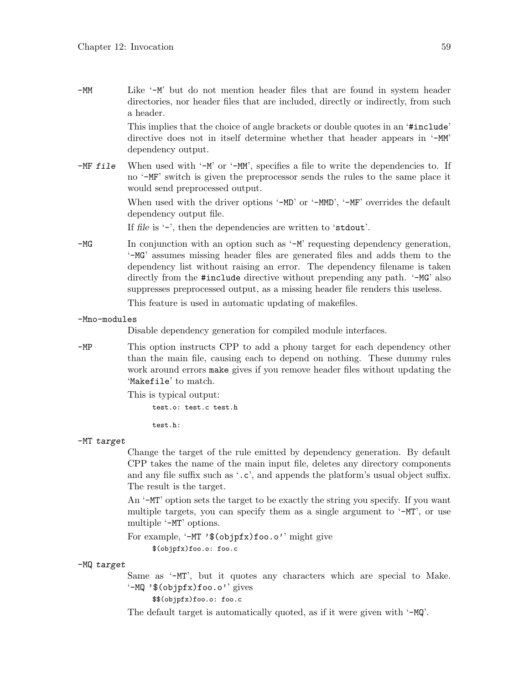-MM Like '-M' but do not mention header files that are found in system header directories, nor header files that are included, directly or indirectly, from such a header.

> This implies that the choice of angle brackets or double quotes in an '#include' directive does not in itself determine whether that header appears in '-MM' dependency output.

<span id="page-63-0"></span> $-MF$  file When used with '-M' or '-MM', specifies a file to write the dependencies to. If no '-MF' switch is given the preprocessor sends the rules to the same place it would send preprocessed output.

> When used with the driver options '-MD' or '-MMD', '-MF' overrides the default dependency output file.

If file is '-', then the dependencies are written to 'stdout'.

-MG In conjunction with an option such as '-M' requesting dependency generation, '-MG' assumes missing header files are generated files and adds them to the dependency list without raising an error. The dependency filename is taken directly from the #include directive without prepending any path. '-MG' also suppresses preprocessed output, as a missing header file renders this useless.

This feature is used in automatic updating of makefiles.

#### -Mno-modules

Disable dependency generation for compiled module interfaces.

-MP This option instructs CPP to add a phony target for each dependency other than the main file, causing each to depend on nothing. These dummy rules work around errors make gives if you remove header files without updating the 'Makefile' to match.

This is typical output:

test.o: test.c test.h

test.h:

## -MT target

Change the target of the rule emitted by dependency generation. By default CPP takes the name of the main input file, deletes any directory components and any file suffix such as '.c', and appends the platform's usual object suffix. The result is the target.

An '-MT' option sets the target to be exactly the string you specify. If you want multiple targets, you can specify them as a single argument to  $-MT$ , or use multiple '-MT' options.

```
For example, '-MT '$(objpfx)foo.o'' might give
     $(objpfx)foo.o: foo.c
```
-MQ target

Same as '-MT', but it quotes any characters which are special to Make. '-MQ '\$(objpfx)foo.o'' gives \$\$(objpfx)foo.o: foo.c

The default target is automatically quoted, as if it were given with '-MQ'.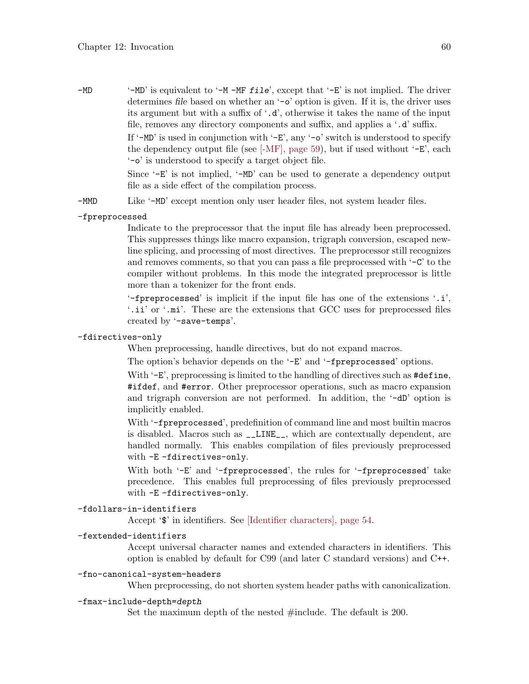-MD '-MD' is equivalent to '-M -MF file', except that '-E' is not implied. The driver determines file based on whether an '-o' option is given. If it is, the driver uses its argument but with a suffix of '.d', otherwise it takes the name of the input file, removes any directory components and suffix, and applies a '.d' suffix.

> If  $\div$ MD' is used in conjunction with  $\div$ E', any  $\div$ o' switch is understood to specify the dependency output file (see  $[-MF]$ , page 59), but if used without  $-E'$ , each '-o' is understood to specify a target object file.

> Since '-E' is not implied, '-MD' can be used to generate a dependency output file as a side effect of the compilation process.

-MMD Like '-MD' except mention only user header files, not system header files.

### -fpreprocessed

Indicate to the preprocessor that the input file has already been preprocessed. This suppresses things like macro expansion, trigraph conversion, escaped newline splicing, and processing of most directives. The preprocessor still recognizes and removes comments, so that you can pass a file preprocessed with  $\div$ -C' to the compiler without problems. In this mode the integrated preprocessor is little more than a tokenizer for the front ends.

'-fpreprocessed' is implicit if the input file has one of the extensions '.i', '.ii' or '.mi'. These are the extensions that GCC uses for preprocessed files created by '-save-temps'.

#### -fdirectives-only

When preprocessing, handle directives, but do not expand macros.

The option's behavior depends on the '-E' and '-fpreprocessed' options.

With  $-F$ , preprocessing is limited to the handling of directives such as #define, #ifdef, and #error. Other preprocessor operations, such as macro expansion and trigraph conversion are not performed. In addition, the '-dD' option is implicitly enabled.

With '-fpreprocessed', predefinition of command line and most builtin macros is disabled. Macros such as \_\_LINE\_\_, which are contextually dependent, are handled normally. This enables compilation of files previously preprocessed with -E -fdirectives-only.

With both '-E' and '-fpreprocessed', the rules for '-fpreprocessed' take precedence. This enables full preprocessing of files previously preprocessed with -E -fdirectives-only.

## <span id="page-64-0"></span>-fdollars-in-identifiers

Accept '\$' in identifiers. See [\[Identifier characters\], page 54](#page-58-0).

## -fextended-identifiers

Accept universal character names and extended characters in identifiers. This option is enabled by default for C99 (and later C standard versions) and C++.

### -fno-canonical-system-headers

When preprocessing, do not shorten system header paths with canonicalization.

### -fmax-include-depth=depth

Set the maximum depth of the nested #include. The default is 200.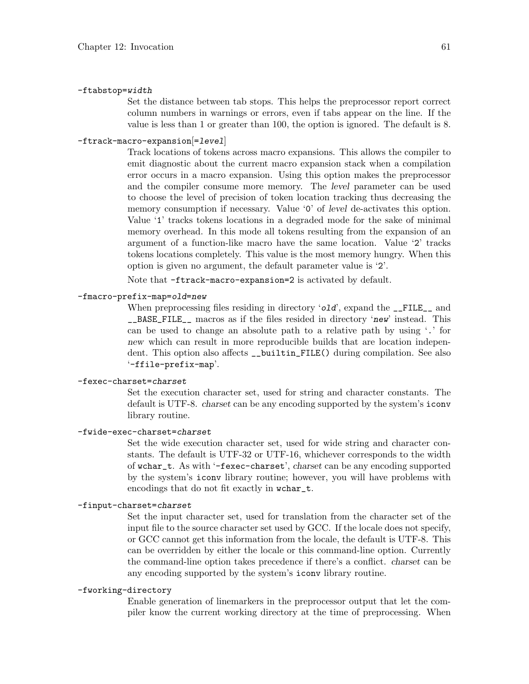#### -ftabstop=width

Set the distance between tab stops. This helps the preprocessor report correct column numbers in warnings or errors, even if tabs appear on the line. If the value is less than 1 or greater than 100, the option is ignored. The default is 8.

### -ftrack-macro-expansion[=level]

Track locations of tokens across macro expansions. This allows the compiler to emit diagnostic about the current macro expansion stack when a compilation error occurs in a macro expansion. Using this option makes the preprocessor and the compiler consume more memory. The level parameter can be used to choose the level of precision of token location tracking thus decreasing the memory consumption if necessary. Value '0' of level de-activates this option. Value '1' tracks tokens locations in a degraded mode for the sake of minimal memory overhead. In this mode all tokens resulting from the expansion of an argument of a function-like macro have the same location. Value '2' tracks tokens locations completely. This value is the most memory hungry. When this option is given no argument, the default parameter value is '2'.

Note that -ftrack-macro-expansion=2 is activated by default.

### -fmacro-prefix-map=old=new

When preprocessing files residing in directory 'old', expand the  $\text{I-FILE}_{-}$  and \_\_BASE\_FILE\_\_ macros as if the files resided in directory 'new' instead. This can be used to change an absolute path to a relative path by using '.' for new which can result in more reproducible builds that are location independent. This option also affects \_\_builtin\_FILE() during compilation. See also '-ffile-prefix-map'.

### -fexec-charset=charset

Set the execution character set, used for string and character constants. The default is UTF-8. charset can be any encoding supported by the system's iconv library routine.

## -fwide-exec-charset=charset

Set the wide execution character set, used for wide string and character constants. The default is UTF-32 or UTF-16, whichever corresponds to the width of wchar\_t. As with '-fexec-charset', charset can be any encoding supported by the system's iconv library routine; however, you will have problems with encodings that do not fit exactly in wchar\_t.

#### -finput-charset=charset

Set the input character set, used for translation from the character set of the input file to the source character set used by GCC. If the locale does not specify, or GCC cannot get this information from the locale, the default is UTF-8. This can be overridden by either the locale or this command-line option. Currently the command-line option takes precedence if there's a conflict. charset can be any encoding supported by the system's iconv library routine.

## -fworking-directory

Enable generation of linemarkers in the preprocessor output that let the compiler know the current working directory at the time of preprocessing. When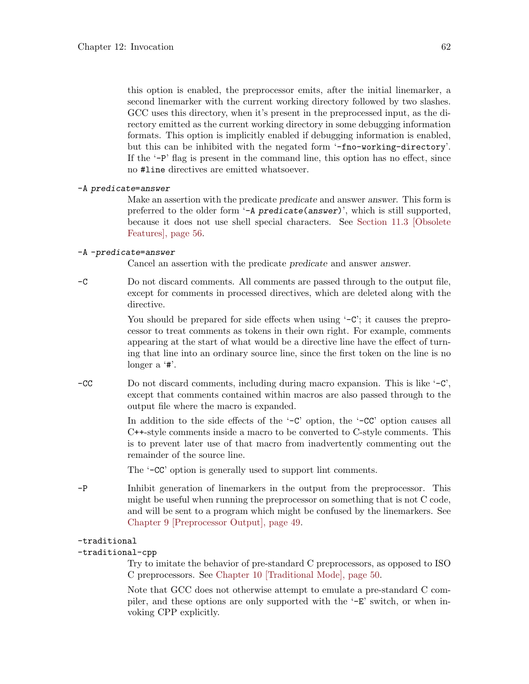this option is enabled, the preprocessor emits, after the initial linemarker, a second linemarker with the current working directory followed by two slashes. GCC uses this directory, when it's present in the preprocessed input, as the directory emitted as the current working directory in some debugging information formats. This option is implicitly enabled if debugging information is enabled, but this can be inhibited with the negated form '-fno-working-directory'. If the '-P' flag is present in the command line, this option has no effect, since no #line directives are emitted whatsoever.

## -A predicate=answer

Make an assertion with the predicate predicate and answer answer. This form is preferred to the older form '-A predicate(answer)', which is still supported, because it does not use shell special characters. See [Section 11.3 \[Obsolete](#page-60-0) [Features\], page 56.](#page-60-0)

## -A -predicate=answer

Cancel an assertion with the predicate predicate and answer answer.

-C Do not discard comments. All comments are passed through to the output file, except for comments in processed directives, which are deleted along with the directive.

> You should be prepared for side effects when using  $-$ C'; it causes the preprocessor to treat comments as tokens in their own right. For example, comments appearing at the start of what would be a directive line have the effect of turning that line into an ordinary source line, since the first token on the line is no longer a '#'.

-CC Do not discard comments, including during macro expansion. This is like '-C', except that comments contained within macros are also passed through to the output file where the macro is expanded.

> In addition to the side effects of the '-C' option, the '-CC' option causes all C++-style comments inside a macro to be converted to C-style comments. This is to prevent later use of that macro from inadvertently commenting out the remainder of the source line.

The '-CC' option is generally used to support lint comments.

-P Inhibit generation of linemarkers in the output from the preprocessor. This might be useful when running the preprocessor on something that is not C code, and will be sent to a program which might be confused by the linemarkers. See [Chapter 9 \[Preprocessor Output\], page 49.](#page-53-0)

### -traditional

### -traditional-cpp

Try to imitate the behavior of pre-standard C preprocessors, as opposed to ISO C preprocessors. See [Chapter 10 \[Traditional Mode\], page 50](#page-54-1).

Note that GCC does not otherwise attempt to emulate a pre-standard C compiler, and these options are only supported with the '-E' switch, or when invoking CPP explicitly.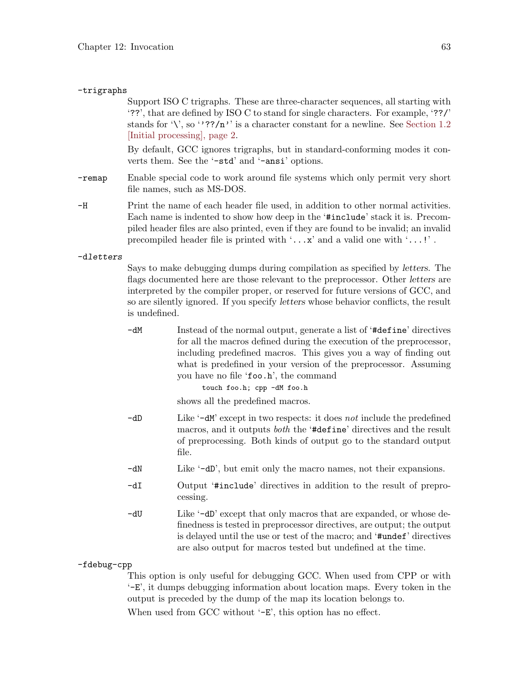### -trigraphs

Support ISO C trigraphs. These are three-character sequences, all starting with '??', that are defined by ISO C to stand for single characters. For example, '??/' stands for '\', so ''??/n'' is a character constant for a newline. See [Section 1.2](#page-6-1) [\[Initial processing\], page 2.](#page-6-1)

By default, GCC ignores trigraphs, but in standard-conforming modes it converts them. See the '-std' and '-ansi' options.

- -remap Enable special code to work around file systems which only permit very short file names, such as MS-DOS.
- -H Print the name of each header file used, in addition to other normal activities. Each name is indented to show how deep in the '#include' stack it is. Precompiled header files are also printed, even if they are found to be invalid; an invalid precompiled header file is printed with  $\ldots$  x' and a valid one with  $\ldots$ !'.

-dletters

Says to make debugging dumps during compilation as specified by letters. The flags documented here are those relevant to the preprocessor. Other letters are interpreted by the compiler proper, or reserved for future versions of GCC, and so are silently ignored. If you specify letters whose behavior conflicts, the result is undefined.

-dM Instead of the normal output, generate a list of '#define' directives for all the macros defined during the execution of the preprocessor, including predefined macros. This gives you a way of finding out what is predefined in your version of the preprocessor. Assuming you have no file 'foo.h', the command

> touch foo.h; cpp -dM foo.h shows all the predefined macros.

- -dD Like '-dM' except in two respects: it does not include the predefined macros, and it outputs both the '#define' directives and the result of preprocessing. Both kinds of output go to the standard output file.
- -dN Like '-dD', but emit only the macro names, not their expansions.
- -dI Output '#include' directives in addition to the result of preprocessing.
- -dU Like '-dD' except that only macros that are expanded, or whose definedness is tested in preprocessor directives, are output; the output is delayed until the use or test of the macro; and '#undef' directives are also output for macros tested but undefined at the time.

### -fdebug-cpp

This option is only useful for debugging GCC. When used from CPP or with '-E', it dumps debugging information about location maps. Every token in the output is preceded by the dump of the map its location belongs to.

When used from GCC without '-E', this option has no effect.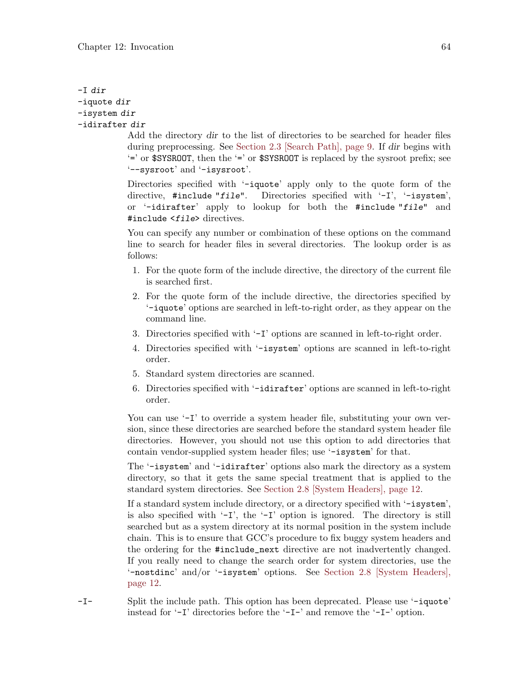-I dir -iquote dir -isystem dir -idirafter dir

> Add the directory dir to the list of directories to be searched for header files during preprocessing. See [Section 2.3 \[Search Path\], page 9.](#page-13-1) If dir begins with '=' or \$SYSROOT, then the '=' or \$SYSROOT is replaced by the sysroot prefix; see '--sysroot' and '-isysroot'.

> Directories specified with '-iquote' apply only to the quote form of the directive, #include "file". Directories specified with '-I', '-isystem', or '-idirafter' apply to lookup for both the #include "file" and #include <file> directives.

> You can specify any number or combination of these options on the command line to search for header files in several directories. The lookup order is as follows:

- 1. For the quote form of the include directive, the directory of the current file is searched first.
- 2. For the quote form of the include directive, the directories specified by '-iquote' options are searched in left-to-right order, as they appear on the command line.
- 3. Directories specified with '-I' options are scanned in left-to-right order.
- 4. Directories specified with '-isystem' options are scanned in left-to-right order.
- 5. Standard system directories are scanned.
- 6. Directories specified with '-idirafter' options are scanned in left-to-right order.

You can use  $\text{-}I'$  to override a system header file, substituting your own version, since these directories are searched before the standard system header file directories. However, you should not use this option to add directories that contain vendor-supplied system header files; use '-isystem' for that.

The '-isystem' and '-idirafter' options also mark the directory as a system directory, so that it gets the same special treatment that is applied to the standard system directories. See [Section 2.8 \[System Headers\], page 12.](#page-16-0)

If a standard system include directory, or a directory specified with '-isystem', is also specified with  $\mathbf{I}$ , the  $\mathbf{I}$  option is ignored. The directory is still searched but as a system directory at its normal position in the system include chain. This is to ensure that GCC's procedure to fix buggy system headers and the ordering for the #include\_next directive are not inadvertently changed. If you really need to change the search order for system directories, use the '-nostdinc' and/or '-isystem' options. See [Section 2.8 \[System Headers\],](#page-16-0) [page 12.](#page-16-0)

-I- Split the include path. This option has been deprecated. Please use '-iquote' instead for '-I' directories before the '-I-' and remove the '-I-' option.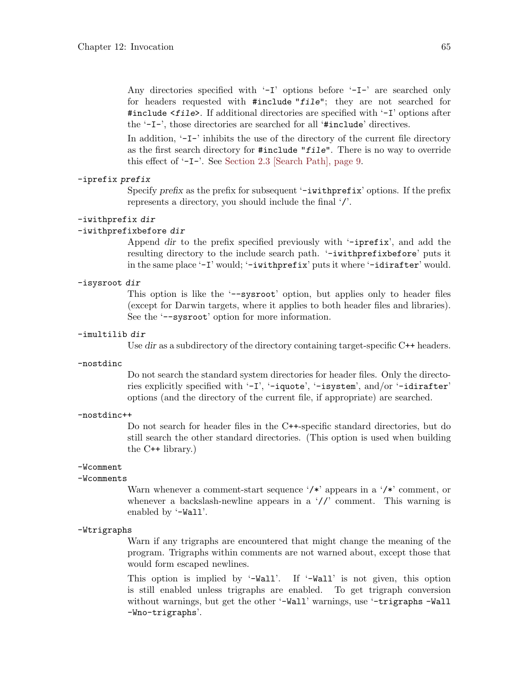Any directories specified with '-I' options before '-I-' are searched only for headers requested with #include "file"; they are not searched for #include <file>. If additional directories are specified with '-I' options after the '-I-', those directories are searched for all '#include' directives.

In addition,  $\left(-I - I\right)$  inhibits the use of the directory of the current file directory as the first search directory for #include "file". There is no way to override this effect of '-I-'. See [Section 2.3 \[Search Path\], page 9.](#page-13-1)

#### -iprefix prefix

Specify prefix as the prefix for subsequent '-iwithprefix' options. If the prefix represents a directory, you should include the final '/'.

## -iwithprefix dir

### -iwithprefixbefore dir

Append dir to the prefix specified previously with '-iprefix', and add the resulting directory to the include search path. '-iwithprefixbefore' puts it in the same place '-I' would; '-iwithprefix' puts it where '-idirafter' would.

#### -isysroot dir

This option is like the '--sysroot' option, but applies only to header files (except for Darwin targets, where it applies to both header files and libraries). See the '--sysroot' option for more information.

#### -imultilib dir

Use dir as a subdirectory of the directory containing target-specific C++ headers.

-nostdinc

Do not search the standard system directories for header files. Only the directories explicitly specified with '-I', '-iquote', '-isystem', and/or '-idirafter' options (and the directory of the current file, if appropriate) are searched.

#### -nostdinc++

Do not search for header files in the C++-specific standard directories, but do still search the other standard directories. (This option is used when building the C++ library.)

#### -Wcomment

#### -Wcomments

Warn whenever a comment-start sequence  $\forall$ \*' appears in a  $\forall$ \*' comment, or whenever a backslash-newline appears in a  $\frac{\ell}{\ell}$  comment. This warning is enabled by '-Wall'.

#### -Wtrigraphs

Warn if any trigraphs are encountered that might change the meaning of the program. Trigraphs within comments are not warned about, except those that would form escaped newlines.

This option is implied by '-Wall'. If '-Wall' is not given, this option is still enabled unless trigraphs are enabled. To get trigraph conversion without warnings, but get the other '-Wall' warnings, use '-trigraphs -Wall -Wno-trigraphs'.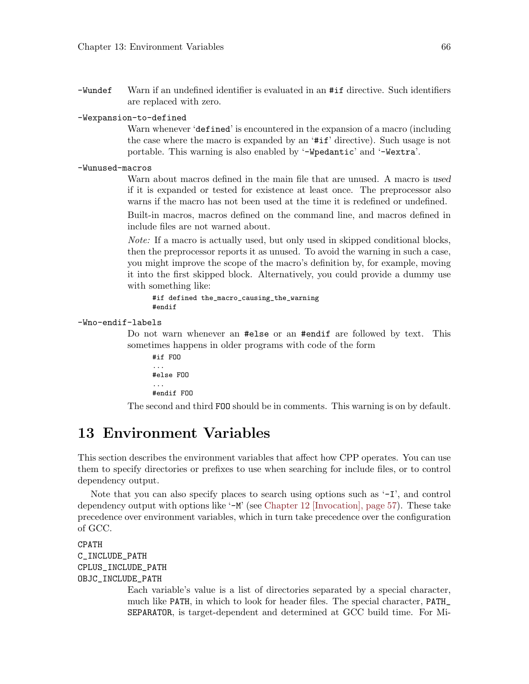-Wundef Warn if an undefined identifier is evaluated in an #if directive. Such identifiers are replaced with zero.

#### -Wexpansion-to-defined

Warn whenever 'defined' is encountered in the expansion of a macro (including the case where the macro is expanded by an '#if' directive). Such usage is not portable. This warning is also enabled by '-Wpedantic' and '-Wextra'.

-Wunused-macros

Warn about macros defined in the main file that are unused. A macro is used if it is expanded or tested for existence at least once. The preprocessor also warns if the macro has not been used at the time it is redefined or undefined.

Built-in macros, macros defined on the command line, and macros defined in include files are not warned about.

Note: If a macro is actually used, but only used in skipped conditional blocks, then the preprocessor reports it as unused. To avoid the warning in such a case, you might improve the scope of the macro's definition by, for example, moving it into the first skipped block. Alternatively, you could provide a dummy use with something like:

#if defined the\_macro\_causing\_the\_warning #endif

-Wno-endif-labels

Do not warn whenever an #else or an #endif are followed by text. This sometimes happens in older programs with code of the form

```
#if FOO
...
#else FOO
...
#endif FOO
```
The second and third FOO should be in comments. This warning is on by default.

# <span id="page-70-0"></span>13 Environment Variables

This section describes the environment variables that affect how CPP operates. You can use them to specify directories or prefixes to use when searching for include files, or to control dependency output.

Note that you can also specify places to search using options such as '-I', and control dependency output with options like '-M' (see [Chapter 12 \[Invocation\], page 57](#page-61-0)). These take precedence over environment variables, which in turn take precedence over the configuration of GCC.

```
CPATH
C_INCLUDE_PATH
CPLUS_INCLUDE_PATH
OBJC_INCLUDE_PATH
```
Each variable's value is a list of directories separated by a special character, much like PATH, in which to look for header files. The special character, PATH\_ SEPARATOR, is target-dependent and determined at GCC build time. For Mi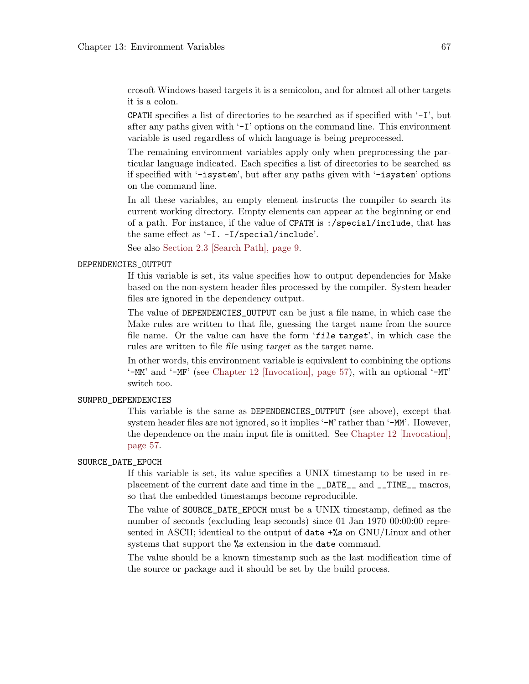crosoft Windows-based targets it is a semicolon, and for almost all other targets it is a colon.

CPATH specifies a list of directories to be searched as if specified with  $-1$ , but after any paths given with '-I' options on the command line. This environment variable is used regardless of which language is being preprocessed.

The remaining environment variables apply only when preprocessing the particular language indicated. Each specifies a list of directories to be searched as if specified with '-isystem', but after any paths given with '-isystem' options on the command line.

In all these variables, an empty element instructs the compiler to search its current working directory. Empty elements can appear at the beginning or end of a path. For instance, if the value of CPATH is :/special/include, that has the same effect as '-I. -I/special/include'.

See also [Section 2.3 \[Search Path\], page 9](#page-13-1).

#### DEPENDENCIES\_OUTPUT

If this variable is set, its value specifies how to output dependencies for Make based on the non-system header files processed by the compiler. System header files are ignored in the dependency output.

The value of DEPENDENCIES\_OUTPUT can be just a file name, in which case the Make rules are written to that file, guessing the target name from the source file name. Or the value can have the form 'file target', in which case the rules are written to file file using target as the target name.

In other words, this environment variable is equivalent to combining the options '-MM' and '-MF' (see [Chapter 12 \[Invocation\], page 57\)](#page-61-0), with an optional '-MT' switch too.

## SUNPRO\_DEPENDENCIES

This variable is the same as DEPENDENCIES\_OUTPUT (see above), except that system header files are not ignored, so it implies '-M' rather than '-MM'. However, the dependence on the main input file is omitted. See [Chapter 12 \[Invocation\],](#page-61-0) [page 57.](#page-61-0)

## SOURCE\_DATE\_EPOCH

If this variable is set, its value specifies a UNIX timestamp to be used in replacement of the current date and time in the \_\_DATE\_\_ and \_\_TIME\_\_ macros, so that the embedded timestamps become reproducible.

The value of SOURCE\_DATE\_EPOCH must be a UNIX timestamp, defined as the number of seconds (excluding leap seconds) since 01 Jan 1970 00:00:00 represented in ASCII; identical to the output of date +%s on GNU/Linux and other systems that support the  $\frac{1}{6}$  extension in the date command.

The value should be a known timestamp such as the last modification time of the source or package and it should be set by the build process.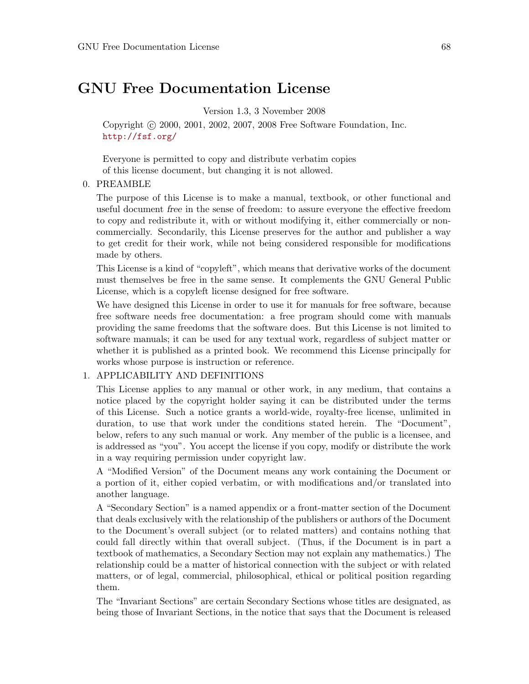## <span id="page-72-0"></span>GNU Free Documentation License

#### Version 1.3, 3 November 2008

Copyright © 2000, 2001, 2002, 2007, 2008 Free Software Foundation, Inc. <http://fsf.org/>

Everyone is permitted to copy and distribute verbatim copies of this license document, but changing it is not allowed.

#### 0. PREAMBLE

The purpose of this License is to make a manual, textbook, or other functional and useful document free in the sense of freedom: to assure everyone the effective freedom to copy and redistribute it, with or without modifying it, either commercially or noncommercially. Secondarily, this License preserves for the author and publisher a way to get credit for their work, while not being considered responsible for modifications made by others.

This License is a kind of "copyleft", which means that derivative works of the document must themselves be free in the same sense. It complements the GNU General Public License, which is a copyleft license designed for free software.

We have designed this License in order to use it for manuals for free software, because free software needs free documentation: a free program should come with manuals providing the same freedoms that the software does. But this License is not limited to software manuals; it can be used for any textual work, regardless of subject matter or whether it is published as a printed book. We recommend this License principally for works whose purpose is instruction or reference.

### 1. APPLICABILITY AND DEFINITIONS

This License applies to any manual or other work, in any medium, that contains a notice placed by the copyright holder saying it can be distributed under the terms of this License. Such a notice grants a world-wide, royalty-free license, unlimited in duration, to use that work under the conditions stated herein. The "Document", below, refers to any such manual or work. Any member of the public is a licensee, and is addressed as "you". You accept the license if you copy, modify or distribute the work in a way requiring permission under copyright law.

A "Modified Version" of the Document means any work containing the Document or a portion of it, either copied verbatim, or with modifications and/or translated into another language.

A "Secondary Section" is a named appendix or a front-matter section of the Document that deals exclusively with the relationship of the publishers or authors of the Document to the Document's overall subject (or to related matters) and contains nothing that could fall directly within that overall subject. (Thus, if the Document is in part a textbook of mathematics, a Secondary Section may not explain any mathematics.) The relationship could be a matter of historical connection with the subject or with related matters, or of legal, commercial, philosophical, ethical or political position regarding them.

The "Invariant Sections" are certain Secondary Sections whose titles are designated, as being those of Invariant Sections, in the notice that says that the Document is released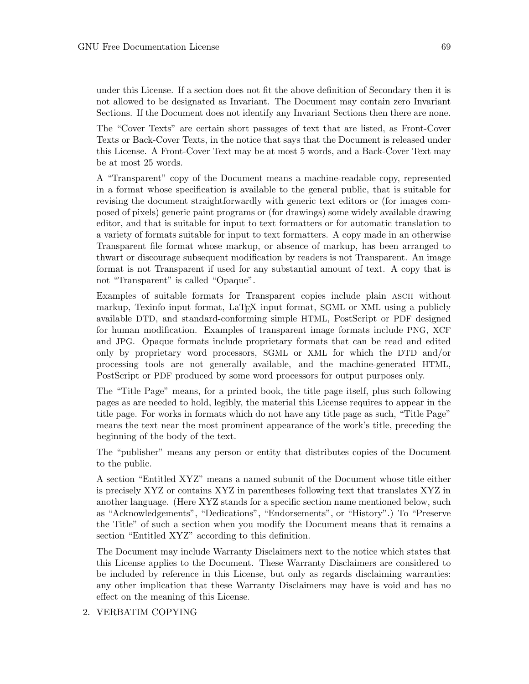under this License. If a section does not fit the above definition of Secondary then it is not allowed to be designated as Invariant. The Document may contain zero Invariant Sections. If the Document does not identify any Invariant Sections then there are none.

The "Cover Texts" are certain short passages of text that are listed, as Front-Cover Texts or Back-Cover Texts, in the notice that says that the Document is released under this License. A Front-Cover Text may be at most 5 words, and a Back-Cover Text may be at most 25 words.

A "Transparent" copy of the Document means a machine-readable copy, represented in a format whose specification is available to the general public, that is suitable for revising the document straightforwardly with generic text editors or (for images composed of pixels) generic paint programs or (for drawings) some widely available drawing editor, and that is suitable for input to text formatters or for automatic translation to a variety of formats suitable for input to text formatters. A copy made in an otherwise Transparent file format whose markup, or absence of markup, has been arranged to thwart or discourage subsequent modification by readers is not Transparent. An image format is not Transparent if used for any substantial amount of text. A copy that is not "Transparent" is called "Opaque".

Examples of suitable formats for Transparent copies include plain ascii without markup, Texinfo input format, LaT<sub>EX</sub> input format, SGML or XML using a publicly available DTD, and standard-conforming simple HTML, PostScript or PDF designed for human modification. Examples of transparent image formats include PNG, XCF and JPG. Opaque formats include proprietary formats that can be read and edited only by proprietary word processors, SGML or XML for which the DTD and/or processing tools are not generally available, and the machine-generated HTML, PostScript or PDF produced by some word processors for output purposes only.

The "Title Page" means, for a printed book, the title page itself, plus such following pages as are needed to hold, legibly, the material this License requires to appear in the title page. For works in formats which do not have any title page as such, "Title Page" means the text near the most prominent appearance of the work's title, preceding the beginning of the body of the text.

The "publisher" means any person or entity that distributes copies of the Document to the public.

A section "Entitled XYZ" means a named subunit of the Document whose title either is precisely XYZ or contains XYZ in parentheses following text that translates XYZ in another language. (Here XYZ stands for a specific section name mentioned below, such as "Acknowledgements", "Dedications", "Endorsements", or "History".) To "Preserve the Title" of such a section when you modify the Document means that it remains a section "Entitled XYZ" according to this definition.

The Document may include Warranty Disclaimers next to the notice which states that this License applies to the Document. These Warranty Disclaimers are considered to be included by reference in this License, but only as regards disclaiming warranties: any other implication that these Warranty Disclaimers may have is void and has no effect on the meaning of this License.

2. VERBATIM COPYING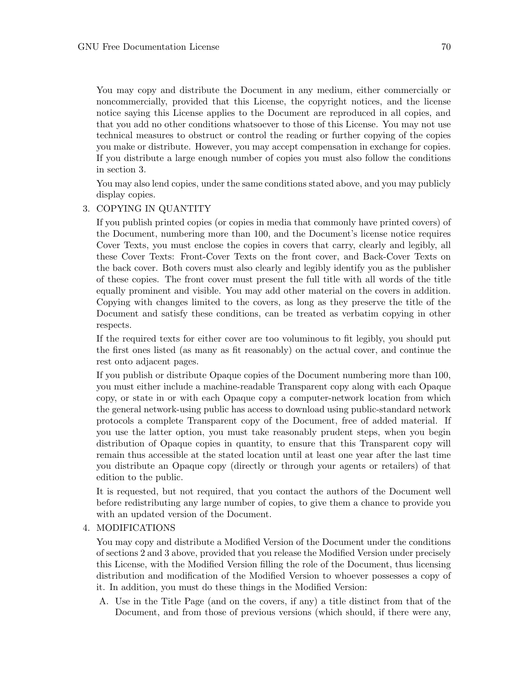You may copy and distribute the Document in any medium, either commercially or noncommercially, provided that this License, the copyright notices, and the license notice saying this License applies to the Document are reproduced in all copies, and that you add no other conditions whatsoever to those of this License. You may not use technical measures to obstruct or control the reading or further copying of the copies you make or distribute. However, you may accept compensation in exchange for copies. If you distribute a large enough number of copies you must also follow the conditions in section 3.

You may also lend copies, under the same conditions stated above, and you may publicly display copies.

### 3. COPYING IN QUANTITY

If you publish printed copies (or copies in media that commonly have printed covers) of the Document, numbering more than 100, and the Document's license notice requires Cover Texts, you must enclose the copies in covers that carry, clearly and legibly, all these Cover Texts: Front-Cover Texts on the front cover, and Back-Cover Texts on the back cover. Both covers must also clearly and legibly identify you as the publisher of these copies. The front cover must present the full title with all words of the title equally prominent and visible. You may add other material on the covers in addition. Copying with changes limited to the covers, as long as they preserve the title of the Document and satisfy these conditions, can be treated as verbatim copying in other respects.

If the required texts for either cover are too voluminous to fit legibly, you should put the first ones listed (as many as fit reasonably) on the actual cover, and continue the rest onto adjacent pages.

If you publish or distribute Opaque copies of the Document numbering more than 100, you must either include a machine-readable Transparent copy along with each Opaque copy, or state in or with each Opaque copy a computer-network location from which the general network-using public has access to download using public-standard network protocols a complete Transparent copy of the Document, free of added material. If you use the latter option, you must take reasonably prudent steps, when you begin distribution of Opaque copies in quantity, to ensure that this Transparent copy will remain thus accessible at the stated location until at least one year after the last time you distribute an Opaque copy (directly or through your agents or retailers) of that edition to the public.

It is requested, but not required, that you contact the authors of the Document well before redistributing any large number of copies, to give them a chance to provide you with an updated version of the Document.

#### 4. MODIFICATIONS

You may copy and distribute a Modified Version of the Document under the conditions of sections 2 and 3 above, provided that you release the Modified Version under precisely this License, with the Modified Version filling the role of the Document, thus licensing distribution and modification of the Modified Version to whoever possesses a copy of it. In addition, you must do these things in the Modified Version:

A. Use in the Title Page (and on the covers, if any) a title distinct from that of the Document, and from those of previous versions (which should, if there were any,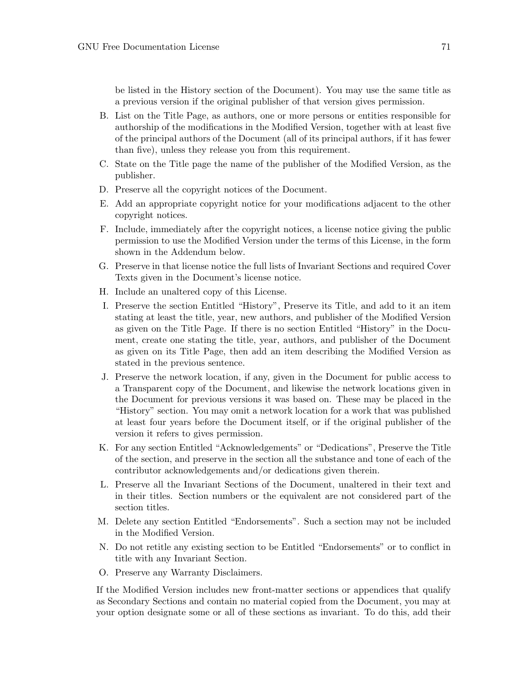be listed in the History section of the Document). You may use the same title as a previous version if the original publisher of that version gives permission.

- B. List on the Title Page, as authors, one or more persons or entities responsible for authorship of the modifications in the Modified Version, together with at least five of the principal authors of the Document (all of its principal authors, if it has fewer than five), unless they release you from this requirement.
- C. State on the Title page the name of the publisher of the Modified Version, as the publisher.
- D. Preserve all the copyright notices of the Document.
- E. Add an appropriate copyright notice for your modifications adjacent to the other copyright notices.
- F. Include, immediately after the copyright notices, a license notice giving the public permission to use the Modified Version under the terms of this License, in the form shown in the Addendum below.
- G. Preserve in that license notice the full lists of Invariant Sections and required Cover Texts given in the Document's license notice.
- H. Include an unaltered copy of this License.
- I. Preserve the section Entitled "History", Preserve its Title, and add to it an item stating at least the title, year, new authors, and publisher of the Modified Version as given on the Title Page. If there is no section Entitled "History" in the Document, create one stating the title, year, authors, and publisher of the Document as given on its Title Page, then add an item describing the Modified Version as stated in the previous sentence.
- J. Preserve the network location, if any, given in the Document for public access to a Transparent copy of the Document, and likewise the network locations given in the Document for previous versions it was based on. These may be placed in the "History" section. You may omit a network location for a work that was published at least four years before the Document itself, or if the original publisher of the version it refers to gives permission.
- K. For any section Entitled "Acknowledgements" or "Dedications", Preserve the Title of the section, and preserve in the section all the substance and tone of each of the contributor acknowledgements and/or dedications given therein.
- L. Preserve all the Invariant Sections of the Document, unaltered in their text and in their titles. Section numbers or the equivalent are not considered part of the section titles.
- M. Delete any section Entitled "Endorsements". Such a section may not be included in the Modified Version.
- N. Do not retitle any existing section to be Entitled "Endorsements" or to conflict in title with any Invariant Section.
- O. Preserve any Warranty Disclaimers.

If the Modified Version includes new front-matter sections or appendices that qualify as Secondary Sections and contain no material copied from the Document, you may at your option designate some or all of these sections as invariant. To do this, add their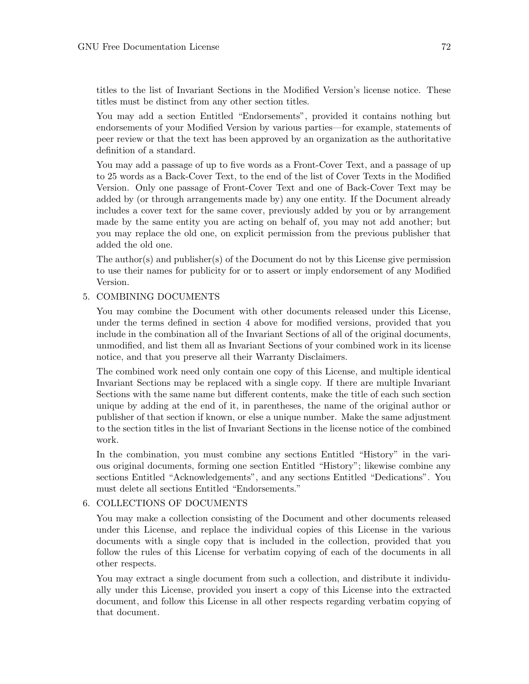titles to the list of Invariant Sections in the Modified Version's license notice. These titles must be distinct from any other section titles.

You may add a section Entitled "Endorsements", provided it contains nothing but endorsements of your Modified Version by various parties—for example, statements of peer review or that the text has been approved by an organization as the authoritative definition of a standard.

You may add a passage of up to five words as a Front-Cover Text, and a passage of up to 25 words as a Back-Cover Text, to the end of the list of Cover Texts in the Modified Version. Only one passage of Front-Cover Text and one of Back-Cover Text may be added by (or through arrangements made by) any one entity. If the Document already includes a cover text for the same cover, previously added by you or by arrangement made by the same entity you are acting on behalf of, you may not add another; but you may replace the old one, on explicit permission from the previous publisher that added the old one.

The author(s) and publisher(s) of the Document do not by this License give permission to use their names for publicity for or to assert or imply endorsement of any Modified Version.

### 5. COMBINING DOCUMENTS

You may combine the Document with other documents released under this License, under the terms defined in section 4 above for modified versions, provided that you include in the combination all of the Invariant Sections of all of the original documents, unmodified, and list them all as Invariant Sections of your combined work in its license notice, and that you preserve all their Warranty Disclaimers.

The combined work need only contain one copy of this License, and multiple identical Invariant Sections may be replaced with a single copy. If there are multiple Invariant Sections with the same name but different contents, make the title of each such section unique by adding at the end of it, in parentheses, the name of the original author or publisher of that section if known, or else a unique number. Make the same adjustment to the section titles in the list of Invariant Sections in the license notice of the combined work.

In the combination, you must combine any sections Entitled "History" in the various original documents, forming one section Entitled "History"; likewise combine any sections Entitled "Acknowledgements", and any sections Entitled "Dedications". You must delete all sections Entitled "Endorsements."

#### 6. COLLECTIONS OF DOCUMENTS

You may make a collection consisting of the Document and other documents released under this License, and replace the individual copies of this License in the various documents with a single copy that is included in the collection, provided that you follow the rules of this License for verbatim copying of each of the documents in all other respects.

You may extract a single document from such a collection, and distribute it individually under this License, provided you insert a copy of this License into the extracted document, and follow this License in all other respects regarding verbatim copying of that document.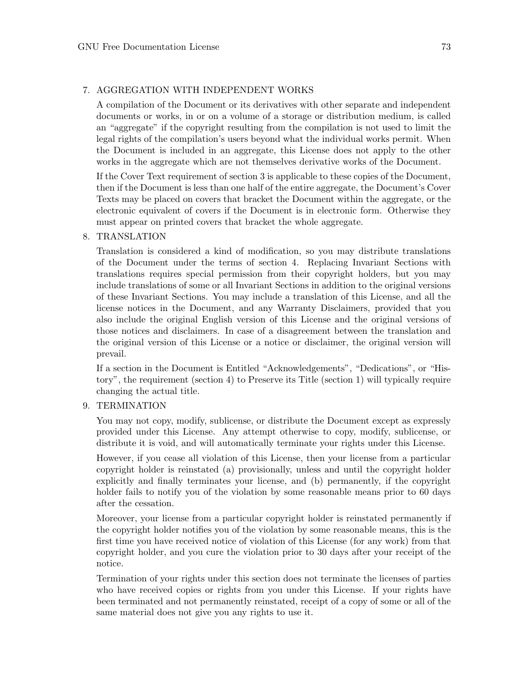#### 7. AGGREGATION WITH INDEPENDENT WORKS

A compilation of the Document or its derivatives with other separate and independent documents or works, in or on a volume of a storage or distribution medium, is called an "aggregate" if the copyright resulting from the compilation is not used to limit the legal rights of the compilation's users beyond what the individual works permit. When the Document is included in an aggregate, this License does not apply to the other works in the aggregate which are not themselves derivative works of the Document.

If the Cover Text requirement of section 3 is applicable to these copies of the Document, then if the Document is less than one half of the entire aggregate, the Document's Cover Texts may be placed on covers that bracket the Document within the aggregate, or the electronic equivalent of covers if the Document is in electronic form. Otherwise they must appear on printed covers that bracket the whole aggregate.

#### 8. TRANSLATION

Translation is considered a kind of modification, so you may distribute translations of the Document under the terms of section 4. Replacing Invariant Sections with translations requires special permission from their copyright holders, but you may include translations of some or all Invariant Sections in addition to the original versions of these Invariant Sections. You may include a translation of this License, and all the license notices in the Document, and any Warranty Disclaimers, provided that you also include the original English version of this License and the original versions of those notices and disclaimers. In case of a disagreement between the translation and the original version of this License or a notice or disclaimer, the original version will prevail.

If a section in the Document is Entitled "Acknowledgements", "Dedications", or "History", the requirement (section 4) to Preserve its Title (section 1) will typically require changing the actual title.

#### 9. TERMINATION

You may not copy, modify, sublicense, or distribute the Document except as expressly provided under this License. Any attempt otherwise to copy, modify, sublicense, or distribute it is void, and will automatically terminate your rights under this License.

However, if you cease all violation of this License, then your license from a particular copyright holder is reinstated (a) provisionally, unless and until the copyright holder explicitly and finally terminates your license, and (b) permanently, if the copyright holder fails to notify you of the violation by some reasonable means prior to 60 days after the cessation.

Moreover, your license from a particular copyright holder is reinstated permanently if the copyright holder notifies you of the violation by some reasonable means, this is the first time you have received notice of violation of this License (for any work) from that copyright holder, and you cure the violation prior to 30 days after your receipt of the notice.

Termination of your rights under this section does not terminate the licenses of parties who have received copies or rights from you under this License. If your rights have been terminated and not permanently reinstated, receipt of a copy of some or all of the same material does not give you any rights to use it.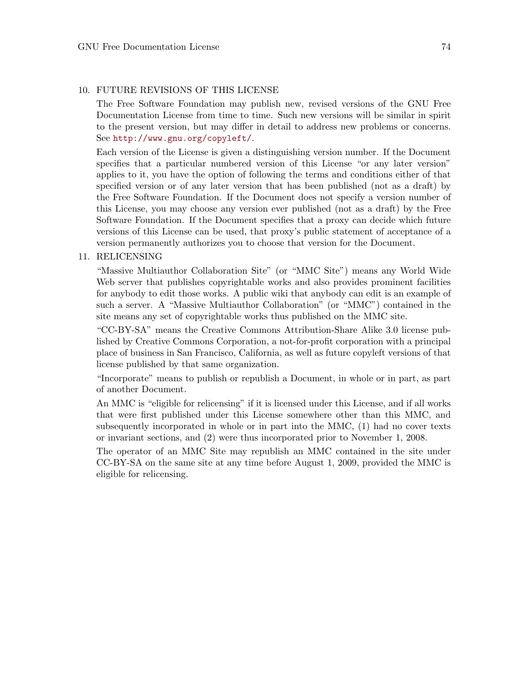#### 10. FUTURE REVISIONS OF THIS LICENSE

The Free Software Foundation may publish new, revised versions of the GNU Free Documentation License from time to time. Such new versions will be similar in spirit to the present version, but may differ in detail to address new problems or concerns. See <http://www.gnu.org/copyleft/>.

Each version of the License is given a distinguishing version number. If the Document specifies that a particular numbered version of this License "or any later version" applies to it, you have the option of following the terms and conditions either of that specified version or of any later version that has been published (not as a draft) by the Free Software Foundation. If the Document does not specify a version number of this License, you may choose any version ever published (not as a draft) by the Free Software Foundation. If the Document specifies that a proxy can decide which future versions of this License can be used, that proxy's public statement of acceptance of a version permanently authorizes you to choose that version for the Document.

#### 11. RELICENSING

"Massive Multiauthor Collaboration Site" (or "MMC Site") means any World Wide Web server that publishes copyrightable works and also provides prominent facilities for anybody to edit those works. A public wiki that anybody can edit is an example of such a server. A "Massive Multiauthor Collaboration" (or "MMC") contained in the site means any set of copyrightable works thus published on the MMC site.

"CC-BY-SA" means the Creative Commons Attribution-Share Alike 3.0 license published by Creative Commons Corporation, a not-for-profit corporation with a principal place of business in San Francisco, California, as well as future copyleft versions of that license published by that same organization.

"Incorporate" means to publish or republish a Document, in whole or in part, as part of another Document.

An MMC is "eligible for relicensing" if it is licensed under this License, and if all works that were first published under this License somewhere other than this MMC, and subsequently incorporated in whole or in part into the MMC, (1) had no cover texts or invariant sections, and (2) were thus incorporated prior to November 1, 2008.

The operator of an MMC Site may republish an MMC contained in the site under CC-BY-SA on the same site at any time before August 1, 2009, provided the MMC is eligible for relicensing.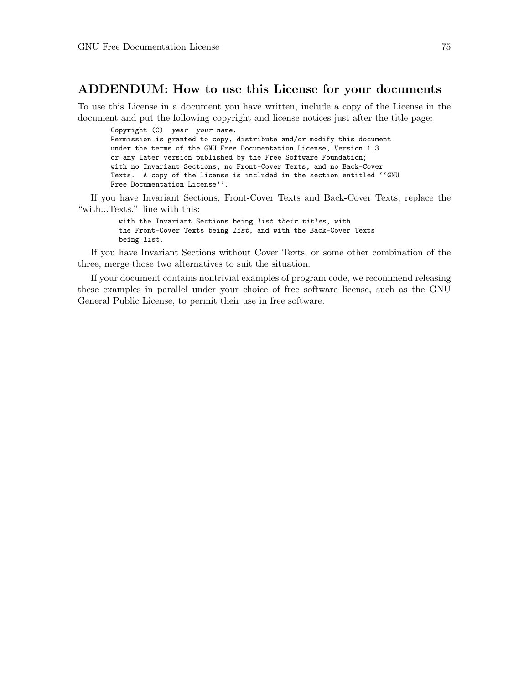### ADDENDUM: How to use this License for your documents

To use this License in a document you have written, include a copy of the License in the document and put the following copyright and license notices just after the title page:

Copyright (C) year your name. Permission is granted to copy, distribute and/or modify this document under the terms of the GNU Free Documentation License, Version 1.3 or any later version published by the Free Software Foundation; with no Invariant Sections, no Front-Cover Texts, and no Back-Cover Texts. A copy of the license is included in the section entitled ''GNU Free Documentation License''.

If you have Invariant Sections, Front-Cover Texts and Back-Cover Texts, replace the "with...Texts." line with this:

> with the Invariant Sections being list their titles, with the Front-Cover Texts being list, and with the Back-Cover Texts being list.

If you have Invariant Sections without Cover Texts, or some other combination of the three, merge those two alternatives to suit the situation.

If your document contains nontrivial examples of program code, we recommend releasing these examples in parallel under your choice of free software license, such as the GNU General Public License, to permit their use in free software.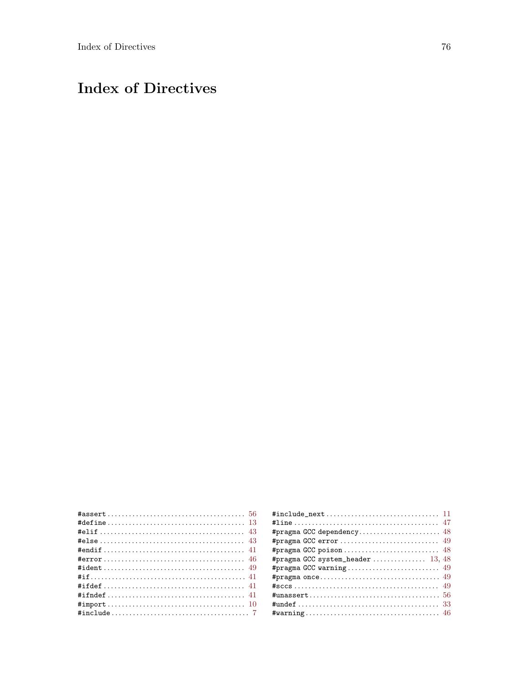# **Index of Directives**

|  | #pragma GCC system_header  13, 48 |  |
|--|-----------------------------------|--|
|  |                                   |  |
|  |                                   |  |
|  |                                   |  |
|  |                                   |  |
|  |                                   |  |
|  |                                   |  |
|  |                                   |  |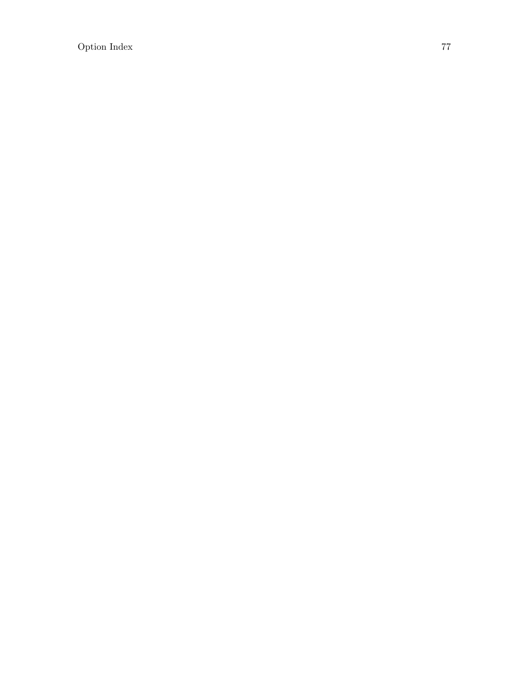Option Index 77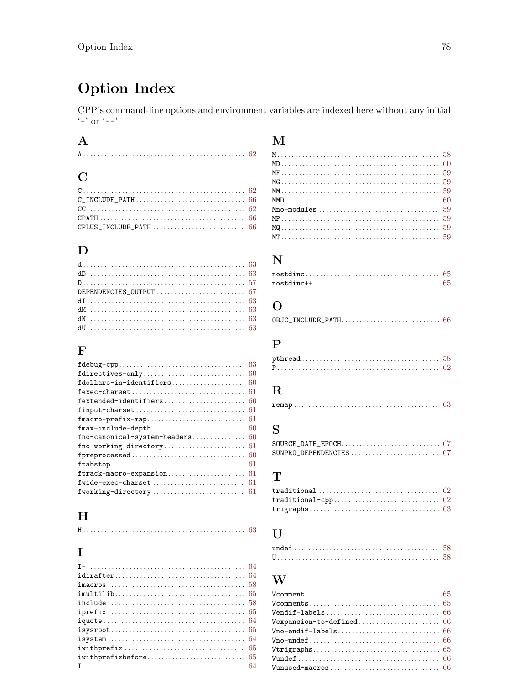# Option Index

CPP's command-line options and environment variables are indexed here without any initial  $\left(-\right)$  or  $\left(-\right)$ .

## $\mathbf C$

## $\mathbf D$

### $\mathbf F$

## $\mathbf H$

|--|--|--|

### $\mathbf{I}$

| $imacros \ldots \ldots \ldots \ldots \ldots \ldots \ldots \ldots \ldots \ldots \ldots 58$ |  |
|-------------------------------------------------------------------------------------------|--|
|                                                                                           |  |
|                                                                                           |  |
|                                                                                           |  |
|                                                                                           |  |
|                                                                                           |  |
|                                                                                           |  |
|                                                                                           |  |
|                                                                                           |  |
|                                                                                           |  |
|                                                                                           |  |

### $\mathbf{M}$

## $\mathbf N$

# $\mathbf{O}$

### ${\bf P}$

## ${\bf R}$

## ${\bf S}$

## $\mathbf T$

## ${\bf U}$

### W

| $\mathtt{Wno\text{-}undef.}\dots\dots\dots\dots\dots\dots\dots\dots\dots\dots\dots\dots\dots\dots\dots\dots\dots\ 66$ |  |
|-----------------------------------------------------------------------------------------------------------------------|--|
|                                                                                                                       |  |
|                                                                                                                       |  |
|                                                                                                                       |  |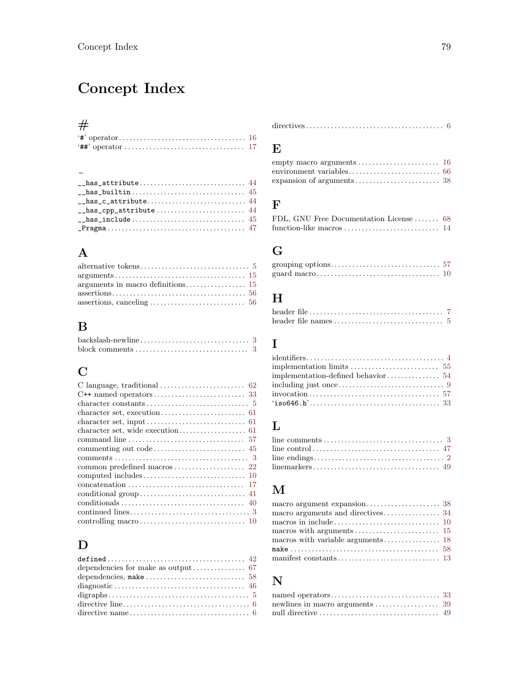# Concept Index

# $#$

| . |  |
|---|--|
|   |  |
|   |  |

### $\equiv$

| $Pragma \ldots \ldots \ldots \ldots \ldots \ldots \ldots \ldots \ldots \ldots \ldots \ldots \quad 47$ |  |
|-------------------------------------------------------------------------------------------------------|--|

# A

# B

# C

| $concatenation \ldots \ldots \ldots \ldots \ldots \ldots \ldots \ldots \ldots \ldots \ldots 17$ |
|-------------------------------------------------------------------------------------------------|
|                                                                                                 |
|                                                                                                 |
|                                                                                                 |
|                                                                                                 |

# D

# E

# F

| FDL, GNU Free Documentation License  68 |  |
|-----------------------------------------|--|
|                                         |  |

# G

# $\mathbf H$

# I

# L

| $linemarks \ldots \ldots \ldots \ldots \ldots \ldots \ldots \ldots \ldots \ldots \ldots$ |
|------------------------------------------------------------------------------------------|

# M

# N